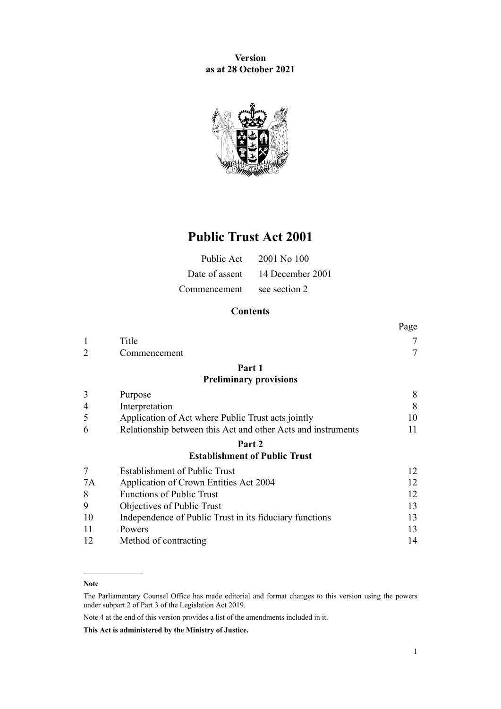**Version as at 28 October 2021**



# **Public Trust Act 2001**

|                            | Public Act $2001$ No 100        |
|----------------------------|---------------------------------|
|                            | Date of assent 14 December 2001 |
| Commencement see section 2 |                                 |

# **Contents**

|                |                                                              | Page |
|----------------|--------------------------------------------------------------|------|
| 1              | Title                                                        | 7    |
| $\overline{2}$ | Commencement                                                 | 7    |
|                | Part 1                                                       |      |
|                | <b>Preliminary provisions</b>                                |      |
| 3              | Purpose                                                      | 8    |
| 4              | Interpretation                                               | 8    |
| 5              | Application of Act where Public Trust acts jointly           | 10   |
| 6              | Relationship between this Act and other Acts and instruments | 11   |
|                | Part 2                                                       |      |
|                | <b>Establishment of Public Trust</b>                         |      |
| 7              | <b>Establishment of Public Trust</b>                         | 12   |
| 7A             | Application of Crown Entities Act 2004                       | 12   |
| 8              | Functions of Public Trust                                    | 12   |
| 9              | Objectives of Public Trust                                   | 13   |
| 10             | Independence of Public Trust in its fiduciary functions      | 13   |
| 11             | Powers                                                       | 13   |
| 12             | Method of contracting                                        | 14   |

#### **Note**

The Parliamentary Counsel Office has made editorial and format changes to this version using the powers under [subpart 2](http://legislation.govt.nz/pdflink.aspx?id=DLM7298371) of Part 3 of the Legislation Act 2019.

Note 4 at the end of this version provides a list of the amendments included in it.

**This Act is administered by the Ministry of Justice.**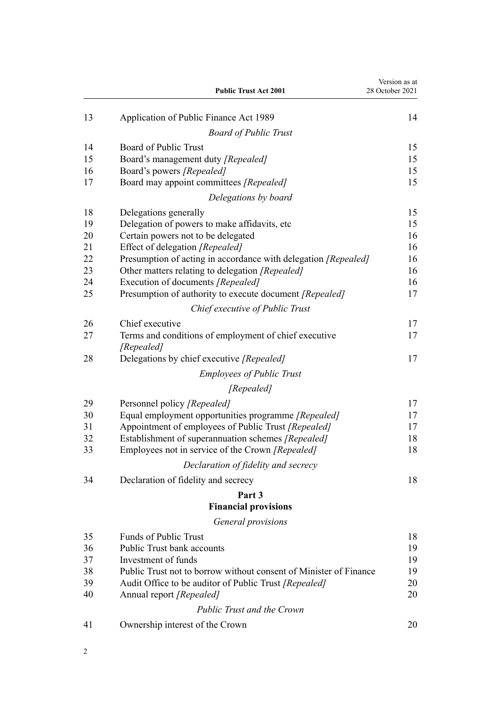|    | <b>Public Trust Act 2001</b>                                        | Version as at<br>28 October 2021 |
|----|---------------------------------------------------------------------|----------------------------------|
| 13 | Application of Public Finance Act 1989                              | 14                               |
|    | <b>Board of Public Trust</b>                                        |                                  |
| 14 | Board of Public Trust                                               | 15                               |
| 15 | Board's management duty [Repealed]                                  | 15                               |
| 16 | Board's powers [Repealed]                                           | 15                               |
| 17 | Board may appoint committees [Repealed]                             | 15                               |
|    | Delegations by board                                                |                                  |
| 18 | Delegations generally                                               | 15                               |
| 19 | Delegation of powers to make affidavits, etc                        | 15                               |
| 20 | Certain powers not to be delegated                                  | 16                               |
| 21 | Effect of delegation [Repealed]                                     | 16                               |
| 22 | Presumption of acting in accordance with delegation [Repealed]      | 16                               |
| 23 | Other matters relating to delegation [Repealed]                     | 16                               |
| 24 | Execution of documents [Repealed]                                   | 16                               |
| 25 | Presumption of authority to execute document [Repealed]             | 17                               |
|    | Chief executive of Public Trust                                     |                                  |
| 26 | Chief executive                                                     | 17                               |
| 27 | Terms and conditions of employment of chief executive<br>[Repealed] | 17                               |
| 28 | Delegations by chief executive [Repealed]                           | 17                               |
|    | <b>Employees of Public Trust</b>                                    |                                  |
|    | [Repealed]                                                          |                                  |
| 29 | Personnel policy [Repealed]                                         | 17                               |
| 30 | Equal employment opportunities programme [Repealed]                 | 17                               |
| 31 | Appointment of employees of Public Trust [Repealed]                 | 17                               |
| 32 | Establishment of superannuation schemes [Repealed]                  | $18\,$                           |
| 33 | Employees not in service of the Crown [Repealed]                    | 18                               |
|    | Declaration of fidelity and secrecy                                 |                                  |
| 34 | Declaration of fidelity and secrecy                                 | 18                               |
|    | Part 3                                                              |                                  |
|    | <b>Financial provisions</b>                                         |                                  |
|    | General provisions                                                  |                                  |
| 35 | <b>Funds of Public Trust</b>                                        | 18                               |
| 36 | <b>Public Trust bank accounts</b>                                   | 19                               |
| 37 | Investment of funds                                                 | 19                               |
| 38 | Public Trust not to borrow without consent of Minister of Finance   | 19                               |
| 39 | Audit Office to be auditor of Public Trust [Repealed]               | 20                               |
| 40 | Annual report [Repealed]                                            | 20                               |
|    | <b>Public Trust and the Crown</b>                                   |                                  |
| 41 | Ownership interest of the Crown                                     | 20                               |
|    |                                                                     |                                  |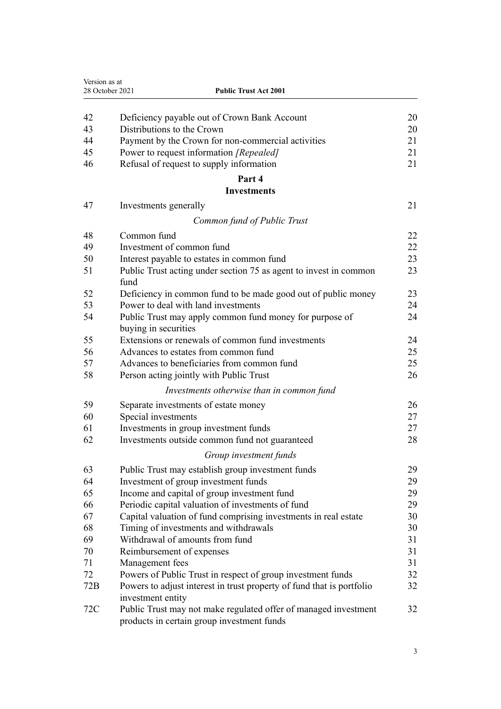| Version as at<br>28 October 2021 | <b>Public Trust Act 2001</b>                                          |    |
|----------------------------------|-----------------------------------------------------------------------|----|
|                                  |                                                                       |    |
| 42                               | Deficiency payable out of Crown Bank Account                          | 20 |
| 43                               | Distributions to the Crown                                            | 20 |
| 44                               | Payment by the Crown for non-commercial activities                    | 21 |
| 45                               | Power to request information [Repealed]                               | 21 |
| 46                               | Refusal of request to supply information                              | 21 |
|                                  | Part 4                                                                |    |
|                                  | <b>Investments</b>                                                    |    |
| 47                               | Investments generally                                                 | 21 |
|                                  | Common fund of Public Trust                                           |    |
| 48                               | Common fund                                                           | 22 |
| 49                               | Investment of common fund                                             | 22 |
| 50                               | Interest payable to estates in common fund                            | 23 |
| 51                               | Public Trust acting under section 75 as agent to invest in common     | 23 |
|                                  | fund                                                                  |    |
| 52                               | Deficiency in common fund to be made good out of public money         | 23 |
| 53                               | Power to deal with land investments                                   | 24 |
| 54                               | Public Trust may apply common fund money for purpose of               | 24 |
|                                  | buying in securities                                                  |    |
| 55                               | Extensions or renewals of common fund investments                     | 24 |
| 56                               | Advances to estates from common fund                                  | 25 |
| 57                               | Advances to beneficiaries from common fund                            | 25 |
| 58                               | Person acting jointly with Public Trust                               | 26 |
|                                  | Investments otherwise than in common fund                             |    |
| 59                               | Separate investments of estate money                                  | 26 |
| 60                               | Special investments                                                   | 27 |
| 61                               | Investments in group investment funds                                 | 27 |
| 62                               | Investments outside common fund not guaranteed                        | 28 |
|                                  | Group investment funds                                                |    |
| 63                               | Public Trust may establish group investment funds                     | 29 |
| 64                               | Investment of group investment funds                                  | 29 |
| 65                               | Income and capital of group investment fund                           | 29 |
| 66                               | Periodic capital valuation of investments of fund                     | 29 |
| 67                               | Capital valuation of fund comprising investments in real estate       | 30 |
| 68                               | Timing of investments and withdrawals                                 | 30 |
| 69                               | Withdrawal of amounts from fund                                       | 31 |
| 70                               | Reimbursement of expenses                                             | 31 |
| 71                               | Management fees                                                       | 31 |
| 72                               | Powers of Public Trust in respect of group investment funds           | 32 |
| 72B                              | Powers to adjust interest in trust property of fund that is portfolio | 32 |
|                                  | investment entity                                                     |    |
| 72C                              | Public Trust may not make regulated offer of managed investment       | 32 |
|                                  | products in certain group investment funds                            |    |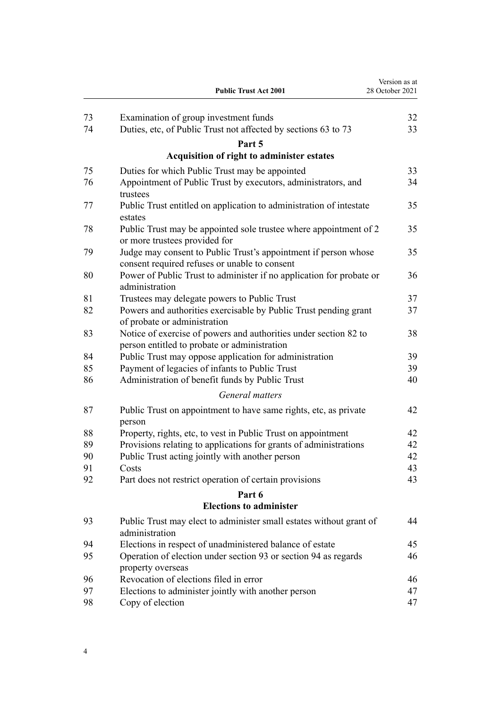|          | <b>Public Trust Act 2001</b>                                                                                     | Version as at<br>28 October 2021 |
|----------|------------------------------------------------------------------------------------------------------------------|----------------------------------|
| 73       | Examination of group investment funds                                                                            | 32                               |
| 74       | Duties, etc, of Public Trust not affected by sections 63 to 73                                                   | 33                               |
|          | Part 5                                                                                                           |                                  |
|          | Acquisition of right to administer estates                                                                       |                                  |
| 75       | Duties for which Public Trust may be appointed                                                                   | 33                               |
| 76       | Appointment of Public Trust by executors, administrators, and<br>trustees                                        | 34                               |
| 77       | Public Trust entitled on application to administration of intestate<br>estates                                   | 35                               |
| 78       | Public Trust may be appointed sole trustee where appointment of 2<br>or more trustees provided for               | 35                               |
| 79       | Judge may consent to Public Trust's appointment if person whose<br>consent required refuses or unable to consent | 35                               |
| 80       | Power of Public Trust to administer if no application for probate or<br>administration                           | 36                               |
| 81       | Trustees may delegate powers to Public Trust                                                                     | 37                               |
| 82       | Powers and authorities exercisable by Public Trust pending grant<br>of probate or administration                 | 37                               |
| 83       | Notice of exercise of powers and authorities under section 82 to<br>person entitled to probate or administration | 38                               |
| 84       | Public Trust may oppose application for administration                                                           | 39                               |
| 85<br>86 | Payment of legacies of infants to Public Trust<br>Administration of benefit funds by Public Trust                | 39<br>40                         |
|          | General matters                                                                                                  |                                  |
| 87       | Public Trust on appointment to have same rights, etc, as private                                                 | 42                               |
|          | person                                                                                                           |                                  |
| 88       | Property, rights, etc, to vest in Public Trust on appointment                                                    | 42                               |
| 89       | Provisions relating to applications for grants of administrations                                                | 42                               |
| 90       | Public Trust acting jointly with another person                                                                  | 42                               |
| 91       | Costs                                                                                                            | 43                               |
| 92       | Part does not restrict operation of certain provisions                                                           | 43                               |
|          | Part 6                                                                                                           |                                  |
|          | <b>Elections to administer</b>                                                                                   |                                  |
| 93       | Public Trust may elect to administer small estates without grant of<br>administration                            | 44                               |
| 94       | Elections in respect of unadministered balance of estate                                                         | 45                               |
| 95       | Operation of election under section 93 or section 94 as regards<br>property overseas                             | 46                               |
| 96       | Revocation of elections filed in error                                                                           | 46                               |
| 97       | Elections to administer jointly with another person                                                              | 47                               |
| 98       | Copy of election                                                                                                 | 47                               |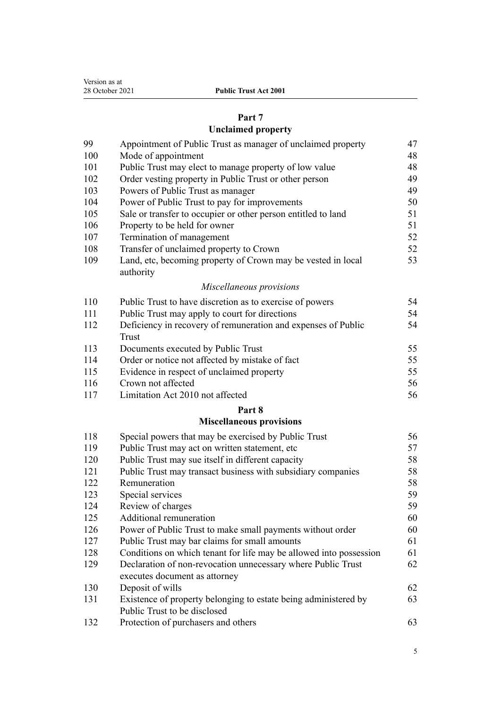| Version as at   |
|-----------------|
| 28 October 2021 |

# **[Part 7](#page-46-0)**

# **[Unclaimed property](#page-46-0)**

| 99         | Appointment of Public Trust as manager of unclaimed property              | 47       |
|------------|---------------------------------------------------------------------------|----------|
| 100        | Mode of appointment                                                       | 48       |
| 101        | Public Trust may elect to manage property of low value                    | 48       |
| 102        | Order vesting property in Public Trust or other person                    | 49       |
| 103        | Powers of Public Trust as manager                                         | 49       |
| 104        | Power of Public Trust to pay for improvements                             | 50       |
| 105        | Sale or transfer to occupier or other person entitled to land             | 51       |
| 106        | Property to be held for owner                                             | 51       |
| 107        | Termination of management                                                 | 52       |
| 108        | Transfer of unclaimed property to Crown                                   | 52       |
| 109        | Land, etc, becoming property of Crown may be vested in local<br>authority | 53       |
|            | Miscellaneous provisions                                                  |          |
| 110        | Public Trust to have discretion as to exercise of powers                  | 54       |
| 111        | Public Trust may apply to court for directions                            | 54       |
| 112        | Deficiency in recovery of remuneration and expenses of Public             | 54       |
|            | Trust                                                                     | 55       |
| 113        | Documents executed by Public Trust                                        |          |
| 114        | Order or notice not affected by mistake of fact                           | 55       |
| 115        | Evidence in respect of unclaimed property<br>Crown not affected           | 55       |
| 116<br>117 | Limitation Act 2010 not affected                                          | 56<br>56 |
|            | Part 8                                                                    |          |
|            | <b>Miscellaneous provisions</b>                                           |          |
| 118        | Special powers that may be exercised by Public Trust                      | 56       |
| 119        | Public Trust may act on written statement, etc                            | 57       |
| 120        | Public Trust may sue itself in different capacity                         | 58       |
| 121        | Public Trust may transact business with subsidiary companies              | 58       |
| 122        | Remuneration                                                              | 58       |
| 123        | Special services                                                          | 59       |
| 124        | Review of charges                                                         | 59       |

[Additional remuneration](#page-59-0) [60](#page-59-0)

| --- |                              |  |  |
|-----|------------------------------|--|--|
| 126 | Power of Public Trust to mal |  |  |

- Row Externall payments without order [60](#page-59-0) [Public Trust may bar claims for small amounts](#page-60-0) [61](#page-60-0) [Conditions on which tenant for life may be allowed into possession](#page-60-0) [61](#page-60-0) [Declaration of non-revocation unnecessary where Public Trust](#page-61-0) [executes document as attorney](#page-61-0)
- [Deposit of wills](#page-61-0) [62](#page-61-0) [Existence of property belonging to estate being administered by](#page-62-0) [Public Trust to be disclosed](#page-62-0)
- [Protection of purchasers and others](#page-62-0) [63](#page-62-0)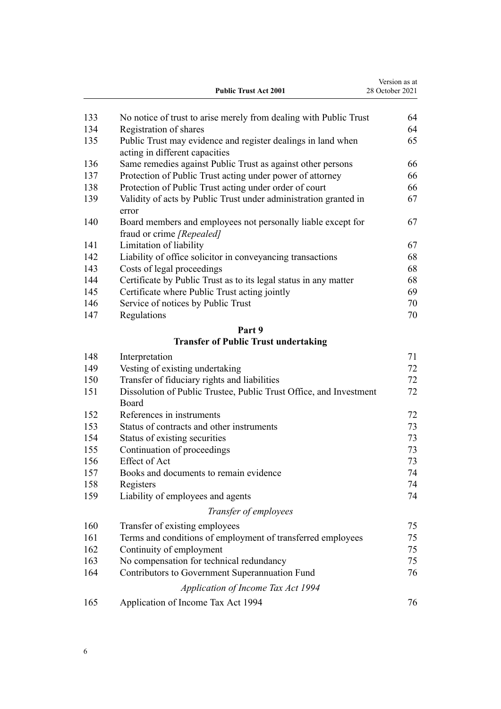|     | <b>Public Trust Act 2001</b>                                                                   | Version as at<br>28 October 2021 |
|-----|------------------------------------------------------------------------------------------------|----------------------------------|
| 133 | No notice of trust to arise merely from dealing with Public Trust                              | 64                               |
| 134 | Registration of shares                                                                         | 64                               |
| 135 | Public Trust may evidence and register dealings in land when<br>acting in different capacities | 65                               |
| 136 | Same remedies against Public Trust as against other persons                                    | 66                               |
| 137 | Protection of Public Trust acting under power of attorney                                      | 66                               |
| 138 | Protection of Public Trust acting under order of court                                         | 66                               |
| 139 | Validity of acts by Public Trust under administration granted in<br>error                      | 67                               |
| 140 | Board members and employees not personally liable except for<br>fraud or crime [Repealed]      | 67                               |
| 141 | Limitation of liability                                                                        | 67                               |
| 142 | Liability of office solicitor in conveyancing transactions                                     | 68                               |
| 143 | Costs of legal proceedings                                                                     | 68                               |
| 144 | Certificate by Public Trust as to its legal status in any matter                               | 68                               |
| 145 | Certificate where Public Trust acting jointly                                                  | 69                               |
| 146 | Service of notices by Public Trust                                                             | 70                               |
| 147 | Regulations                                                                                    | 70                               |
|     | Part 9                                                                                         |                                  |
|     | <b>Transfer of Public Trust undertaking</b>                                                    |                                  |
| 148 | Interpretation                                                                                 | 71                               |
| 149 | Vesting of existing undertaking                                                                | 72                               |
| 150 | Transfer of fiduciary rights and liabilities                                                   | 72                               |
| 151 | Dissolution of Public Trustee, Public Trust Office, and Investment<br>Board                    | 72                               |
| 152 | References in instruments                                                                      | 72                               |
| 153 | Status of contracts and other instruments                                                      | 73                               |
| 154 | Status of existing securities                                                                  | 73                               |
| 155 | Continuation of proceedings                                                                    | 73                               |
| 156 | <b>Effect of Act</b>                                                                           | 73                               |
| 157 | Books and documents to remain evidence                                                         | 74                               |
| 158 | Registers                                                                                      | 74                               |
| 159 | Liability of employees and agents                                                              | 74                               |
|     | Transfer of employees                                                                          |                                  |
| 160 | Transfer of existing employees                                                                 | 75                               |
| 161 | Terms and conditions of employment of transferred employees                                    | 75                               |
| 162 | Continuity of employment                                                                       | 75                               |
| 163 | No compensation for technical redundancy                                                       | 75                               |
| 164 | Contributors to Government Superannuation Fund                                                 | 76                               |
|     | Application of Income Tax Act 1994                                                             |                                  |
| 165 | Application of Income Tax Act 1994                                                             | 76                               |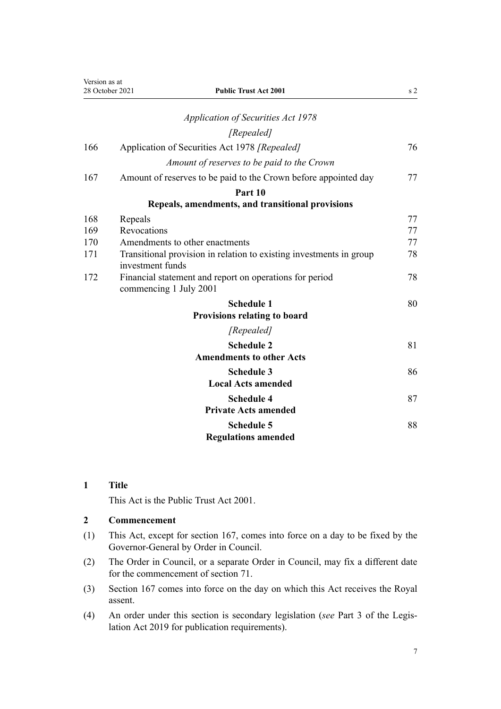<span id="page-6-0"></span>

| Version as at | <b>Public Trust Act 2001</b><br>28 October 2021                                         | s <sub>2</sub> |
|---------------|-----------------------------------------------------------------------------------------|----------------|
|               | <b>Application of Securities Act 1978</b>                                               |                |
|               | [Repealed]                                                                              |                |
| 166           | Application of Securities Act 1978 [Repealed]                                           | 76             |
|               | Amount of reserves to be paid to the Crown                                              |                |
| 167           | Amount of reserves to be paid to the Crown before appointed day                         | 77             |
|               | Part 10                                                                                 |                |
|               | Repeals, amendments, and transitional provisions                                        |                |
| 168           | Repeals                                                                                 | 77             |
| 169           | Revocations                                                                             | 77             |
| 170           | Amendments to other enactments                                                          | 77             |
| 171           | Transitional provision in relation to existing investments in group<br>investment funds | 78             |
| 172           | Financial statement and report on operations for period<br>commencing 1 July 2001       | 78             |
|               | <b>Schedule 1</b>                                                                       | 80             |
|               | <b>Provisions relating to board</b>                                                     |                |
|               | [Repealed]                                                                              |                |
|               | <b>Schedule 2</b>                                                                       | 81             |
|               | <b>Amendments to other Acts</b>                                                         |                |
|               | <b>Schedule 3</b>                                                                       | 86             |
|               | <b>Local Acts amended</b>                                                               |                |
|               | <b>Schedule 4</b>                                                                       | 87             |
|               | <b>Private Acts amended</b>                                                             |                |
|               | <b>Schedule 5</b>                                                                       | 88             |
|               | <b>Regulations amended</b>                                                              |                |

# **1 Title**

This Act is the Public Trust Act 2001.

# **2 Commencement**

- (1) This Act, except for [section 167](#page-76-0), comes into force on a day to be fixed by the Governor-General by Order in Council.
- (2) The Order in Council, or a separate Order in Council, may fix a different date for the commencement of [section 71.](#page-30-0)
- (3) [Section 167](#page-76-0) comes into force on the day on which this Act receives the Royal assent.
- (4) An order under this section is secondary legislation (*see* [Part 3](http://legislation.govt.nz/pdflink.aspx?id=DLM7298343) of the Legis‐ lation Act 2019 for publication requirements).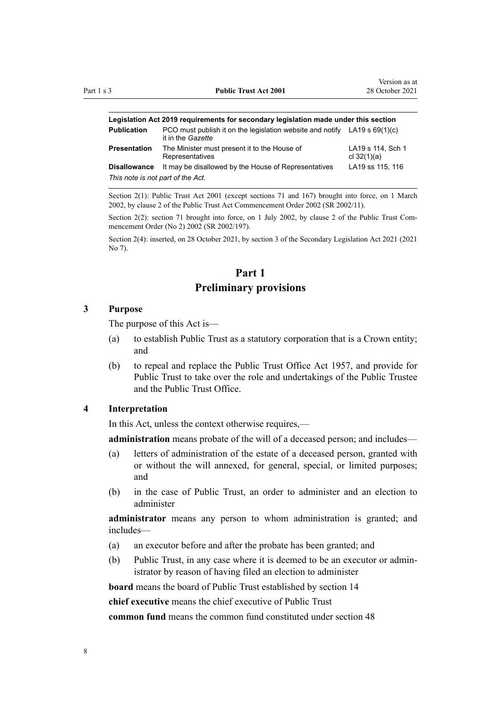<span id="page-7-0"></span>

| Legislation Act 2019 requirements for secondary legislation made under this section |                                                                                                  |                                    |  |
|-------------------------------------------------------------------------------------|--------------------------------------------------------------------------------------------------|------------------------------------|--|
| <b>Publication</b>                                                                  | PCO must publish it on the legislation website and notify LA19 s $69(1)(c)$<br>it in the Gazette |                                    |  |
| Presentation                                                                        | The Minister must present it to the House of<br>Representatives                                  | LA19 s 114, Sch 1<br>cl $32(1)(a)$ |  |
| <b>Disallowance</b>                                                                 | It may be disallowed by the House of Representatives                                             | LA19 ss 115, 116                   |  |
| This note is not part of the Act.                                                   |                                                                                                  |                                    |  |

Section 2(1): Public Trust Act 2001 (except sections 71 and 167) brought into force, on 1 March 2002, by [clause 2](http://legislation.govt.nz/pdflink.aspx?id=DLM109325) of the Public Trust Act Commencement Order 2002 (SR 2002/11).

Section 2(2): section 71 brought into force, on 1 July 2002, by [clause 2](http://legislation.govt.nz/pdflink.aspx?id=DLM135710) of the Public Trust Commencement Order (No 2) 2002 (SR 2002/197).

Section 2(4): inserted, on 28 October 2021, by [section 3](http://legislation.govt.nz/pdflink.aspx?id=LMS268932) of the Secondary Legislation Act 2021 (2021 No 7).

# **Part 1 Preliminary provisions**

## **3 Purpose**

The purpose of this Act is—

- (a) to establish Public Trust as a statutory corporation that is a Crown entity; and
- (b) to repeal and replace the Public Trust Office Act 1957, and provide for Public Trust to take over the role and undertakings of the Public Trustee and the Public Trust Office.

## **4 Interpretation**

In this Act, unless the context otherwise requires,—

**administration** means probate of the will of a deceased person; and includes—

- (a) letters of administration of the estate of a deceased person, granted with or without the will annexed, for general, special, or limited purposes; and
- (b) in the case of Public Trust, an order to administer and an election to administer

**administrator** means any person to whom administration is granted; and includes—

- (a) an executor before and after the probate has been granted; and
- (b) Public Trust, in any case where it is deemed to be an executor or admin‐ istrator by reason of having filed an election to administer

**board** means the board of Public Trust established by [section 14](#page-14-0)

**chief executive** means the chief executive of Public Trust

**common fund** means the common fund constituted under [section 48](#page-21-0)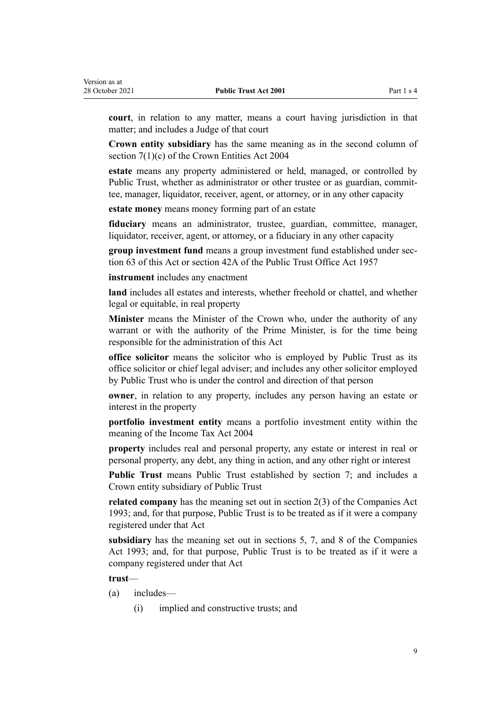**court**, in relation to any matter, means a court having jurisdiction in that matter; and includes a Judge of that court

**Crown entity subsidiary** has the same meaning as in the second column of [section 7\(1\)\(c\)](http://legislation.govt.nz/pdflink.aspx?id=DLM329641) of the Crown Entities Act 2004

**estate** means any property administered or held, managed, or controlled by Public Trust, whether as administrator or other trustee or as guardian, committee, manager, liquidator, receiver, agent, or attorney, or in any other capacity

**estate money** means money forming part of an estate

**fiduciary** means an administrator, trustee, guardian, committee, manager, liquidator, receiver, agent, or attorney, or a fiduciary in any other capacity

**group investment fund** means a group investment fund established under sec[tion 63](#page-28-0) of this Act or section 42A of the Public Trust Office Act 1957

**instrument** includes any enactment

**land** includes all estates and interests, whether freehold or chattel, and whether legal or equitable, in real property

**Minister** means the Minister of the Crown who, under the authority of any warrant or with the authority of the Prime Minister, is for the time being responsible for the administration of this Act

**office solicitor** means the solicitor who is employed by Public Trust as its office solicitor or chief legal adviser; and includes any other solicitor employed by Public Trust who is under the control and direction of that person

**owner**, in relation to any property, includes any person having an estate or interest in the property

**portfolio investment entity** means a portfolio investment entity within the meaning of the Income Tax Act 2004

**property** includes real and personal property, any estate or interest in real or personal property, any debt, any thing in action, and any other right or interest

**Public Trust** means Public Trust established by [section 7;](#page-11-0) and includes a Crown entity subsidiary of Public Trust

**related company** has the meaning set out in [section 2\(3\)](http://legislation.govt.nz/pdflink.aspx?id=DLM319576) of the Companies Act 1993; and, for that purpose, Public Trust is to be treated as if it were a company registered under that Act

**subsidiary** has the meaning set out in [sections 5,](http://legislation.govt.nz/pdflink.aspx?id=DLM319999) [7,](http://legislation.govt.nz/pdflink.aspx?id=DLM320102) and [8](http://legislation.govt.nz/pdflink.aspx?id=DLM320104) of the Companies Act 1993; and, for that purpose, Public Trust is to be treated as if it were a company registered under that Act

**trust**—

- (a) includes—
	- (i) implied and constructive trusts; and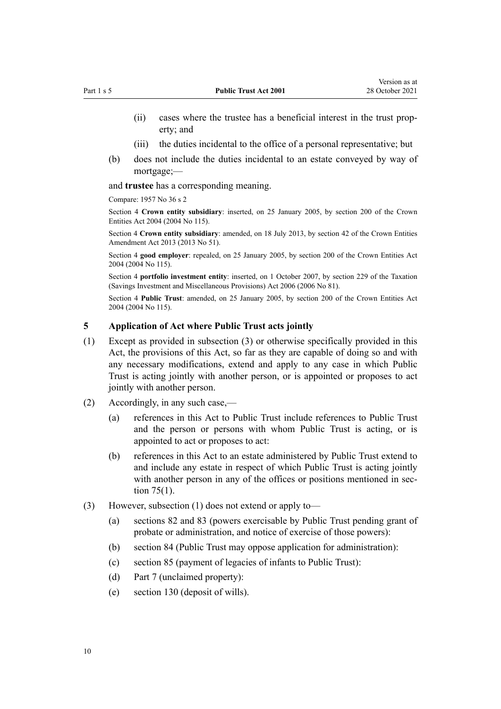- <span id="page-9-0"></span>(ii) cases where the trustee has a beneficial interest in the trust prop‐ erty; and
- (iii) the duties incidental to the office of a personal representative; but
- (b) does not include the duties incidental to an estate conveyed by way of mortgage;—

and **trustee** has a corresponding meaning.

Compare: 1957 No 36 s 2

Section 4 **Crown entity subsidiary**: inserted, on 25 January 2005, by [section 200](http://legislation.govt.nz/pdflink.aspx?id=DLM331111) of the Crown Entities Act 2004 (2004 No 115).

Section 4 **Crown entity subsidiary**: amended, on 18 July 2013, by [section 42](http://legislation.govt.nz/pdflink.aspx?id=DLM5326977) of the Crown Entities Amendment Act 2013 (2013 No 51).

Section 4 **good employer**: repealed, on 25 January 2005, by [section 200](http://legislation.govt.nz/pdflink.aspx?id=DLM331111) of the Crown Entities Act 2004 (2004 No 115).

Section 4 **portfolio investment entity**: inserted, on 1 October 2007, by [section 229](http://legislation.govt.nz/pdflink.aspx?id=DLM401677) of the Taxation (Savings Investment and Miscellaneous Provisions) Act 2006 (2006 No 81).

Section 4 **Public Trust**: amended, on 25 January 2005, by [section 200](http://legislation.govt.nz/pdflink.aspx?id=DLM331111) of the Crown Entities Act 2004 (2004 No 115).

# **5 Application of Act where Public Trust acts jointly**

- (1) Except as provided in subsection (3) or otherwise specifically provided in this Act, the provisions of this Act, so far as they are capable of doing so and with any necessary modifications, extend and apply to any case in which Public Trust is acting jointly with another person, or is appointed or proposes to act jointly with another person.
- (2) Accordingly, in any such case,—
	- (a) references in this Act to Public Trust include references to Public Trust and the person or persons with whom Public Trust is acting, or is appointed to act or proposes to act:
	- (b) references in this Act to an estate administered by Public Trust extend to and include any estate in respect of which Public Trust is acting jointly with another person in any of the offices or positions mentioned in sec[tion 75\(1\).](#page-32-0)
- (3) However, subsection (1) does not extend or apply to—
	- (a) [sections 82](#page-36-0) and [83](#page-37-0) (powers exercisable by Public Trust pending grant of probate or administration, and notice of exercise of those powers):
	- (b) [section 84](#page-38-0) (Public Trust may oppose application for administration):
	- (c) [section 85](#page-38-0) (payment of legacies of infants to Public Trust):
	- (d) [Part 7](#page-46-0) (unclaimed property):
	- (e) [section 130](#page-61-0) (deposit of wills).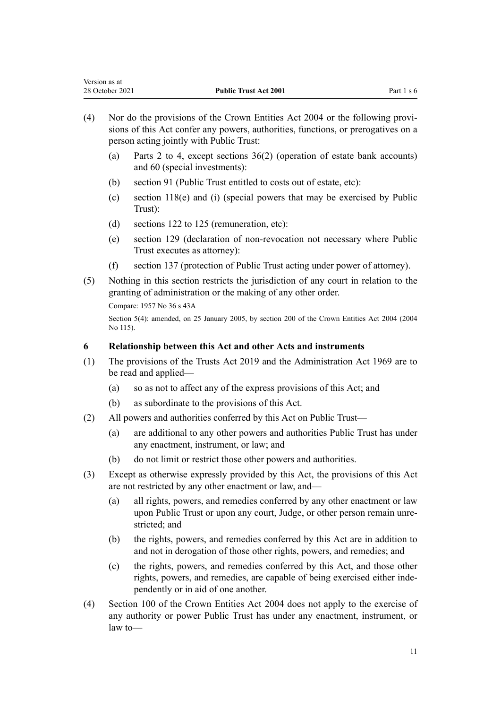- <span id="page-10-0"></span>(4) Nor do the provisions of the [Crown Entities Act 2004](http://legislation.govt.nz/pdflink.aspx?id=DLM329630) or the following provi‐ sions of this Act confer any powers, authorities, functions, or prerogatives on a person acting jointly with Public Trust:
	- (a) [Parts 2 to 4](#page-11-0), except [sections 36\(2\)](#page-18-0) (operation of estate bank accounts) and [60](#page-26-0) (special investments):
	- (b) [section 91](#page-42-0) (Public Trust entitled to costs out of estate, etc):
	- (c) [section 118\(e\) and \(i\)](#page-55-0) (special powers that may be exercised by Public Trust):
	- (d) [sections 122 to 125](#page-57-0) (remuneration, etc):
	- (e) [section 129](#page-61-0) (declaration of non-revocation not necessary where Public Trust executes as attorney):
	- (f) [section 137](#page-65-0) (protection of Public Trust acting under power of attorney).
- (5) Nothing in this section restricts the jurisdiction of any court in relation to the granting of administration or the making of any other order.

```
Compare: 1957 No 36 s 43A
```
Section 5(4): amended, on 25 January 2005, by [section 200](http://legislation.govt.nz/pdflink.aspx?id=DLM331111) of the Crown Entities Act 2004 (2004 No 115).

# **6 Relationship between this Act and other Acts and instruments**

- (1) The provisions of the [Trusts Act 2019](http://legislation.govt.nz/pdflink.aspx?id=DLM7382802) and the [Administration Act 1969](http://legislation.govt.nz/pdflink.aspx?id=DLM392629) are to be read and applied—
	- (a) so as not to affect any of the express provisions of this Act; and
	- (b) as subordinate to the provisions of this Act.
- (2) All powers and authorities conferred by this Act on Public Trust—
	- (a) are additional to any other powers and authorities Public Trust has under any enactment, instrument, or law; and
	- (b) do not limit or restrict those other powers and authorities.
- (3) Except as otherwise expressly provided by this Act, the provisions of this Act are not restricted by any other enactment or law, and—
	- (a) all rights, powers, and remedies conferred by any other enactment or law upon Public Trust or upon any court, Judge, or other person remain unrestricted; and
	- (b) the rights, powers, and remedies conferred by this Act are in addition to and not in derogation of those other rights, powers, and remedies; and
	- (c) the rights, powers, and remedies conferred by this Act, and those other rights, powers, and remedies, are capable of being exercised either inde‐ pendently or in aid of one another.
- (4) [Section 100](http://legislation.govt.nz/pdflink.aspx?id=DLM330345) of the Crown Entities Act 2004 does not apply to the exercise of any authority or power Public Trust has under any enactment, instrument, or law to—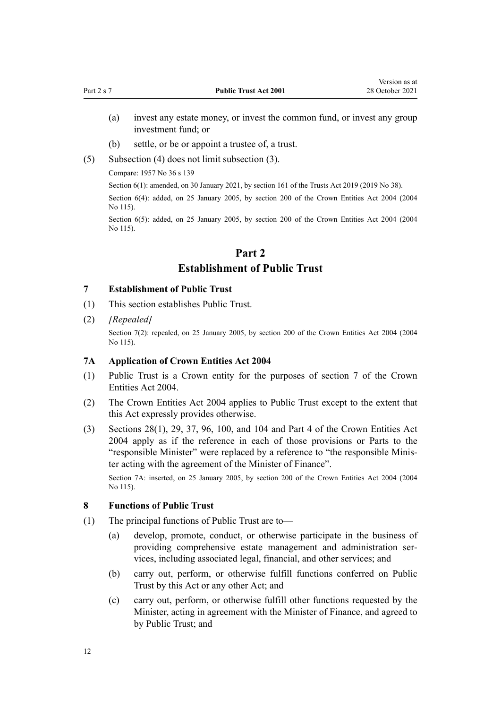- <span id="page-11-0"></span>(a) invest any estate money, or invest the common fund, or invest any group investment fund; or
- (b) settle, or be or appoint a trustee of, a trust.
- (5) Subsection (4) does not limit subsection (3).

Compare: 1957 No 36 s 139

Section 6(1): amended, on 30 January 2021, by [section 161](http://legislation.govt.nz/pdflink.aspx?id=DLM7383110) of the Trusts Act 2019 (2019 No 38).

Section 6(4): added, on 25 January 2005, by [section 200](http://legislation.govt.nz/pdflink.aspx?id=DLM331111) of the Crown Entities Act 2004 (2004 No 115).

Section 6(5): added, on 25 January 2005, by [section 200](http://legislation.govt.nz/pdflink.aspx?id=DLM331111) of the Crown Entities Act 2004 (2004) No 115).

# **Part 2 Establishment of Public Trust**

# **7 Establishment of Public Trust**

- (1) This section establishes Public Trust.
- (2) *[Repealed]*

Section 7(2): repealed, on 25 January 2005, by [section 200](http://legislation.govt.nz/pdflink.aspx?id=DLM331111) of the Crown Entities Act 2004 (2004 No 115).

#### **7A Application of Crown Entities Act 2004**

- (1) Public Trust is a Crown entity for the purposes of [section 7](http://legislation.govt.nz/pdflink.aspx?id=DLM329641) of the Crown Entities Act 2004.
- (2) The [Crown Entities Act 2004](http://legislation.govt.nz/pdflink.aspx?id=DLM329630) applies to Public Trust except to the extent that this Act expressly provides otherwise.
- (3) [Sections 28\(1\),](http://legislation.govt.nz/pdflink.aspx?id=DLM329954) [29,](http://legislation.govt.nz/pdflink.aspx?id=DLM329955) [37,](http://legislation.govt.nz/pdflink.aspx?id=DLM329964) [96](http://legislation.govt.nz/pdflink.aspx?id=DLM330341), [100,](http://legislation.govt.nz/pdflink.aspx?id=DLM330345) and [104](http://legislation.govt.nz/pdflink.aspx?id=DLM330352) and [Part 4](http://legislation.govt.nz/pdflink.aspx?id=DLM330504) of the Crown Entities Act 2004 apply as if the reference in each of those provisions or Parts to the "responsible Minister" were replaced by a reference to "the responsible Minis‐ ter acting with the agreement of the Minister of Finance".

Section 7A: inserted, on 25 January 2005, by [section 200](http://legislation.govt.nz/pdflink.aspx?id=DLM331111) of the Crown Entities Act 2004 (2004 No 115).

#### **8 Functions of Public Trust**

- (1) The principal functions of Public Trust are to—
	- (a) develop, promote, conduct, or otherwise participate in the business of providing comprehensive estate management and administration services, including associated legal, financial, and other services; and
	- (b) carry out, perform, or otherwise fulfill functions conferred on Public Trust by this Act or any other Act; and
	- (c) carry out, perform, or otherwise fulfill other functions requested by the Minister, acting in agreement with the Minister of Finance, and agreed to by Public Trust; and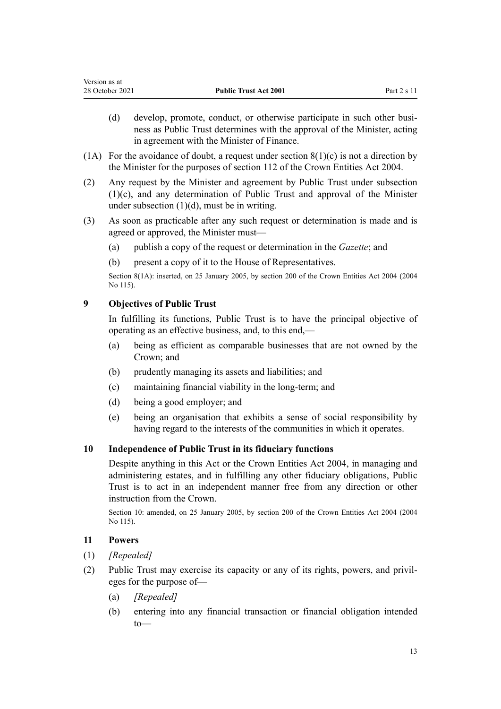- <span id="page-12-0"></span>(d) develop, promote, conduct, or otherwise participate in such other business as Public Trust determines with the approval of the Minister, acting in agreement with the Minister of Finance.
- (1A) For the avoidance of doubt, a request under section  $8(1)(c)$  is not a direction by the Minister for the purposes of [section 112](http://legislation.govt.nz/pdflink.aspx?id=DLM330360) of the Crown Entities Act 2004.
- (2) Any request by the Minister and agreement by Public Trust under subsection (1)(c), and any determination of Public Trust and approval of the Minister under subsection  $(1)(d)$ , must be in writing.
- (3) As soon as practicable after any such request or determination is made and is agreed or approved, the Minister must—
	- (a) publish a copy of the request or determination in the *Gazette*; and
	- (b) present a copy of it to the House of Representatives.

Section 8(1A): inserted, on 25 January 2005, by [section 200](http://legislation.govt.nz/pdflink.aspx?id=DLM331111) of the Crown Entities Act 2004 (2004 No 115).

# **9 Objectives of Public Trust**

In fulfilling its functions, Public Trust is to have the principal objective of operating as an effective business, and, to this end,—

- (a) being as efficient as comparable businesses that are not owned by the Crown; and
- (b) prudently managing its assets and liabilities; and
- (c) maintaining financial viability in the long-term; and
- (d) being a good employer; and
- (e) being an organisation that exhibits a sense of social responsibility by having regard to the interests of the communities in which it operates.

# **10 Independence of Public Trust in its fiduciary functions**

Despite anything in this Act or the [Crown Entities Act 2004,](http://legislation.govt.nz/pdflink.aspx?id=DLM329630) in managing and administering estates, and in fulfilling any other fiduciary obligations, Public Trust is to act in an independent manner free from any direction or other instruction from the Crown.

Section 10: amended, on 25 January 2005, by [section 200](http://legislation.govt.nz/pdflink.aspx?id=DLM331111) of the Crown Entities Act 2004 (2004 No 115).

## **11 Powers**

- (1) *[Repealed]*
- (2) Public Trust may exercise its capacity or any of its rights, powers, and privil‐ eges for the purpose of—
	- (a) *[Repealed]*
	- (b) entering into any financial transaction or financial obligation intended to—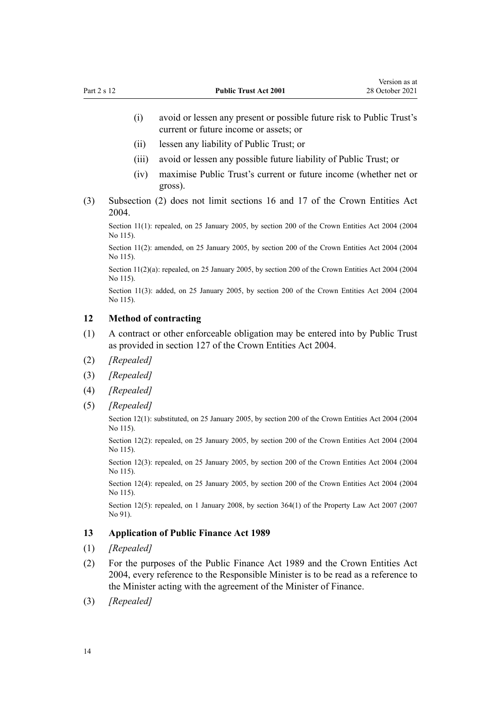- <span id="page-13-0"></span>(i) avoid or lessen any present or possible future risk to Public Trust's current or future income or assets; or
- (ii) lessen any liability of Public Trust; or
- (iii) avoid or lessen any possible future liability of Public Trust; or
- (iv) maximise Public Trust's current or future income (whether net or gross).
- (3) Subsection (2) does not limit [sections 16](http://legislation.govt.nz/pdflink.aspx?id=DLM329930) and [17](http://legislation.govt.nz/pdflink.aspx?id=DLM329931) of the Crown Entities Act 2004.

Section 11(1): repealed, on 25 January 2005, by [section 200](http://legislation.govt.nz/pdflink.aspx?id=DLM331111) of the Crown Entities Act 2004 (2004) No 115).

Section 11(2): amended, on 25 January 2005, by [section 200](http://legislation.govt.nz/pdflink.aspx?id=DLM331111) of the Crown Entities Act 2004 (2004) No 115).

Section 11(2)(a): repealed, on 25 January 2005, by [section 200](http://legislation.govt.nz/pdflink.aspx?id=DLM331111) of the Crown Entities Act 2004 (2004) No 115).

Section 11(3): added, on 25 January 2005, by [section 200](http://legislation.govt.nz/pdflink.aspx?id=DLM331111) of the Crown Entities Act 2004 (2004) No 115).

#### **12 Method of contracting**

- (1) A contract or other enforceable obligation may be entered into by Public Trust as provided in [section 127](http://legislation.govt.nz/pdflink.aspx?id=DLM330394) of the Crown Entities Act 2004.
- (2) *[Repealed]*
- (3) *[Repealed]*
- (4) *[Repealed]*
- (5) *[Repealed]*

Section 12(1): substituted, on 25 January 2005, by [section 200](http://legislation.govt.nz/pdflink.aspx?id=DLM331111) of the Crown Entities Act 2004 (2004 No 115).

Section 12(2): repealed, on 25 January 2005, by [section 200](http://legislation.govt.nz/pdflink.aspx?id=DLM331111) of the Crown Entities Act 2004 (2004 No 115).

Section 12(3): repealed, on 25 January 2005, by [section 200](http://legislation.govt.nz/pdflink.aspx?id=DLM331111) of the Crown Entities Act 2004 (2004 No 115).

Section 12(4): repealed, on 25 January 2005, by [section 200](http://legislation.govt.nz/pdflink.aspx?id=DLM331111) of the Crown Entities Act 2004 (2004 No 115).

Section 12(5): repealed, on 1 January 2008, by [section 364\(1\)](http://legislation.govt.nz/pdflink.aspx?id=DLM969644) of the Property Law Act 2007 (2007) No 91).

## **13 Application of Public Finance Act 1989**

- (1) *[Repealed]*
- (2) For the purposes of the [Public Finance Act 1989](http://legislation.govt.nz/pdflink.aspx?id=DLM160808) and the [Crown Entities Act](http://legislation.govt.nz/pdflink.aspx?id=DLM329630) [2004](http://legislation.govt.nz/pdflink.aspx?id=DLM329630), every reference to the Responsible Minister is to be read as a reference to the Minister acting with the agreement of the Minister of Finance.
- (3) *[Repealed]*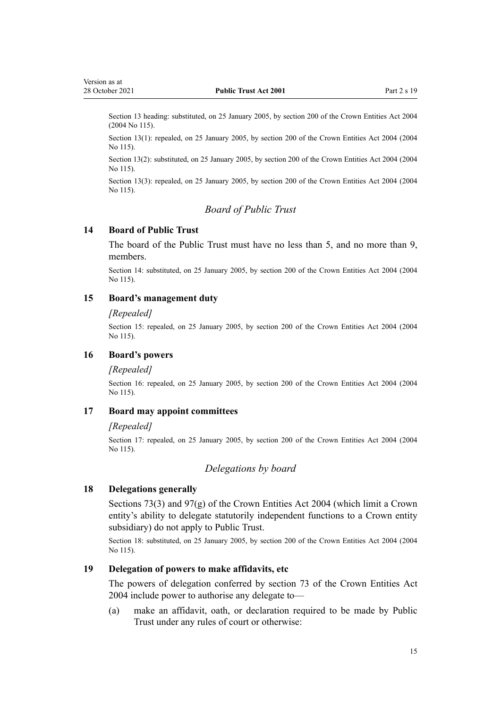<span id="page-14-0"></span>Section 13 heading: substituted, on 25 January 2005, by [section 200](http://legislation.govt.nz/pdflink.aspx?id=DLM331111) of the Crown Entities Act 2004 (2004 No 115).

Section 13(1): repealed, on 25 January 2005, by [section 200](http://legislation.govt.nz/pdflink.aspx?id=DLM331111) of the Crown Entities Act 2004 (2004) No 115).

Section 13(2): substituted, on 25 January 2005, by [section 200](http://legislation.govt.nz/pdflink.aspx?id=DLM331111) of the Crown Entities Act 2004 (2004 No 115).

Section 13(3): repealed, on 25 January 2005, by [section 200](http://legislation.govt.nz/pdflink.aspx?id=DLM331111) of the Crown Entities Act 2004 (2004 No 115).

# *Board of Public Trust*

## **14 Board of Public Trust**

The board of the Public Trust must have no less than 5, and no more than 9, members.

Section 14: substituted, on 25 January 2005, by [section 200](http://legislation.govt.nz/pdflink.aspx?id=DLM331111) of the Crown Entities Act 2004 (2004 No 115).

#### **15 Board's management duty**

#### *[Repealed]*

Section 15: repealed, on 25 January 2005, by [section 200](http://legislation.govt.nz/pdflink.aspx?id=DLM331111) of the Crown Entities Act 2004 (2004 No 115).

# **16 Board's powers**

#### *[Repealed]*

Section 16: repealed, on 25 January 2005, by [section 200](http://legislation.govt.nz/pdflink.aspx?id=DLM331111) of the Crown Entities Act 2004 (2004 No 115).

#### **17 Board may appoint committees**

#### *[Repealed]*

Section 17: repealed, on 25 January 2005, by [section 200](http://legislation.govt.nz/pdflink.aspx?id=DLM331111) of the Crown Entities Act 2004 (2004 No 115).

#### *Delegations by board*

#### **18 Delegations generally**

[Sections 73\(3\)](http://legislation.govt.nz/pdflink.aspx?id=DLM330308) and [97\(g\)](http://legislation.govt.nz/pdflink.aspx?id=DLM330342) of the Crown Entities Act 2004 (which limit a Crown entity's ability to delegate statutorily independent functions to a Crown entity subsidiary) do not apply to Public Trust.

Section 18: substituted, on 25 January 2005, by [section 200](http://legislation.govt.nz/pdflink.aspx?id=DLM331111) of the Crown Entities Act 2004 (2004 No 115).

# **19 Delegation of powers to make affidavits, etc**

The powers of delegation conferred by [section 73](http://legislation.govt.nz/pdflink.aspx?id=DLM330308) of the Crown Entities Act 2004 include power to authorise any delegate to—

(a) make an affidavit, oath, or declaration required to be made by Public Trust under any rules of court or otherwise: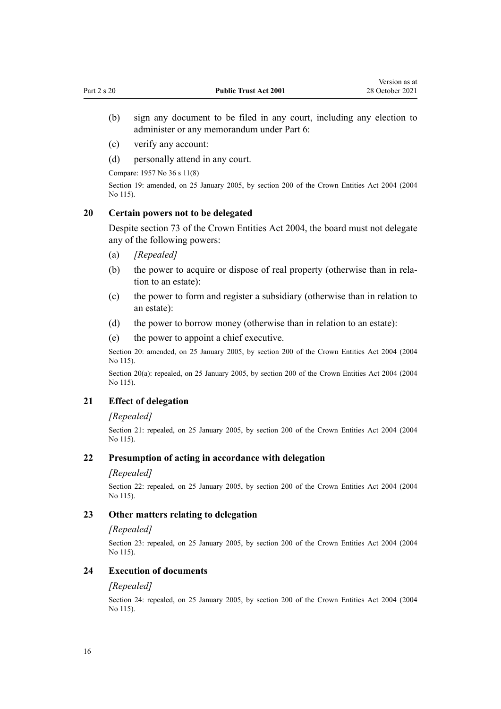- <span id="page-15-0"></span>(b) sign any document to be filed in any court, including any election to administer or any memorandum under [Part 6:](#page-43-0)
- (c) verify any account:
- (d) personally attend in any court.

Compare: 1957 No 36 s 11(8)

Section 19: amended, on 25 January 2005, by [section 200](http://legislation.govt.nz/pdflink.aspx?id=DLM331111) of the Crown Entities Act 2004 (2004 No 115).

## **20 Certain powers not to be delegated**

Despite [section 73](http://legislation.govt.nz/pdflink.aspx?id=DLM330308) of the Crown Entities Act 2004, the board must not delegate any of the following powers:

- (a) *[Repealed]*
- (b) the power to acquire or dispose of real property (otherwise than in relation to an estate):
- (c) the power to form and register a subsidiary (otherwise than in relation to an estate):
- (d) the power to borrow money (otherwise than in relation to an estate):
- (e) the power to appoint a chief executive.

Section 20: amended, on 25 January 2005, by [section 200](http://legislation.govt.nz/pdflink.aspx?id=DLM331111) of the Crown Entities Act 2004 (2004 No 115).

Section 20(a): repealed, on 25 January 2005, by [section 200](http://legislation.govt.nz/pdflink.aspx?id=DLM331111) of the Crown Entities Act 2004 (2004) No 115).

# **21 Effect of delegation**

#### *[Repealed]*

Section 21: repealed, on 25 January 2005, by [section 200](http://legislation.govt.nz/pdflink.aspx?id=DLM331111) of the Crown Entities Act 2004 (2004 No 115).

#### **22 Presumption of acting in accordance with delegation**

#### *[Repealed]*

Section 22: repealed, on 25 January 2005, by [section 200](http://legislation.govt.nz/pdflink.aspx?id=DLM331111) of the Crown Entities Act 2004 (2004) No 115).

## **23 Other matters relating to delegation**

#### *[Repealed]*

Section 23: repealed, on 25 January 2005, by [section 200](http://legislation.govt.nz/pdflink.aspx?id=DLM331111) of the Crown Entities Act 2004 (2004 No 115).

## **24 Execution of documents**

#### *[Repealed]*

Section 24: repealed, on 25 January 2005, by [section 200](http://legislation.govt.nz/pdflink.aspx?id=DLM331111) of the Crown Entities Act 2004 (2004 No 115).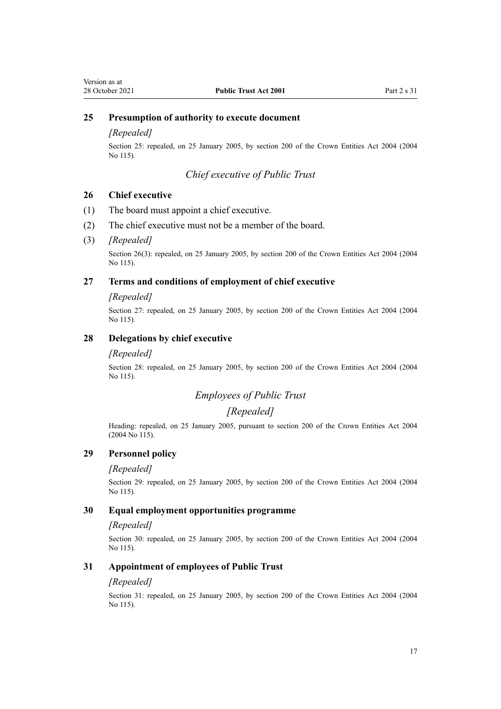# <span id="page-16-0"></span>**25 Presumption of authority to execute document**

## *[Repealed]*

Section 25: repealed, on 25 January 2005, by [section 200](http://legislation.govt.nz/pdflink.aspx?id=DLM331111) of the Crown Entities Act 2004 (2004 No 115).

#### *Chief executive of Public Trust*

#### **26 Chief executive**

- (1) The board must appoint a chief executive.
- (2) The chief executive must not be a member of the board.

#### (3) *[Repealed]*

Section 26(3): repealed, on 25 January 2005, by [section 200](http://legislation.govt.nz/pdflink.aspx?id=DLM331111) of the Crown Entities Act 2004 (2004 No 115).

#### **27 Terms and conditions of employment of chief executive**

#### *[Repealed]*

Section 27: repealed, on 25 January 2005, by [section 200](http://legislation.govt.nz/pdflink.aspx?id=DLM331111) of the Crown Entities Act 2004 (2004 No 115).

## **28 Delegations by chief executive**

#### *[Repealed]*

Section 28: repealed, on 25 January 2005, by [section 200](http://legislation.govt.nz/pdflink.aspx?id=DLM331111) of the Crown Entities Act 2004 (2004 No 115).

# *Employees of Public Trust*

#### *[Repealed]*

Heading: repealed, on 25 January 2005, pursuant to [section 200](http://legislation.govt.nz/pdflink.aspx?id=DLM331111) of the Crown Entities Act 2004 (2004 No 115).

## **29 Personnel policy**

#### *[Repealed]*

Section 29: repealed, on 25 January 2005, by [section 200](http://legislation.govt.nz/pdflink.aspx?id=DLM331111) of the Crown Entities Act 2004 (2004 No 115).

#### **30 Equal employment opportunities programme**

#### *[Repealed]*

Section 30: repealed, on 25 January 2005, by [section 200](http://legislation.govt.nz/pdflink.aspx?id=DLM331111) of the Crown Entities Act 2004 (2004 No 115).

## **31 Appointment of employees of Public Trust**

#### *[Repealed]*

Section 31: repealed, on 25 January 2005, by [section 200](http://legislation.govt.nz/pdflink.aspx?id=DLM331111) of the Crown Entities Act 2004 (2004 No 115).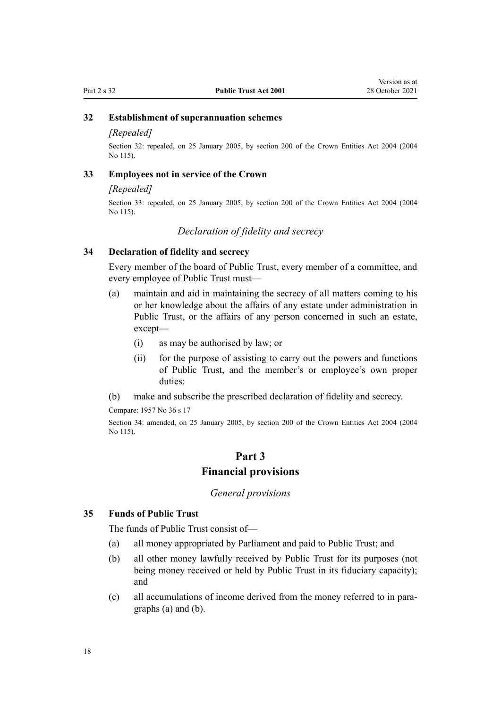# <span id="page-17-0"></span>**32 Establishment of superannuation schemes**

#### *[Repealed]*

Section 32: repealed, on 25 January 2005, by [section 200](http://legislation.govt.nz/pdflink.aspx?id=DLM331111) of the Crown Entities Act 2004 (2004 No 115).

## **33 Employees not in service of the Crown**

#### *[Repealed]*

Section 33: repealed, on 25 January 2005, by [section 200](http://legislation.govt.nz/pdflink.aspx?id=DLM331111) of the Crown Entities Act 2004 (2004 No 115).

#### *Declaration of fidelity and secrecy*

## **34 Declaration of fidelity and secrecy**

Every member of the board of Public Trust, every member of a committee, and every employee of Public Trust must—

- (a) maintain and aid in maintaining the secrecy of all matters coming to his or her knowledge about the affairs of any estate under administration in Public Trust, or the affairs of any person concerned in such an estate, except—
	- (i) as may be authorised by law; or
	- (ii) for the purpose of assisting to carry out the powers and functions of Public Trust, and the member's or employee's own proper duties:
- (b) make and subscribe the prescribed declaration of fidelity and secrecy.

Compare: 1957 No 36 s 17

Section 34: amended, on 25 January 2005, by [section 200](http://legislation.govt.nz/pdflink.aspx?id=DLM331111) of the Crown Entities Act 2004 (2004 No 115).

# **Part 3 Financial provisions**

# *General provisions*

#### **35 Funds of Public Trust**

The funds of Public Trust consist of—

- (a) all money appropriated by Parliament and paid to Public Trust; and
- (b) all other money lawfully received by Public Trust for its purposes (not being money received or held by Public Trust in its fiduciary capacity); and
- (c) all accumulations of income derived from the money referred to in para‐ graphs (a) and (b).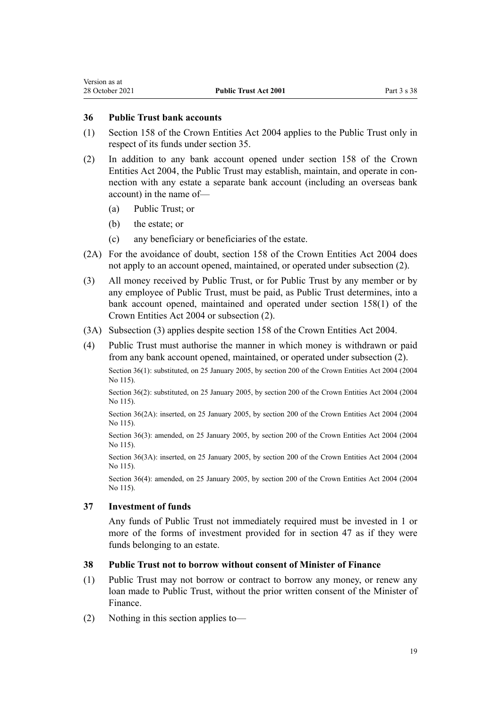<span id="page-18-0"></span>Version as at

# **36 Public Trust bank accounts**

- (1) [Section 158](http://legislation.govt.nz/pdflink.aspx?id=DLM330562) of the Crown Entities Act 2004 applies to the Public Trust only in respect of its funds under [section 35](#page-17-0).
- (2) In addition to any bank account opened under [section 158](http://legislation.govt.nz/pdflink.aspx?id=DLM330562) of the Crown Entities Act 2004, the Public Trust may establish, maintain, and operate in con‐ nection with any estate a separate bank account (including an overseas bank account) in the name of—
	- (a) Public Trust; or
	- (b) the estate; or
	- (c) any beneficiary or beneficiaries of the estate.
- (2A) For the avoidance of doubt, [section 158](http://legislation.govt.nz/pdflink.aspx?id=DLM330562) of the Crown Entities Act 2004 does not apply to an account opened, maintained, or operated under subsection (2).
- (3) All money received by Public Trust, or for Public Trust by any member or by any employee of Public Trust, must be paid, as Public Trust determines, into a bank account opened, maintained and operated under [section 158\(1\)](http://legislation.govt.nz/pdflink.aspx?id=DLM330562) of the Crown Entities Act 2004 or subsection (2).
- (3A) Subsection (3) applies despite [section 158](http://legislation.govt.nz/pdflink.aspx?id=DLM330562) of the Crown Entities Act 2004.
- (4) Public Trust must authorise the manner in which money is withdrawn or paid from any bank account opened, maintained, or operated under subsection (2).

Section 36(1): substituted, on 25 January 2005, by [section 200](http://legislation.govt.nz/pdflink.aspx?id=DLM331111) of the Crown Entities Act 2004 (2004 No 115).

Section 36(2): substituted, on 25 January 2005, by [section 200](http://legislation.govt.nz/pdflink.aspx?id=DLM331111) of the Crown Entities Act 2004 (2004 No 115).

Section 36(2A): inserted, on 25 January 2005, by [section 200](http://legislation.govt.nz/pdflink.aspx?id=DLM331111) of the Crown Entities Act 2004 (2004 No 115).

Section 36(3): amended, on 25 January 2005, by [section 200](http://legislation.govt.nz/pdflink.aspx?id=DLM331111) of the Crown Entities Act 2004 (2004 No 115).

Section 36(3A): inserted, on 25 January 2005, by [section 200](http://legislation.govt.nz/pdflink.aspx?id=DLM331111) of the Crown Entities Act 2004 (2004) No 115).

Section 36(4): amended, on 25 January 2005, by [section 200](http://legislation.govt.nz/pdflink.aspx?id=DLM331111) of the Crown Entities Act 2004 (2004 No 115).

## **37 Investment of funds**

Any funds of Public Trust not immediately required must be invested in 1 or more of the forms of investment provided for in [section 47](#page-20-0) as if they were funds belonging to an estate.

## **38 Public Trust not to borrow without consent of Minister of Finance**

- (1) Public Trust may not borrow or contract to borrow any money, or renew any loan made to Public Trust, without the prior written consent of the Minister of Finance.
- (2) Nothing in this section applies to—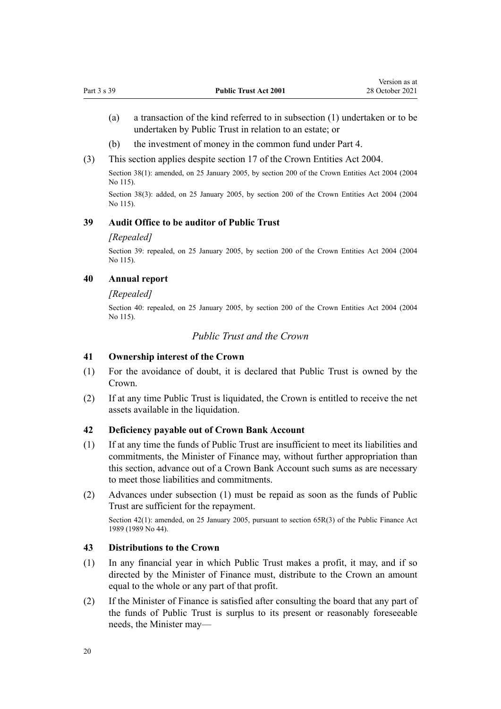- <span id="page-19-0"></span>(a) a transaction of the kind referred to in subsection (1) undertaken or to be undertaken by Public Trust in relation to an estate; or
- (b) the investment of money in the common fund under [Part 4](#page-20-0).
- (3) This section applies despite [section 17](http://legislation.govt.nz/pdflink.aspx?id=DLM329931) of the Crown Entities Act 2004.

Section 38(1): amended, on 25 January 2005, by [section 200](http://legislation.govt.nz/pdflink.aspx?id=DLM331111) of the Crown Entities Act 2004 (2004 No 115).

Section 38(3): added, on 25 January 2005, by [section 200](http://legislation.govt.nz/pdflink.aspx?id=DLM331111) of the Crown Entities Act 2004 (2004 No 115).

#### **39 Audit Office to be auditor of Public Trust**

#### *[Repealed]*

Section 39: repealed, on 25 January 2005, by [section 200](http://legislation.govt.nz/pdflink.aspx?id=DLM331111) of the Crown Entities Act 2004 (2004 No 115).

#### **40 Annual report**

#### *[Repealed]*

Section 40: repealed, on 25 January 2005, by [section 200](http://legislation.govt.nz/pdflink.aspx?id=DLM331111) of the Crown Entities Act 2004 (2004 No 115).

# *Public Trust and the Crown*

#### **41 Ownership interest of the Crown**

- (1) For the avoidance of doubt, it is declared that Public Trust is owned by the Crown.
- (2) If at any time Public Trust is liquidated, the Crown is entitled to receive the net assets available in the liquidation.

#### **42 Deficiency payable out of Crown Bank Account**

- (1) If at any time the funds of Public Trust are insufficient to meet its liabilities and commitments, the Minister of Finance may, without further appropriation than this section, advance out of a Crown Bank Account such sums as are necessary to meet those liabilities and commitments.
- (2) Advances under subsection (1) must be repaid as soon as the funds of Public Trust are sufficient for the repayment.

Section 42(1): amended, on 25 January 2005, pursuant to [section 65R\(3\)](http://legislation.govt.nz/pdflink.aspx?id=DLM162942) of the Public Finance Act 1989 (1989 No 44).

#### **43 Distributions to the Crown**

- (1) In any financial year in which Public Trust makes a profit, it may, and if so directed by the Minister of Finance must, distribute to the Crown an amount equal to the whole or any part of that profit.
- (2) If the Minister of Finance is satisfied after consulting the board that any part of the funds of Public Trust is surplus to its present or reasonably foreseeable needs, the Minister may—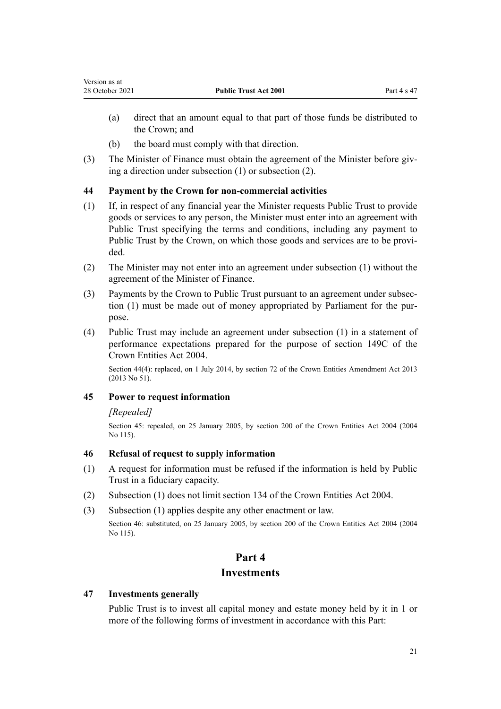- <span id="page-20-0"></span>(a) direct that an amount equal to that part of those funds be distributed to the Crown; and
- (b) the board must comply with that direction.
- (3) The Minister of Finance must obtain the agreement of the Minister before giving a direction under subsection (1) or subsection (2).

# **44 Payment by the Crown for non-commercial activities**

- (1) If, in respect of any financial year the Minister requests Public Trust to provide goods or services to any person, the Minister must enter into an agreement with Public Trust specifying the terms and conditions, including any payment to Public Trust by the Crown, on which those goods and services are to be provided.
- (2) The Minister may not enter into an agreement under subsection (1) without the agreement of the Minister of Finance.
- (3) Payments by the Crown to Public Trust pursuant to an agreement under subsec‐ tion (1) must be made out of money appropriated by Parliament for the purpose.
- (4) Public Trust may include an agreement under subsection (1) in a statement of performance expectations prepared for the purpose of [section 149C](http://legislation.govt.nz/pdflink.aspx?id=DLM6176675) of the Crown Entities Act 2004.

Section 44(4): replaced, on 1 July 2014, by [section 72](http://legislation.govt.nz/pdflink.aspx?id=DLM5327162) of the Crown Entities Amendment Act 2013 (2013 No 51).

## **45 Power to request information**

## *[Repealed]*

Section 45: repealed, on 25 January 2005, by [section 200](http://legislation.govt.nz/pdflink.aspx?id=DLM331111) of the Crown Entities Act 2004 (2004 No 115).

## **46 Refusal of request to supply information**

- (1) A request for information must be refused if the information is held by Public Trust in a fiduciary capacity.
- (2) Subsection (1) does not limit [section 134](http://legislation.govt.nz/pdflink.aspx?id=DLM330502) of the Crown Entities Act 2004.
- (3) Subsection (1) applies despite any other enactment or law.

Section 46: substituted, on 25 January 2005, by [section 200](http://legislation.govt.nz/pdflink.aspx?id=DLM331111) of the Crown Entities Act 2004 (2004 No 115).

# **Part 4 Investments**

## **47 Investments generally**

Public Trust is to invest all capital money and estate money held by it in 1 or more of the following forms of investment in accordance with this Part: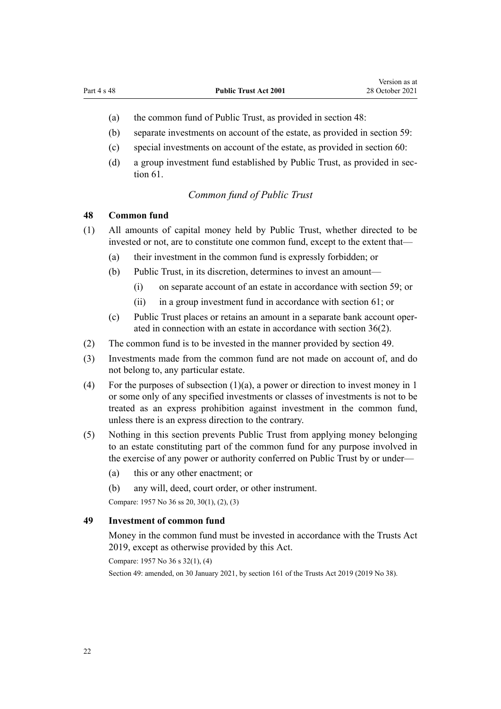- <span id="page-21-0"></span>(a) the common fund of Public Trust, as provided in section 48:
- (b) separate investments on account of the estate, as provided in [section 59:](#page-25-0)
- (c) special investments on account of the estate, as provided in [section 60](#page-26-0):
- (d) a group investment fund established by Public Trust, as provided in sec[tion 61](#page-26-0).

# *Common fund of Public Trust*

#### **48 Common fund**

- (1) All amounts of capital money held by Public Trust, whether directed to be invested or not, are to constitute one common fund, except to the extent that—
	- (a) their investment in the common fund is expressly forbidden; or
	- (b) Public Trust, in its discretion, determines to invest an amount—
		- (i) on separate account of an estate in accordance with [section 59;](#page-25-0) or
		- (ii) in a group investment fund in accordance with [section 61;](#page-26-0) or
	- (c) Public Trust places or retains an amount in a separate bank account oper‐ ated in connection with an estate in accordance with [section 36\(2\).](#page-18-0)
- (2) The common fund is to be invested in the manner provided by section 49.
- (3) Investments made from the common fund are not made on account of, and do not belong to, any particular estate.
- (4) For the purposes of subsection (1)(a), a power or direction to invest money in 1 or some only of any specified investments or classes of investments is not to be treated as an express prohibition against investment in the common fund, unless there is an express direction to the contrary.
- (5) Nothing in this section prevents Public Trust from applying money belonging to an estate constituting part of the common fund for any purpose involved in the exercise of any power or authority conferred on Public Trust by or under—
	- (a) this or any other enactment; or
	- (b) any will, deed, court order, or other instrument.

Compare: 1957 No 36 ss 20, 30(1), (2), (3)

# **49 Investment of common fund**

Money in the common fund must be invested in accordance with the [Trusts Act](http://legislation.govt.nz/pdflink.aspx?id=DLM7382802) [2019](http://legislation.govt.nz/pdflink.aspx?id=DLM7382802), except as otherwise provided by this Act.

Compare: 1957 No 36 s 32(1), (4)

Section 49: amended, on 30 January 2021, by [section 161](http://legislation.govt.nz/pdflink.aspx?id=DLM7383110) of the Trusts Act 2019 (2019 No 38).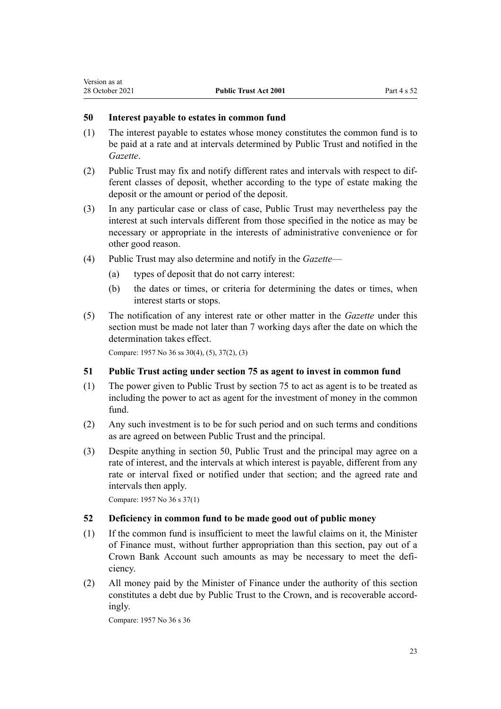## <span id="page-22-0"></span>**50 Interest payable to estates in common fund**

- (1) The interest payable to estates whose money constitutes the common fund is to be paid at a rate and at intervals determined by Public Trust and notified in the *Gazette*.
- (2) Public Trust may fix and notify different rates and intervals with respect to dif‐ ferent classes of deposit, whether according to the type of estate making the deposit or the amount or period of the deposit.
- (3) In any particular case or class of case, Public Trust may nevertheless pay the interest at such intervals different from those specified in the notice as may be necessary or appropriate in the interests of administrative convenience or for other good reason.
- (4) Public Trust may also determine and notify in the *Gazette*
	- (a) types of deposit that do not carry interest:
	- (b) the dates or times, or criteria for determining the dates or times, when interest starts or stops.
- (5) The notification of any interest rate or other matter in the *Gazette* under this section must be made not later than 7 working days after the date on which the determination takes effect.

Compare: 1957 No 36 ss 30(4), (5), 37(2), (3)

## **51 Public Trust acting under section 75 as agent to invest in common fund**

- (1) The power given to Public Trust by [section 75](#page-32-0) to act as agent is to be treated as including the power to act as agent for the investment of money in the common fund.
- (2) Any such investment is to be for such period and on such terms and conditions as are agreed on between Public Trust and the principal.
- (3) Despite anything in section 50, Public Trust and the principal may agree on a rate of interest, and the intervals at which interest is payable, different from any rate or interval fixed or notified under that section; and the agreed rate and intervals then apply.

Compare: 1957 No 36 s 37(1)

## **52 Deficiency in common fund to be made good out of public money**

- (1) If the common fund is insufficient to meet the lawful claims on it, the Minister of Finance must, without further appropriation than this section, pay out of a Crown Bank Account such amounts as may be necessary to meet the defi‐ ciency.
- (2) All money paid by the Minister of Finance under the authority of this section constitutes a debt due by Public Trust to the Crown, and is recoverable accord‐ ingly.

Compare: 1957 No 36 s 36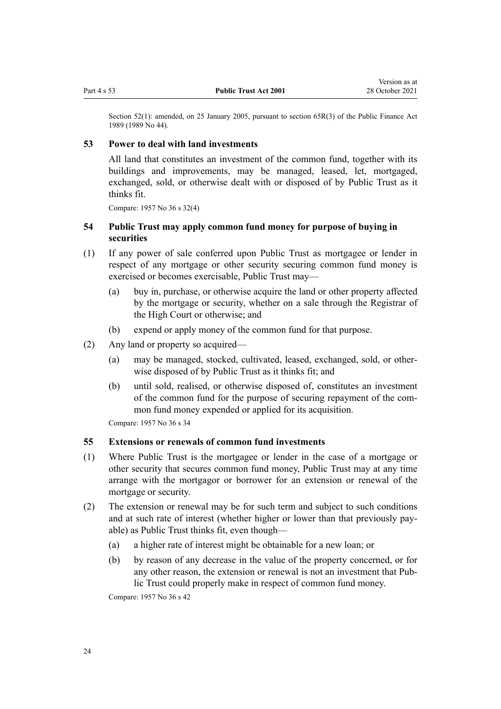<span id="page-23-0"></span>Section 52(1): amended, on 25 January 2005, pursuant to [section 65R\(3\)](http://legislation.govt.nz/pdflink.aspx?id=DLM162942) of the Public Finance Act 1989 (1989 No 44).

## **53 Power to deal with land investments**

All land that constitutes an investment of the common fund, together with its buildings and improvements, may be managed, leased, let, mortgaged, exchanged, sold, or otherwise dealt with or disposed of by Public Trust as it thinks fit.

Compare: 1957 No 36 s 32(4)

# **54 Public Trust may apply common fund money for purpose of buying in securities**

- (1) If any power of sale conferred upon Public Trust as mortgagee or lender in respect of any mortgage or other security securing common fund money is exercised or becomes exercisable, Public Trust may—
	- (a) buy in, purchase, or otherwise acquire the land or other property affected by the mortgage or security, whether on a sale through the Registrar of the High Court or otherwise; and
	- (b) expend or apply money of the common fund for that purpose.
- (2) Any land or property so acquired—
	- (a) may be managed, stocked, cultivated, leased, exchanged, sold, or other‐ wise disposed of by Public Trust as it thinks fit; and
	- (b) until sold, realised, or otherwise disposed of, constitutes an investment of the common fund for the purpose of securing repayment of the com‐ mon fund money expended or applied for its acquisition.

Compare: 1957 No 36 s 34

## **55 Extensions or renewals of common fund investments**

- (1) Where Public Trust is the mortgagee or lender in the case of a mortgage or other security that secures common fund money, Public Trust may at any time arrange with the mortgagor or borrower for an extension or renewal of the mortgage or security.
- (2) The extension or renewal may be for such term and subject to such conditions and at such rate of interest (whether higher or lower than that previously pay‐ able) as Public Trust thinks fit, even though—
	- (a) a higher rate of interest might be obtainable for a new loan; or
	- (b) by reason of any decrease in the value of the property concerned, or for any other reason, the extension or renewal is not an investment that Public Trust could properly make in respect of common fund money.

Compare: 1957 No 36 s 42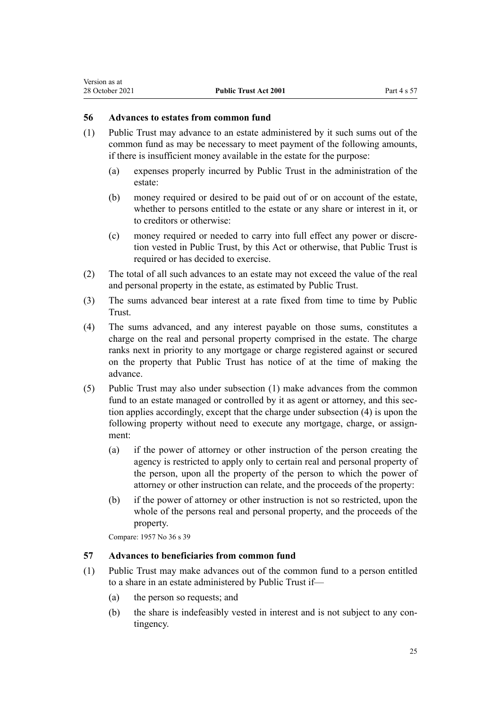## <span id="page-24-0"></span>**56 Advances to estates from common fund**

- (1) Public Trust may advance to an estate administered by it such sums out of the common fund as may be necessary to meet payment of the following amounts, if there is insufficient money available in the estate for the purpose:
	- (a) expenses properly incurred by Public Trust in the administration of the estate:
	- (b) money required or desired to be paid out of or on account of the estate, whether to persons entitled to the estate or any share or interest in it, or to creditors or otherwise:
	- (c) money required or needed to carry into full effect any power or discre‐ tion vested in Public Trust, by this Act or otherwise, that Public Trust is required or has decided to exercise.
- (2) The total of all such advances to an estate may not exceed the value of the real and personal property in the estate, as estimated by Public Trust.
- (3) The sums advanced bear interest at a rate fixed from time to time by Public Trust.
- (4) The sums advanced, and any interest payable on those sums, constitutes a charge on the real and personal property comprised in the estate. The charge ranks next in priority to any mortgage or charge registered against or secured on the property that Public Trust has notice of at the time of making the advance.
- (5) Public Trust may also under subsection (1) make advances from the common fund to an estate managed or controlled by it as agent or attorney, and this section applies accordingly, except that the charge under subsection (4) is upon the following property without need to execute any mortgage, charge, or assignment:
	- (a) if the power of attorney or other instruction of the person creating the agency is restricted to apply only to certain real and personal property of the person, upon all the property of the person to which the power of attorney or other instruction can relate, and the proceeds of the property:
	- (b) if the power of attorney or other instruction is not so restricted, upon the whole of the persons real and personal property, and the proceeds of the property.

Compare: 1957 No 36 s 39

## **57 Advances to beneficiaries from common fund**

- (1) Public Trust may make advances out of the common fund to a person entitled to a share in an estate administered by Public Trust if—
	- (a) the person so requests; and
	- (b) the share is indefeasibly vested in interest and is not subject to any contingency.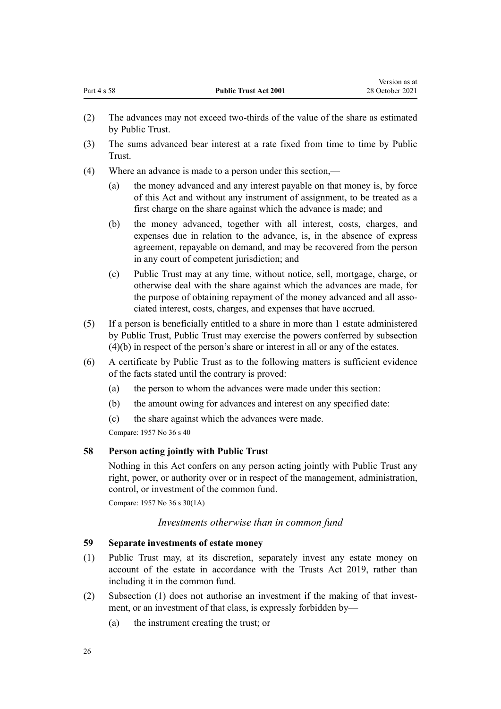Version as at

- <span id="page-25-0"></span>(2) The advances may not exceed two-thirds of the value of the share as estimated by Public Trust.
- (3) The sums advanced bear interest at a rate fixed from time to time by Public Trust.
- (4) Where an advance is made to a person under this section,—
	- (a) the money advanced and any interest payable on that money is, by force of this Act and without any instrument of assignment, to be treated as a first charge on the share against which the advance is made; and
	- (b) the money advanced, together with all interest, costs, charges, and expenses due in relation to the advance, is, in the absence of express agreement, repayable on demand, and may be recovered from the person in any court of competent jurisdiction; and
	- (c) Public Trust may at any time, without notice, sell, mortgage, charge, or otherwise deal with the share against which the advances are made, for the purpose of obtaining repayment of the money advanced and all associated interest, costs, charges, and expenses that have accrued.
- (5) If a person is beneficially entitled to a share in more than 1 estate administered by Public Trust, Public Trust may exercise the powers conferred by subsection (4)(b) in respect of the person's share or interest in all or any of the estates.
- (6) A certificate by Public Trust as to the following matters is sufficient evidence of the facts stated until the contrary is proved:
	- (a) the person to whom the advances were made under this section:
	- (b) the amount owing for advances and interest on any specified date:
	- (c) the share against which the advances were made.

Compare: 1957 No 36 s 40

# **58 Person acting jointly with Public Trust**

Nothing in this Act confers on any person acting jointly with Public Trust any right, power, or authority over or in respect of the management, administration, control, or investment of the common fund.

Compare: 1957 No 36 s 30(1A)

## *Investments otherwise than in common fund*

# **59 Separate investments of estate money**

- (1) Public Trust may, at its discretion, separately invest any estate money on account of the estate in accordance with the [Trusts Act 2019](http://legislation.govt.nz/pdflink.aspx?id=DLM7382802), rather than including it in the common fund.
- (2) Subsection (1) does not authorise an investment if the making of that investment, or an investment of that class, is expressly forbidden by—
	- (a) the instrument creating the trust; or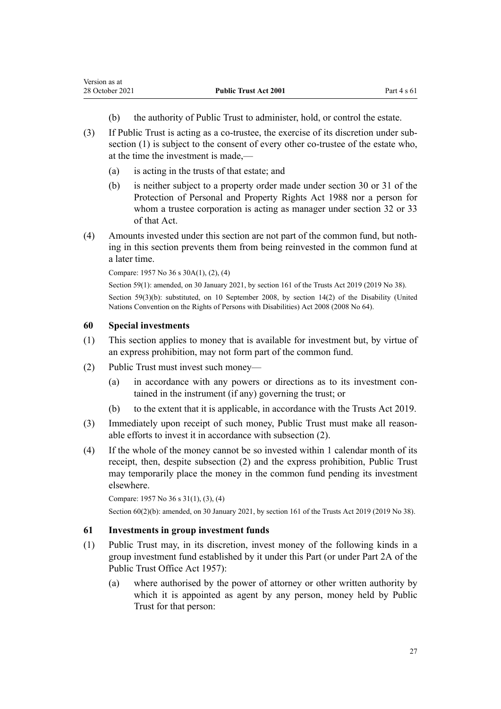<span id="page-26-0"></span>Version as at

- (b) the authority of Public Trust to administer, hold, or control the estate.
- (3) If Public Trust is acting as a co-trustee, the exercise of its discretion under sub‐ section (1) is subject to the consent of every other co-trustee of the estate who, at the time the investment is made,—
	- (a) is acting in the trusts of that estate; and
	- (b) is neither subject to a property order made under [section 30](http://legislation.govt.nz/pdflink.aspx?id=DLM127009) or [31](http://legislation.govt.nz/pdflink.aspx?id=DLM127010) of the Protection of Personal and Property Rights Act 1988 nor a person for whom a trustee corporation is acting as manager under [section 32](http://legislation.govt.nz/pdflink.aspx?id=DLM127016) or [33](http://legislation.govt.nz/pdflink.aspx?id=DLM127020) of that Act.
- (4) Amounts invested under this section are not part of the common fund, but noth‐ ing in this section prevents them from being reinvested in the common fund at a later time.

Compare: 1957 No 36 s 30A(1), (2), (4)

Section 59(1): amended, on 30 January 2021, by [section 161](http://legislation.govt.nz/pdflink.aspx?id=DLM7383110) of the Trusts Act 2019 (2019 No 38). Section 59(3)(b): substituted, on 10 September 2008, by [section 14\(2\)](http://legislation.govt.nz/pdflink.aspx?id=DLM1404054) of the Disability (United Nations Convention on the Rights of Persons with Disabilities) Act 2008 (2008 No 64).

## **60 Special investments**

- (1) This section applies to money that is available for investment but, by virtue of an express prohibition, may not form part of the common fund.
- (2) Public Trust must invest such money—
	- (a) in accordance with any powers or directions as to its investment contained in the instrument (if any) governing the trust; or
	- (b) to the extent that it is applicable, in accordance with the [Trusts Act 2019](http://legislation.govt.nz/pdflink.aspx?id=DLM7382802).
- (3) Immediately upon receipt of such money, Public Trust must make all reasonable efforts to invest it in accordance with subsection (2).
- (4) If the whole of the money cannot be so invested within 1 calendar month of its receipt, then, despite subsection (2) and the express prohibition, Public Trust may temporarily place the money in the common fund pending its investment elsewhere.

```
Compare: 1957 No 36 s 31(1), (3), (4)
```
Section 60(2)(b): amended, on 30 January 2021, by [section 161](http://legislation.govt.nz/pdflink.aspx?id=DLM7383110) of the Trusts Act 2019 (2019 No 38).

# **61 Investments in group investment funds**

- (1) Public Trust may, in its discretion, invest money of the following kinds in a group investment fund established by it under this Part (or under Part 2A of the Public Trust Office Act 1957):
	- (a) where authorised by the power of attorney or other written authority by which it is appointed as agent by any person, money held by Public Trust for that person: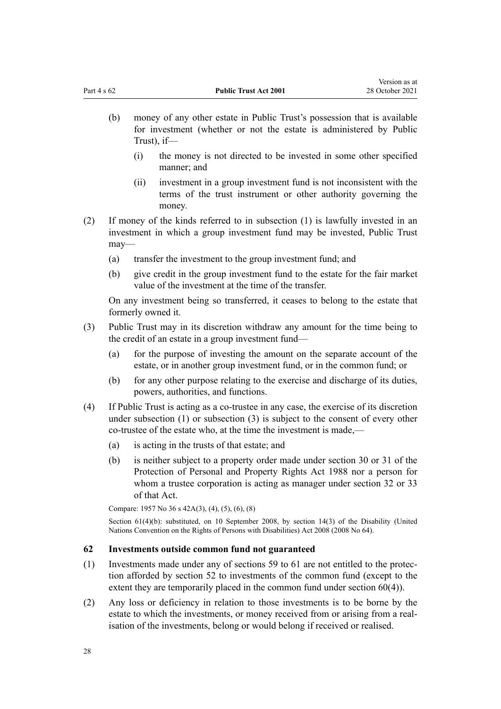- <span id="page-27-0"></span>(b) money of any other estate in Public Trust's possession that is available for investment (whether or not the estate is administered by Public Trust), if—
	- (i) the money is not directed to be invested in some other specified manner; and
	- (ii) investment in a group investment fund is not inconsistent with the terms of the trust instrument or other authority governing the money.
- (2) If money of the kinds referred to in subsection (1) is lawfully invested in an investment in which a group investment fund may be invested, Public Trust may—
	- (a) transfer the investment to the group investment fund; and
	- (b) give credit in the group investment fund to the estate for the fair market value of the investment at the time of the transfer.

On any investment being so transferred, it ceases to belong to the estate that formerly owned it.

- (3) Public Trust may in its discretion withdraw any amount for the time being to the credit of an estate in a group investment fund—
	- (a) for the purpose of investing the amount on the separate account of the estate, or in another group investment fund, or in the common fund; or
	- (b) for any other purpose relating to the exercise and discharge of its duties, powers, authorities, and functions.
- (4) If Public Trust is acting as a co-trustee in any case, the exercise of its discretion under subsection (1) or subsection (3) is subject to the consent of every other co-trustee of the estate who, at the time the investment is made,—
	- (a) is acting in the trusts of that estate; and
	- (b) is neither subject to a property order made under [section 30](http://legislation.govt.nz/pdflink.aspx?id=DLM127009) or [31](http://legislation.govt.nz/pdflink.aspx?id=DLM127010) of the Protection of Personal and Property Rights Act 1988 nor a person for whom a trustee corporation is acting as manager under [section 32](http://legislation.govt.nz/pdflink.aspx?id=DLM127016) or [33](http://legislation.govt.nz/pdflink.aspx?id=DLM127020) of that Act.

Compare: 1957 No 36 s 42A(3), (4), (5), (6), (8)

Section 61(4)(b): substituted, on 10 September 2008, by [section 14\(3\)](http://legislation.govt.nz/pdflink.aspx?id=DLM1404054) of the Disability (United Nations Convention on the Rights of Persons with Disabilities) Act 2008 (2008 No 64).

# **62 Investments outside common fund not guaranteed**

- (1) Investments made under any of [sections 59 to 61](#page-25-0) are not entitled to the protec‐ tion afforded by [section 52](#page-22-0) to investments of the common fund (except to the extent they are temporarily placed in the common fund under [section 60\(4\)](#page-26-0)).
- (2) Any loss or deficiency in relation to those investments is to be borne by the estate to which the investments, or money received from or arising from a realisation of the investments, belong or would belong if received or realised.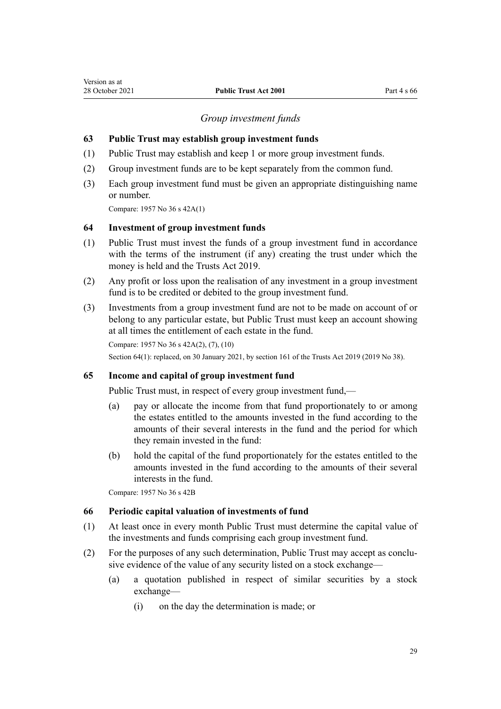#### *Group investment funds*

#### <span id="page-28-0"></span>**63 Public Trust may establish group investment funds**

- (1) Public Trust may establish and keep 1 or more group investment funds.
- (2) Group investment funds are to be kept separately from the common fund.
- (3) Each group investment fund must be given an appropriate distinguishing name or number.

Compare: 1957 No 36 s 42A(1)

#### **64 Investment of group investment funds**

- (1) Public Trust must invest the funds of a group investment fund in accordance with the terms of the instrument (if any) creating the trust under which the money is held and the [Trusts Act 2019.](http://legislation.govt.nz/pdflink.aspx?id=DLM7382802)
- (2) Any profit or loss upon the realisation of any investment in a group investment fund is to be credited or debited to the group investment fund.
- (3) Investments from a group investment fund are not to be made on account of or belong to any particular estate, but Public Trust must keep an account showing at all times the entitlement of each estate in the fund.

```
Compare: 1957 No 36 s 42A(2), (7), (10)
Section 64(1): replaced, on 30 January 2021, by section 161 of the Trusts Act 2019 (2019 No 38).
```
#### **65 Income and capital of group investment fund**

Public Trust must, in respect of every group investment fund,—

- (a) pay or allocate the income from that fund proportionately to or among the estates entitled to the amounts invested in the fund according to the amounts of their several interests in the fund and the period for which they remain invested in the fund:
- (b) hold the capital of the fund proportionately for the estates entitled to the amounts invested in the fund according to the amounts of their several interests in the fund.

Compare: 1957 No 36 s 42B

#### **66 Periodic capital valuation of investments of fund**

- (1) At least once in every month Public Trust must determine the capital value of the investments and funds comprising each group investment fund.
- (2) For the purposes of any such determination, Public Trust may accept as conclu‐ sive evidence of the value of any security listed on a stock exchange—
	- (a) a quotation published in respect of similar securities by a stock exchange—
		- (i) on the day the determination is made; or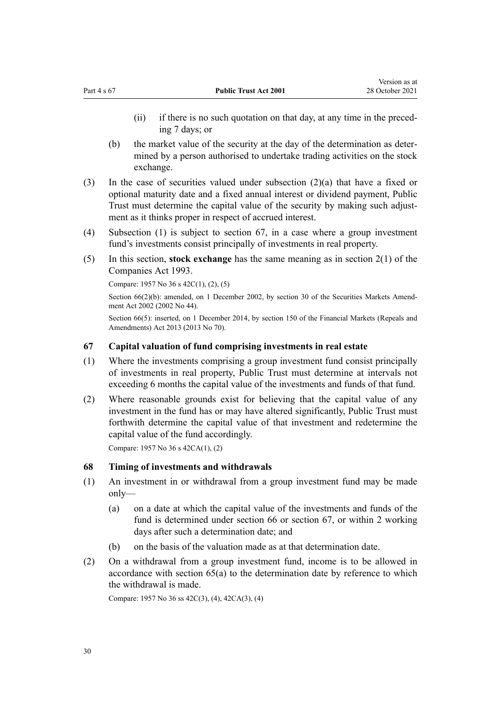<span id="page-29-0"></span>(ii) if there is no such quotation on that day, at any time in the preceding 7 days; or

Version as at

- (b) the market value of the security at the day of the determination as deter‐ mined by a person authorised to undertake trading activities on the stock exchange.
- (3) In the case of securities valued under subsection (2)(a) that have a fixed or optional maturity date and a fixed annual interest or dividend payment, Public Trust must determine the capital value of the security by making such adjustment as it thinks proper in respect of accrued interest.
- (4) Subsection (1) is subject to section 67, in a case where a group investment fund's investments consist principally of investments in real property.
- (5) In this section, **stock exchange** has the same meaning as in [section 2\(1\)](http://legislation.govt.nz/pdflink.aspx?id=DLM319576) of the Companies Act 1993.

Compare: 1957 No 36 s 42C(1), (2), (5)

Section  $66(2)(b)$ : amended, on 1 December 2002, by [section 30](http://legislation.govt.nz/pdflink.aspx?id=DLM162198) of the Securities Markets Amendment Act 2002 (2002 No 44).

Section 66(5): inserted, on 1 December 2014, by [section 150](http://legislation.govt.nz/pdflink.aspx?id=DLM5561603) of the Financial Markets (Repeals and Amendments) Act 2013 (2013 No 70).

# **67 Capital valuation of fund comprising investments in real estate**

- (1) Where the investments comprising a group investment fund consist principally of investments in real property, Public Trust must determine at intervals not exceeding 6 months the capital value of the investments and funds of that fund.
- (2) Where reasonable grounds exist for believing that the capital value of any investment in the fund has or may have altered significantly, Public Trust must forthwith determine the capital value of that investment and redetermine the capital value of the fund accordingly.

Compare: 1957 No 36 s 42CA(1), (2)

## **68 Timing of investments and withdrawals**

- (1) An investment in or withdrawal from a group investment fund may be made only—
	- (a) on a date at which the capital value of the investments and funds of the fund is determined under [section 66](#page-28-0) or section 67, or within 2 working days after such a determination date; and
	- (b) on the basis of the valuation made as at that determination date.
- (2) On a withdrawal from a group investment fund, income is to be allowed in accordance with [section 65\(a\)](#page-28-0) to the determination date by reference to which the withdrawal is made.

Compare: 1957 No 36 ss 42C(3), (4), 42CA(3), (4)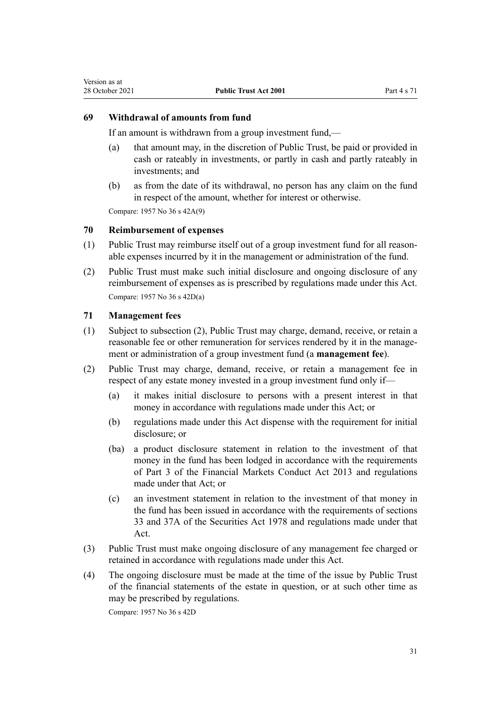# <span id="page-30-0"></span>**69 Withdrawal of amounts from fund**

If an amount is withdrawn from a group investment fund,—

- (a) that amount may, in the discretion of Public Trust, be paid or provided in cash or rateably in investments, or partly in cash and partly rateably in investments; and
- (b) as from the date of its withdrawal, no person has any claim on the fund in respect of the amount, whether for interest or otherwise.

Compare: 1957 No 36 s 42A(9)

# **70 Reimbursement of expenses**

- (1) Public Trust may reimburse itself out of a group investment fund for all reason‐ able expenses incurred by it in the management or administration of the fund.
- (2) Public Trust must make such initial disclosure and ongoing disclosure of any reimbursement of expenses as is prescribed by regulations made under this Act. Compare: 1957 No 36 s 42D(a)

## **71 Management fees**

- (1) Subject to subsection (2), Public Trust may charge, demand, receive, or retain a reasonable fee or other remuneration for services rendered by it in the management or administration of a group investment fund (a **management fee**).
- (2) Public Trust may charge, demand, receive, or retain a management fee in respect of any estate money invested in a group investment fund only if—
	- (a) it makes initial disclosure to persons with a present interest in that money in accordance with regulations made under this Act; or
	- (b) regulations made under this Act dispense with the requirement for initial disclosure; or
	- (ba) a product disclosure statement in relation to the investment of that money in the fund has been lodged in accordance with the requirements of [Part 3](http://legislation.govt.nz/pdflink.aspx?id=DLM4090967) of the Financial Markets Conduct Act 2013 and regulations made under that Act; or
	- (c) an investment statement in relation to the investment of that money in the fund has been issued in accordance with the requirements of [sections](http://legislation.govt.nz/pdflink.aspx?id=DLM28187) [33](http://legislation.govt.nz/pdflink.aspx?id=DLM28187) and [37A](http://legislation.govt.nz/pdflink.aspx?id=DLM28351) of the Securities Act 1978 and regulations made under that Act.
- (3) Public Trust must make ongoing disclosure of any management fee charged or retained in accordance with regulations made under this Act.
- (4) The ongoing disclosure must be made at the time of the issue by Public Trust of the financial statements of the estate in question, or at such other time as may be prescribed by regulations.

Compare: 1957 No 36 s 42D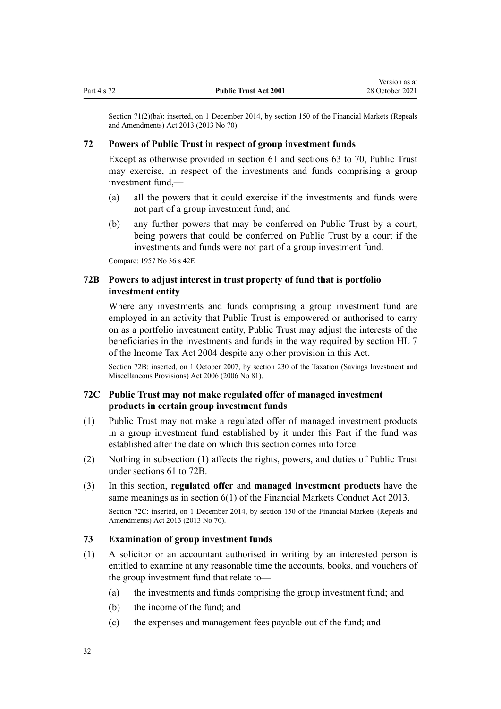<span id="page-31-0"></span>Section 71(2)(ba): inserted, on 1 December 2014, by [section 150](http://legislation.govt.nz/pdflink.aspx?id=DLM5561603) of the Financial Markets (Repeals and Amendments) Act 2013 (2013 No 70).

## **72 Powers of Public Trust in respect of group investment funds**

Except as otherwise provided in [section 61](#page-26-0) and [sections 63 to 70,](#page-28-0) Public Trust may exercise, in respect of the investments and funds comprising a group investment fund,—

- (a) all the powers that it could exercise if the investments and funds were not part of a group investment fund; and
- (b) any further powers that may be conferred on Public Trust by a court, being powers that could be conferred on Public Trust by a court if the investments and funds were not part of a group investment fund.

Compare: 1957 No 36 s 42E

# **72B Powers to adjust interest in trust property of fund that is portfolio investment entity**

Where any investments and funds comprising a group investment fund are employed in an activity that Public Trust is empowered or authorised to carry on as a portfolio investment entity, Public Trust may adjust the interests of the beneficiaries in the investments and funds in the way required by [section HL 7](http://legislation.govt.nz/pdflink.aspx?id=DLM264600) of the Income Tax Act 2004 despite any other provision in this Act.

Section 72B: inserted, on 1 October 2007, by [section 230](http://legislation.govt.nz/pdflink.aspx?id=DLM401680) of the Taxation (Savings Investment and Miscellaneous Provisions) Act 2006 (2006 No 81).

# **72C Public Trust may not make regulated offer of managed investment products in certain group investment funds**

- (1) Public Trust may not make a regulated offer of managed investment products in a group investment fund established by it under this Part if the fund was established after the date on which this section comes into force.
- (2) Nothing in subsection (1) affects the rights, powers, and duties of Public Trust under [sections 61 to 72B.](#page-26-0)
- (3) In this section, **regulated offer** and **managed investment products** have the same meanings as in [section 6\(1\)](http://legislation.govt.nz/pdflink.aspx?id=DLM4090590) of the Financial Markets Conduct Act 2013.

Section 72C: inserted, on 1 December 2014, by [section 150](http://legislation.govt.nz/pdflink.aspx?id=DLM5561603) of the Financial Markets (Repeals and Amendments) Act 2013 (2013 No 70).

# **73 Examination of group investment funds**

- (1) A solicitor or an accountant authorised in writing by an interested person is entitled to examine at any reasonable time the accounts, books, and vouchers of the group investment fund that relate to—
	- (a) the investments and funds comprising the group investment fund; and
	- (b) the income of the fund; and
	- (c) the expenses and management fees payable out of the fund; and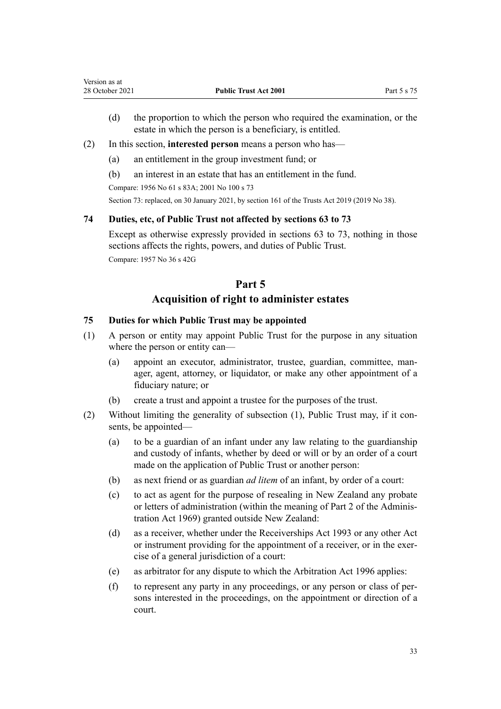- <span id="page-32-0"></span>(d) the proportion to which the person who required the examination, or the estate in which the person is a beneficiary, is entitled.
- (2) In this section, **interested person** means a person who has—
	- (a) an entitlement in the group investment fund; or
	- (b) an interest in an estate that has an entitlement in the fund.

Compare: 1956 No 61 [s 83A;](http://legislation.govt.nz/pdflink.aspx?id=DLM305807) 2001 No 100 [s 73](#page-31-0)

Section 73: replaced, on 30 January 2021, by [section 161](http://legislation.govt.nz/pdflink.aspx?id=DLM7383110) of the Trusts Act 2019 (2019 No 38).

## **74 Duties, etc, of Public Trust not affected by sections 63 to 73**

Except as otherwise expressly provided in [sections 63 to 73](#page-28-0), nothing in those sections affects the rights, powers, and duties of Public Trust. Compare: 1957 No 36 s 42G

# **Part 5**

# **Acquisition of right to administer estates**

## **75 Duties for which Public Trust may be appointed**

- (1) A person or entity may appoint Public Trust for the purpose in any situation where the person or entity can—
	- (a) appoint an executor, administrator, trustee, guardian, committee, man‐ ager, agent, attorney, or liquidator, or make any other appointment of a fiduciary nature; or
	- (b) create a trust and appoint a trustee for the purposes of the trust.
- (2) Without limiting the generality of subsection  $(1)$ , Public Trust may, if it consents, be appointed—
	- (a) to be a guardian of an infant under any law relating to the guardianship and custody of infants, whether by deed or will or by an order of a court made on the application of Public Trust or another person:
	- (b) as next friend or as guardian *ad litem* of an infant, by order of a court:
	- (c) to act as agent for the purpose of resealing in New Zealand any probate or letters of administration (within the meaning of [Part 2](http://legislation.govt.nz/pdflink.aspx?id=DLM393088) of the Adminis‐ tration Act 1969) granted outside New Zealand:
	- (d) as a receiver, whether under the [Receiverships Act 1993](http://legislation.govt.nz/pdflink.aspx?id=DLM327640) or any other Act or instrument providing for the appointment of a receiver, or in the exercise of a general jurisdiction of a court:
	- (e) as arbitrator for any dispute to which the [Arbitration Act 1996](http://legislation.govt.nz/pdflink.aspx?id=DLM403276) applies:
	- (f) to represent any party in any proceedings, or any person or class of per‐ sons interested in the proceedings, on the appointment or direction of a court.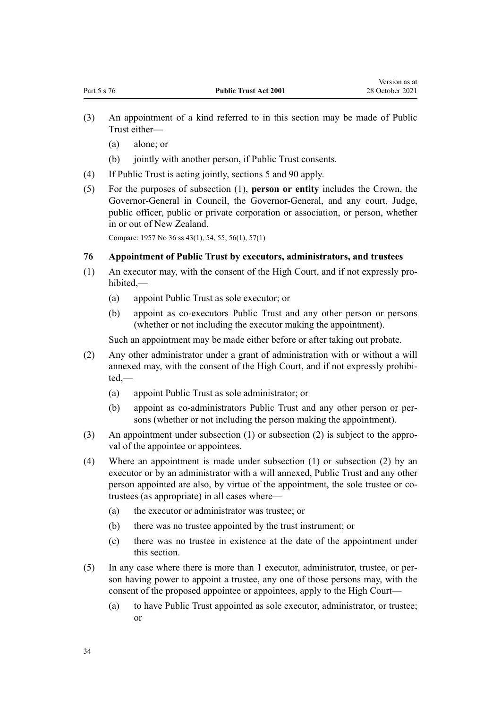- <span id="page-33-0"></span>(3) An appointment of a kind referred to in this section may be made of Public Trust either—
	- (a) alone; or
	- (b) jointly with another person, if Public Trust consents.
- (4) If Public Trust is acting jointly, [sections 5](#page-9-0) and [90](#page-41-0) apply.
- (5) For the purposes of subsection (1), **person or entity** includes the Crown, the Governor-General in Council, the Governor-General, and any court, Judge, public officer, public or private corporation or association, or person, whether in or out of New Zealand.

Compare: 1957 No 36 ss 43(1), 54, 55, 56(1), 57(1)

#### **76 Appointment of Public Trust by executors, administrators, and trustees**

- (1) An executor may, with the consent of the High Court, and if not expressly pro‐ hibited,—
	- (a) appoint Public Trust as sole executor; or
	- (b) appoint as co-executors Public Trust and any other person or persons (whether or not including the executor making the appointment).

Such an appointment may be made either before or after taking out probate.

- (2) Any other administrator under a grant of administration with or without a will annexed may, with the consent of the High Court, and if not expressly prohibited,—
	- (a) appoint Public Trust as sole administrator; or
	- (b) appoint as co-administrators Public Trust and any other person or per‐ sons (whether or not including the person making the appointment).
- (3) An appointment under subsection (1) or subsection (2) is subject to the approval of the appointee or appointees.
- (4) Where an appointment is made under subsection (1) or subsection (2) by an executor or by an administrator with a will annexed, Public Trust and any other person appointed are also, by virtue of the appointment, the sole trustee or cotrustees (as appropriate) in all cases where—
	- (a) the executor or administrator was trustee; or
	- (b) there was no trustee appointed by the trust instrument; or
	- (c) there was no trustee in existence at the date of the appointment under this section.
- (5) In any case where there is more than 1 executor, administrator, trustee, or per‐ son having power to appoint a trustee, any one of those persons may, with the consent of the proposed appointee or appointees, apply to the High Court—
	- (a) to have Public Trust appointed as sole executor, administrator, or trustee; or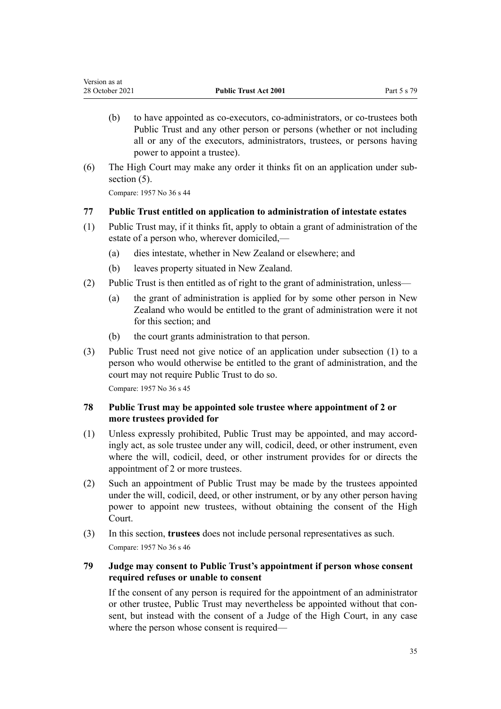- <span id="page-34-0"></span>(b) to have appointed as co-executors, co-administrators, or co-trustees both Public Trust and any other person or persons (whether or not including all or any of the executors, administrators, trustees, or persons having power to appoint a trustee).
- (6) The High Court may make any order it thinks fit on an application under sub‐ section  $(5)$ .

Compare: 1957 No 36 s 44

# **77 Public Trust entitled on application to administration of intestate estates**

- (1) Public Trust may, if it thinks fit, apply to obtain a grant of administration of the estate of a person who, wherever domiciled,—
	- (a) dies intestate, whether in New Zealand or elsewhere; and
	- (b) leaves property situated in New Zealand.
- (2) Public Trust is then entitled as of right to the grant of administration, unless—
	- (a) the grant of administration is applied for by some other person in New Zealand who would be entitled to the grant of administration were it not for this section; and
	- (b) the court grants administration to that person.
- (3) Public Trust need not give notice of an application under subsection (1) to a person who would otherwise be entitled to the grant of administration, and the court may not require Public Trust to do so.

Compare: 1957 No 36 s 45

# **78 Public Trust may be appointed sole trustee where appointment of 2 or more trustees provided for**

- (1) Unless expressly prohibited, Public Trust may be appointed, and may accord‐ ingly act, as sole trustee under any will, codicil, deed, or other instrument, even where the will, codicil, deed, or other instrument provides for or directs the appointment of 2 or more trustees.
- (2) Such an appointment of Public Trust may be made by the trustees appointed under the will, codicil, deed, or other instrument, or by any other person having power to appoint new trustees, without obtaining the consent of the High Court.
- (3) In this section, **trustees** does not include personal representatives as such. Compare: 1957 No 36 s 46

# **79 Judge may consent to Public Trust's appointment if person whose consent required refuses or unable to consent**

If the consent of any person is required for the appointment of an administrator or other trustee, Public Trust may nevertheless be appointed without that con‐ sent, but instead with the consent of a Judge of the High Court, in any case where the person whose consent is required—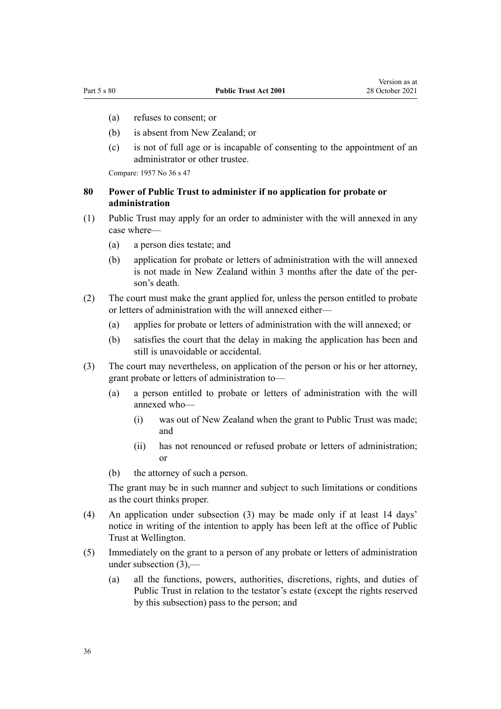- <span id="page-35-0"></span>(a) refuses to consent; or
- (b) is absent from New Zealand; or
- (c) is not of full age or is incapable of consenting to the appointment of an administrator or other trustee.

Compare: 1957 No 36 s 47

# **80 Power of Public Trust to administer if no application for probate or administration**

- (1) Public Trust may apply for an order to administer with the will annexed in any case where—
	- (a) a person dies testate; and
	- (b) application for probate or letters of administration with the will annexed is not made in New Zealand within 3 months after the date of the person's death.
- (2) The court must make the grant applied for, unless the person entitled to probate or letters of administration with the will annexed either—
	- (a) applies for probate or letters of administration with the will annexed; or
	- (b) satisfies the court that the delay in making the application has been and still is unavoidable or accidental.
- (3) The court may nevertheless, on application of the person or his or her attorney, grant probate or letters of administration to—
	- (a) a person entitled to probate or letters of administration with the will annexed who—
		- (i) was out of New Zealand when the grant to Public Trust was made; and
		- (ii) has not renounced or refused probate or letters of administration; or
	- (b) the attorney of such a person.

The grant may be in such manner and subject to such limitations or conditions as the court thinks proper.

- (4) An application under subsection (3) may be made only if at least 14 days' notice in writing of the intention to apply has been left at the office of Public Trust at Wellington.
- (5) Immediately on the grant to a person of any probate or letters of administration under subsection (3),—
	- (a) all the functions, powers, authorities, discretions, rights, and duties of Public Trust in relation to the testator's estate (except the rights reserved by this subsection) pass to the person; and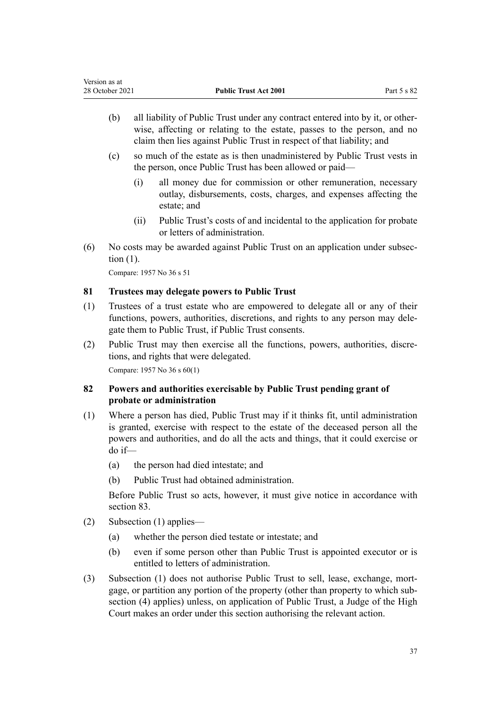- <span id="page-36-0"></span>(b) all liability of Public Trust under any contract entered into by it, or other‐ wise, affecting or relating to the estate, passes to the person, and no claim then lies against Public Trust in respect of that liability; and
- (c) so much of the estate as is then unadministered by Public Trust vests in the person, once Public Trust has been allowed or paid—
	- (i) all money due for commission or other remuneration, necessary outlay, disbursements, costs, charges, and expenses affecting the estate; and
	- (ii) Public Trust's costs of and incidental to the application for probate or letters of administration.
- (6) No costs may be awarded against Public Trust on an application under subsec‐ tion (1).

### **81 Trustees may delegate powers to Public Trust**

- (1) Trustees of a trust estate who are empowered to delegate all or any of their functions, powers, authorities, discretions, and rights to any person may delegate them to Public Trust, if Public Trust consents.
- (2) Public Trust may then exercise all the functions, powers, authorities, discre‐ tions, and rights that were delegated.

Compare: 1957 No 36 s 60(1)

## **82 Powers and authorities exercisable by Public Trust pending grant of probate or administration**

- (1) Where a person has died, Public Trust may if it thinks fit, until administration is granted, exercise with respect to the estate of the deceased person all the powers and authorities, and do all the acts and things, that it could exercise or do if—
	- (a) the person had died intestate; and
	- (b) Public Trust had obtained administration.

Before Public Trust so acts, however, it must give notice in accordance with [section 83](#page-37-0).

- (2) Subsection (1) applies—
	- (a) whether the person died testate or intestate; and
	- (b) even if some person other than Public Trust is appointed executor or is entitled to letters of administration.
- (3) Subsection (1) does not authorise Public Trust to sell, lease, exchange, mortgage, or partition any portion of the property (other than property to which subsection (4) applies) unless, on application of Public Trust, a Judge of the High Court makes an order under this section authorising the relevant action.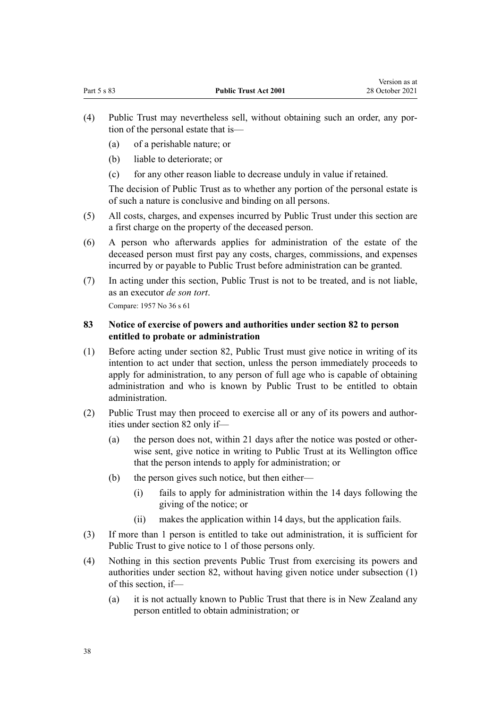- <span id="page-37-0"></span>(4) Public Trust may nevertheless sell, without obtaining such an order, any por‐ tion of the personal estate that is—
	- (a) of a perishable nature; or
	- (b) liable to deteriorate; or
	- (c) for any other reason liable to decrease unduly in value if retained.

The decision of Public Trust as to whether any portion of the personal estate is of such a nature is conclusive and binding on all persons.

- (5) All costs, charges, and expenses incurred by Public Trust under this section are a first charge on the property of the deceased person.
- (6) A person who afterwards applies for administration of the estate of the deceased person must first pay any costs, charges, commissions, and expenses incurred by or payable to Public Trust before administration can be granted.
- (7) In acting under this section, Public Trust is not to be treated, and is not liable, as an executor *de son tort*.

Compare: 1957 No 36 s 61

## **83 Notice of exercise of powers and authorities under section 82 to person entitled to probate or administration**

- (1) Before acting under [section 82,](#page-36-0) Public Trust must give notice in writing of its intention to act under that section, unless the person immediately proceeds to apply for administration, to any person of full age who is capable of obtaining administration and who is known by Public Trust to be entitled to obtain administration.
- (2) Public Trust may then proceed to exercise all or any of its powers and author‐ ities under [section 82](#page-36-0) only if—
	- (a) the person does not, within 21 days after the notice was posted or other‐ wise sent, give notice in writing to Public Trust at its Wellington office that the person intends to apply for administration; or
	- (b) the person gives such notice, but then either—
		- (i) fails to apply for administration within the 14 days following the giving of the notice; or
		- (ii) makes the application within 14 days, but the application fails.
- (3) If more than 1 person is entitled to take out administration, it is sufficient for Public Trust to give notice to 1 of those persons only.
- (4) Nothing in this section prevents Public Trust from exercising its powers and authorities under [section 82](#page-36-0), without having given notice under subsection (1) of this section, if—
	- (a) it is not actually known to Public Trust that there is in New Zealand any person entitled to obtain administration; or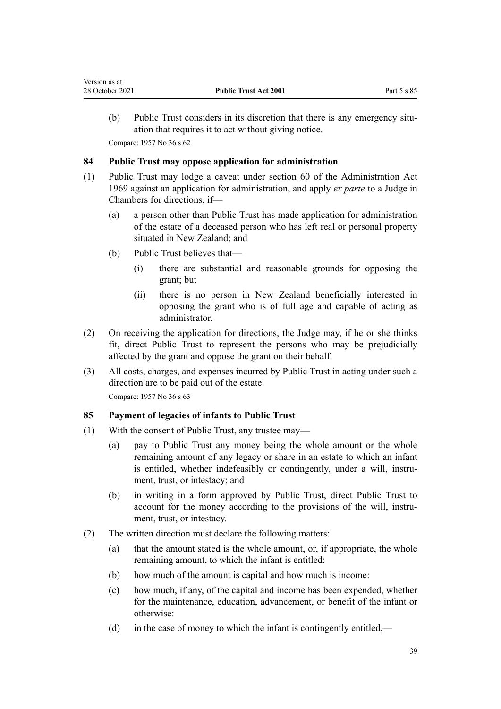(b) Public Trust considers in its discretion that there is any emergency situation that requires it to act without giving notice. Compare: 1957 No 36 s 62

## **84 Public Trust may oppose application for administration**

- (1) Public Trust may lodge a caveat under [section 60](http://legislation.govt.nz/pdflink.aspx?id=DLM393001) of the Administration Act 1969 against an application for administration, and apply *ex parte* to a Judge in Chambers for directions, if—
	- (a) a person other than Public Trust has made application for administration of the estate of a deceased person who has left real or personal property situated in New Zealand; and
	- (b) Public Trust believes that—
		- (i) there are substantial and reasonable grounds for opposing the grant; but
		- (ii) there is no person in New Zealand beneficially interested in opposing the grant who is of full age and capable of acting as administrator.
- (2) On receiving the application for directions, the Judge may, if he or she thinks fit, direct Public Trust to represent the persons who may be prejudicially affected by the grant and oppose the grant on their behalf.
- (3) All costs, charges, and expenses incurred by Public Trust in acting under such a direction are to be paid out of the estate.

Compare: 1957 No 36 s 63

## **85 Payment of legacies of infants to Public Trust**

- (1) With the consent of Public Trust, any trustee may—
	- (a) pay to Public Trust any money being the whole amount or the whole remaining amount of any legacy or share in an estate to which an infant is entitled, whether indefeasibly or contingently, under a will, instrument, trust, or intestacy; and
	- (b) in writing in a form approved by Public Trust, direct Public Trust to account for the money according to the provisions of the will, instrument, trust, or intestacy.
- (2) The written direction must declare the following matters:
	- (a) that the amount stated is the whole amount, or, if appropriate, the whole remaining amount, to which the infant is entitled:
	- (b) how much of the amount is capital and how much is income:
	- (c) how much, if any, of the capital and income has been expended, whether for the maintenance, education, advancement, or benefit of the infant or otherwise:
	- (d) in the case of money to which the infant is contingently entitled,—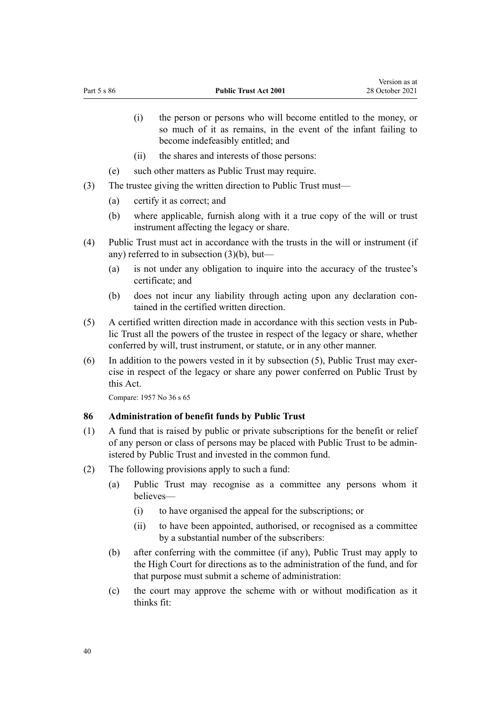- <span id="page-39-0"></span>(i) the person or persons who will become entitled to the money, or so much of it as remains, in the event of the infant failing to become indefeasibly entitled; and
- (ii) the shares and interests of those persons:
- (e) such other matters as Public Trust may require.
- (3) The trustee giving the written direction to Public Trust must—
	- (a) certify it as correct; and
	- (b) where applicable, furnish along with it a true copy of the will or trust instrument affecting the legacy or share.
- (4) Public Trust must act in accordance with the trusts in the will or instrument (if any) referred to in subsection (3)(b), but—
	- (a) is not under any obligation to inquire into the accuracy of the trustee's certificate; and
	- (b) does not incur any liability through acting upon any declaration contained in the certified written direction.
- (5) A certified written direction made in accordance with this section vests in Pub‐ lic Trust all the powers of the trustee in respect of the legacy or share, whether conferred by will, trust instrument, or statute, or in any other manner.
- $(6)$  In addition to the powers vested in it by subsection  $(5)$ , Public Trust may exercise in respect of the legacy or share any power conferred on Public Trust by this Act.

#### **86 Administration of benefit funds by Public Trust**

- (1) A fund that is raised by public or private subscriptions for the benefit or relief of any person or class of persons may be placed with Public Trust to be admin‐ istered by Public Trust and invested in the common fund.
- (2) The following provisions apply to such a fund:
	- (a) Public Trust may recognise as a committee any persons whom it believes—
		- (i) to have organised the appeal for the subscriptions; or
		- (ii) to have been appointed, authorised, or recognised as a committee by a substantial number of the subscribers:
	- (b) after conferring with the committee (if any), Public Trust may apply to the High Court for directions as to the administration of the fund, and for that purpose must submit a scheme of administration:
	- (c) the court may approve the scheme with or without modification as it thinks fit: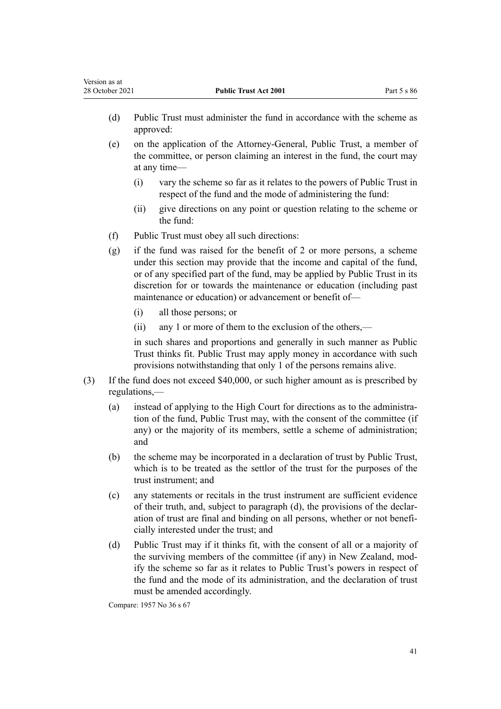- (d) Public Trust must administer the fund in accordance with the scheme as approved:
- (e) on the application of the Attorney-General, Public Trust, a member of the committee, or person claiming an interest in the fund, the court may at any time—
	- (i) vary the scheme so far as it relates to the powers of Public Trust in respect of the fund and the mode of administering the fund:
	- (ii) give directions on any point or question relating to the scheme or the fund:
- (f) Public Trust must obey all such directions:
- (g) if the fund was raised for the benefit of 2 or more persons, a scheme under this section may provide that the income and capital of the fund, or of any specified part of the fund, may be applied by Public Trust in its discretion for or towards the maintenance or education (including past maintenance or education) or advancement or benefit of—
	- (i) all those persons; or
	- (ii) any 1 or more of them to the exclusion of the others,—

in such shares and proportions and generally in such manner as Public Trust thinks fit. Public Trust may apply money in accordance with such provisions notwithstanding that only 1 of the persons remains alive.

- (3) If the fund does not exceed \$40,000, or such higher amount as is prescribed by regulations,—
	- (a) instead of applying to the High Court for directions as to the administra‐ tion of the fund, Public Trust may, with the consent of the committee (if any) or the majority of its members, settle a scheme of administration; and
	- (b) the scheme may be incorporated in a declaration of trust by Public Trust, which is to be treated as the settlor of the trust for the purposes of the trust instrument; and
	- (c) any statements or recitals in the trust instrument are sufficient evidence of their truth, and, subject to paragraph (d), the provisions of the declar‐ ation of trust are final and binding on all persons, whether or not benefi‐ cially interested under the trust; and
	- (d) Public Trust may if it thinks fit, with the consent of all or a majority of the surviving members of the committee (if any) in New Zealand, mod‐ ify the scheme so far as it relates to Public Trust's powers in respect of the fund and the mode of its administration, and the declaration of trust must be amended accordingly.

Compare: 1957 No 36 s 67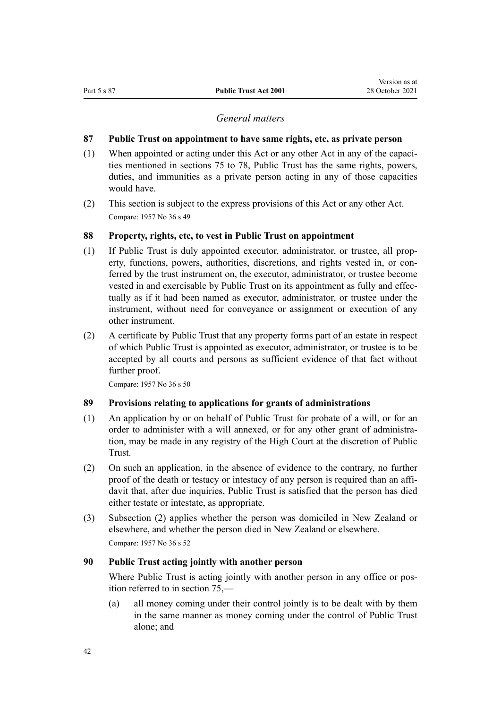### *General matters*

#### <span id="page-41-0"></span>**87 Public Trust on appointment to have same rights, etc, as private person**

- (1) When appointed or acting under this Act or any other Act in any of the capaci‐ ties mentioned in [sections 75 to 78,](#page-32-0) Public Trust has the same rights, powers, duties, and immunities as a private person acting in any of those capacities would have.
- (2) This section is subject to the express provisions of this Act or any other Act. Compare: 1957 No 36 s 49

## **88 Property, rights, etc, to vest in Public Trust on appointment**

- (1) If Public Trust is duly appointed executor, administrator, or trustee, all prop‐ erty, functions, powers, authorities, discretions, and rights vested in, or conferred by the trust instrument on, the executor, administrator, or trustee become vested in and exercisable by Public Trust on its appointment as fully and effec‐ tually as if it had been named as executor, administrator, or trustee under the instrument, without need for conveyance or assignment or execution of any other instrument.
- (2) A certificate by Public Trust that any property forms part of an estate in respect of which Public Trust is appointed as executor, administrator, or trustee is to be accepted by all courts and persons as sufficient evidence of that fact without further proof.

Compare: 1957 No 36 s 50

## **89 Provisions relating to applications for grants of administrations**

- (1) An application by or on behalf of Public Trust for probate of a will, or for an order to administer with a will annexed, or for any other grant of administration, may be made in any registry of the High Court at the discretion of Public Trust.
- (2) On such an application, in the absence of evidence to the contrary, no further proof of the death or testacy or intestacy of any person is required than an affidavit that, after due inquiries, Public Trust is satisfied that the person has died either testate or intestate, as appropriate.
- (3) Subsection (2) applies whether the person was domiciled in New Zealand or elsewhere, and whether the person died in New Zealand or elsewhere. Compare: 1957 No 36 s 52

#### **90 Public Trust acting jointly with another person**

Where Public Trust is acting jointly with another person in any office or position referred to in [section 75](#page-32-0),—

(a) all money coming under their control jointly is to be dealt with by them in the same manner as money coming under the control of Public Trust alone; and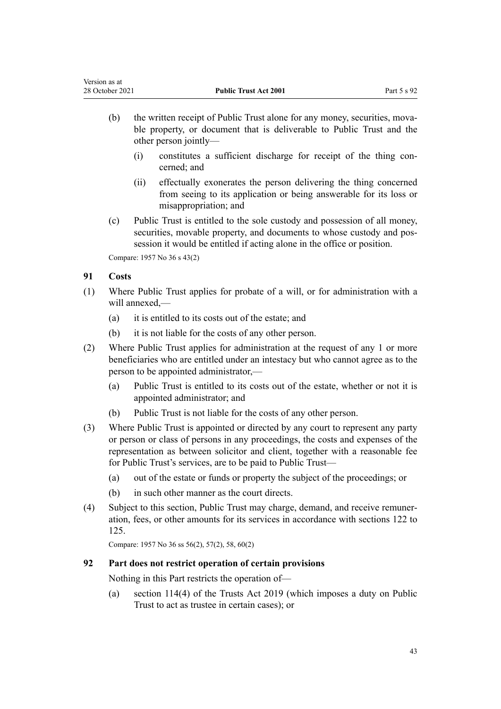- (b) the written receipt of Public Trust alone for any money, securities, movable property, or document that is deliverable to Public Trust and the other person jointly—
	- (i) constitutes a sufficient discharge for receipt of the thing con‐ cerned; and
	- (ii) effectually exonerates the person delivering the thing concerned from seeing to its application or being answerable for its loss or misappropriation; and
- (c) Public Trust is entitled to the sole custody and possession of all money, securities, movable property, and documents to whose custody and possession it would be entitled if acting alone in the office or position.

Compare: 1957 No 36 s 43(2)

## **91 Costs**

- (1) Where Public Trust applies for probate of a will, or for administration with a will annexed,—
	- (a) it is entitled to its costs out of the estate; and
	- (b) it is not liable for the costs of any other person.
- (2) Where Public Trust applies for administration at the request of any 1 or more beneficiaries who are entitled under an intestacy but who cannot agree as to the person to be appointed administrator,—
	- (a) Public Trust is entitled to its costs out of the estate, whether or not it is appointed administrator; and
	- (b) Public Trust is not liable for the costs of any other person.
- (3) Where Public Trust is appointed or directed by any court to represent any party or person or class of persons in any proceedings, the costs and expenses of the representation as between solicitor and client, together with a reasonable fee for Public Trust's services, are to be paid to Public Trust—
	- (a) out of the estate or funds or property the subject of the proceedings; or
	- (b) in such other manner as the court directs.
- (4) Subject to this section, Public Trust may charge, demand, and receive remuner‐ ation, fees, or other amounts for its services in accordance with [sections 122 to](#page-57-0) [125](#page-57-0).

Compare: 1957 No 36 ss 56(2), 57(2), 58, 60(2)

## **92 Part does not restrict operation of certain provisions**

Nothing in this Part restricts the operation of—

(a) [section 114\(4\)](http://legislation.govt.nz/pdflink.aspx?id=DLM7383031) of the Trusts Act 2019 (which imposes a duty on Public Trust to act as trustee in certain cases); or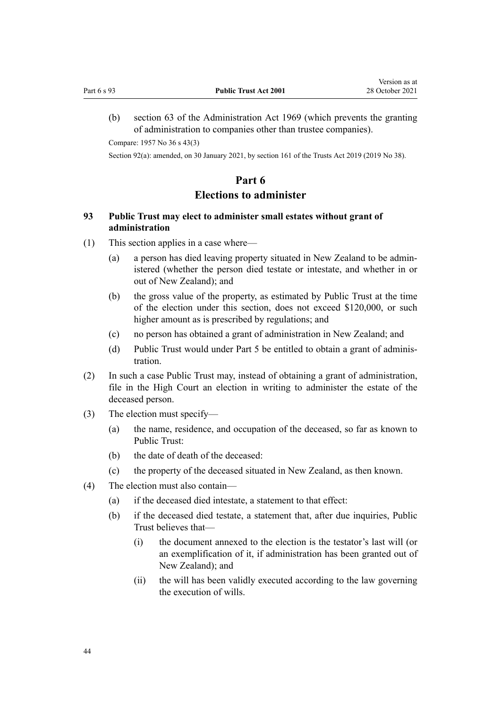<span id="page-43-0"></span>(b) [section 63](http://legislation.govt.nz/pdflink.aspx?id=DLM393013) of the Administration Act 1969 (which prevents the granting of administration to companies other than trustee companies).

Compare: 1957 No 36 s 43(3)

Section 92(a): amended, on 30 January 2021, by [section 161](http://legislation.govt.nz/pdflink.aspx?id=DLM7383110) of the Trusts Act 2019 (2019 No 38).

## **Part 6**

## **Elections to administer**

## **93 Public Trust may elect to administer small estates without grant of administration**

- (1) This section applies in a case where—
	- (a) a person has died leaving property situated in New Zealand to be admin‐ istered (whether the person died testate or intestate, and whether in or out of New Zealand); and
	- (b) the gross value of the property, as estimated by Public Trust at the time of the election under this section, does not exceed \$120,000, or such higher amount as is prescribed by regulations; and
	- (c) no person has obtained a grant of administration in New Zealand; and
	- (d) Public Trust would under [Part 5](#page-32-0) be entitled to obtain a grant of administration.
- (2) In such a case Public Trust may, instead of obtaining a grant of administration, file in the High Court an election in writing to administer the estate of the deceased person.
- (3) The election must specify—
	- (a) the name, residence, and occupation of the deceased, so far as known to Public Trust:
	- (b) the date of death of the deceased:
	- (c) the property of the deceased situated in New Zealand, as then known.
- (4) The election must also contain—
	- (a) if the deceased died intestate, a statement to that effect:
	- (b) if the deceased died testate, a statement that, after due inquiries, Public Trust believes that—
		- (i) the document annexed to the election is the testator's last will (or an exemplification of it, if administration has been granted out of New Zealand); and
		- (ii) the will has been validly executed according to the law governing the execution of wills.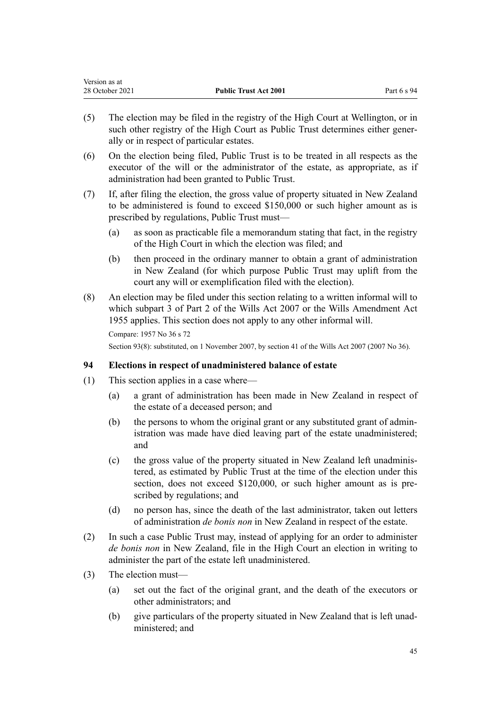<span id="page-44-0"></span>

| Version as at   |                              |             |
|-----------------|------------------------------|-------------|
| 28 October 2021 | <b>Public Trust Act 2001</b> | Part 6 s 94 |

- (5) The election may be filed in the registry of the High Court at Wellington, or in such other registry of the High Court as Public Trust determines either generally or in respect of particular estates.
- (6) On the election being filed, Public Trust is to be treated in all respects as the executor of the will or the administrator of the estate, as appropriate, as if administration had been granted to Public Trust.
- (7) If, after filing the election, the gross value of property situated in New Zealand to be administered is found to exceed \$150,000 or such higher amount as is prescribed by regulations, Public Trust must—
	- (a) as soon as practicable file a memorandum stating that fact, in the registry of the High Court in which the election was filed; and
	- (b) then proceed in the ordinary manner to obtain a grant of administration in New Zealand (for which purpose Public Trust may uplift from the court any will or exemplification filed with the election).
- (8) An election may be filed under this section relating to a written informal will to which [subpart 3](http://legislation.govt.nz/pdflink.aspx?id=DLM413545) of Part 2 of the Wills Act 2007 or the Wills Amendment Act 1955 applies. This section does not apply to any other informal will.

Section 93(8): substituted, on 1 November 2007, by [section 41](http://legislation.govt.nz/pdflink.aspx?id=DLM413569) of the Wills Act 2007 (2007 No 36).

## **94 Elections in respect of unadministered balance of estate**

- (1) This section applies in a case where—
	- (a) a grant of administration has been made in New Zealand in respect of the estate of a deceased person; and
	- (b) the persons to whom the original grant or any substituted grant of admin‐ istration was made have died leaving part of the estate unadministered; and
	- (c) the gross value of the property situated in New Zealand left unadminis‐ tered, as estimated by Public Trust at the time of the election under this section, does not exceed \$120,000, or such higher amount as is prescribed by regulations; and
	- (d) no person has, since the death of the last administrator, taken out letters of administration *de bonis non* in New Zealand in respect of the estate.
- (2) In such a case Public Trust may, instead of applying for an order to administer *de bonis non* in New Zealand, file in the High Court an election in writing to administer the part of the estate left unadministered.
- (3) The election must—
	- (a) set out the fact of the original grant, and the death of the executors or other administrators; and
	- (b) give particulars of the property situated in New Zealand that is left unad‐ ministered; and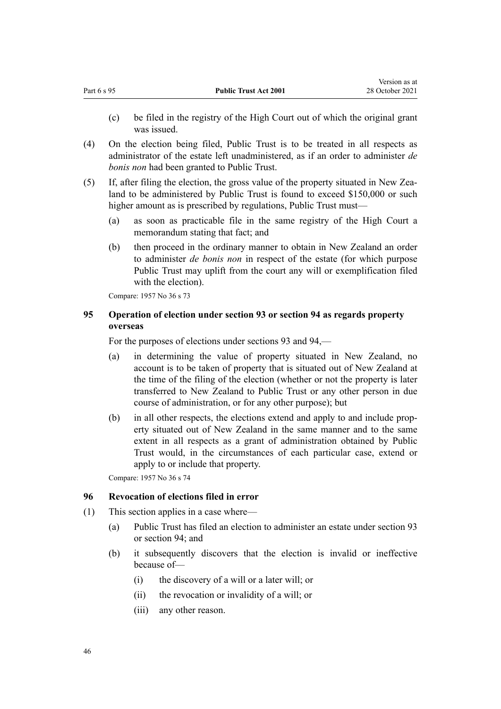<span id="page-45-0"></span>(c) be filed in the registry of the High Court out of which the original grant was issued.

Version as at

- (4) On the election being filed, Public Trust is to be treated in all respects as administrator of the estate left unadministered, as if an order to administer *de bonis non* had been granted to Public Trust.
- (5) If, after filing the election, the gross value of the property situated in New Zea‐ land to be administered by Public Trust is found to exceed \$150,000 or such higher amount as is prescribed by regulations, Public Trust must—
	- (a) as soon as practicable file in the same registry of the High Court a memorandum stating that fact; and
	- (b) then proceed in the ordinary manner to obtain in New Zealand an order to administer *de bonis non* in respect of the estate (for which purpose Public Trust may uplift from the court any will or exemplification filed with the election).

Compare: 1957 No 36 s 73

## **95 Operation of election under section 93 or section 94 as regards property overseas**

For the purposes of elections under [sections 93](#page-43-0) and [94](#page-44-0),—

- (a) in determining the value of property situated in New Zealand, no account is to be taken of property that is situated out of New Zealand at the time of the filing of the election (whether or not the property is later transferred to New Zealand to Public Trust or any other person in due course of administration, or for any other purpose); but
- (b) in all other respects, the elections extend and apply to and include prop‐ erty situated out of New Zealand in the same manner and to the same extent in all respects as a grant of administration obtained by Public Trust would, in the circumstances of each particular case, extend or apply to or include that property.

Compare: 1957 No 36 s 74

### **96 Revocation of elections filed in error**

- (1) This section applies in a case where—
	- (a) Public Trust has filed an election to administer an estate under [section 93](#page-43-0) or [section 94;](#page-44-0) and
	- (b) it subsequently discovers that the election is invalid or ineffective because of—
		- (i) the discovery of a will or a later will; or
		- (ii) the revocation or invalidity of a will; or
		- (iii) any other reason.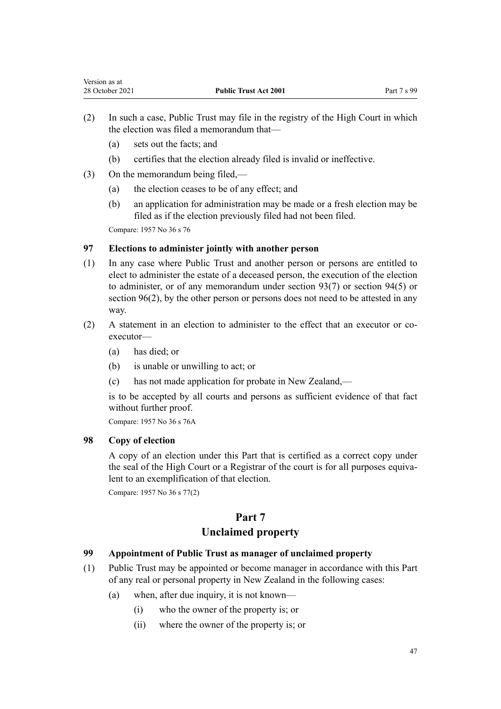- (2) In such a case, Public Trust may file in the registry of the High Court in which the election was filed a memorandum that—
	- (a) sets out the facts; and
	- (b) certifies that the election already filed is invalid or ineffective.
- (3) On the memorandum being filed,—
	- (a) the election ceases to be of any effect; and
	- (b) an application for administration may be made or a fresh election may be filed as if the election previously filed had not been filed.

## **97 Elections to administer jointly with another person**

- (1) In any case where Public Trust and another person or persons are entitled to elect to administer the estate of a deceased person, the execution of the election to administer, or of any memorandum under [section 93\(7\)](#page-43-0) or [section 94\(5\)](#page-44-0) or [section 96\(2\),](#page-45-0) by the other person or persons does not need to be attested in any way.
- (2) A statement in an election to administer to the effect that an executor or coexecutor—
	- (a) has died; or
	- (b) is unable or unwilling to act; or
	- (c) has not made application for probate in New Zealand,—

is to be accepted by all courts and persons as sufficient evidence of that fact without further proof.

Compare: 1957 No 36 s 76A

## **98 Copy of election**

A copy of an election under this Part that is certified as a correct copy under the seal of the High Court or a Registrar of the court is for all purposes equivalent to an exemplification of that election.

Compare: 1957 No 36 s 77(2)

# **Part 7**

# **Unclaimed property**

## **99 Appointment of Public Trust as manager of unclaimed property**

- (1) Public Trust may be appointed or become manager in accordance with this Part of any real or personal property in New Zealand in the following cases:
	- (a) when, after due inquiry, it is not known—
		- (i) who the owner of the property is; or
		- (ii) where the owner of the property is; or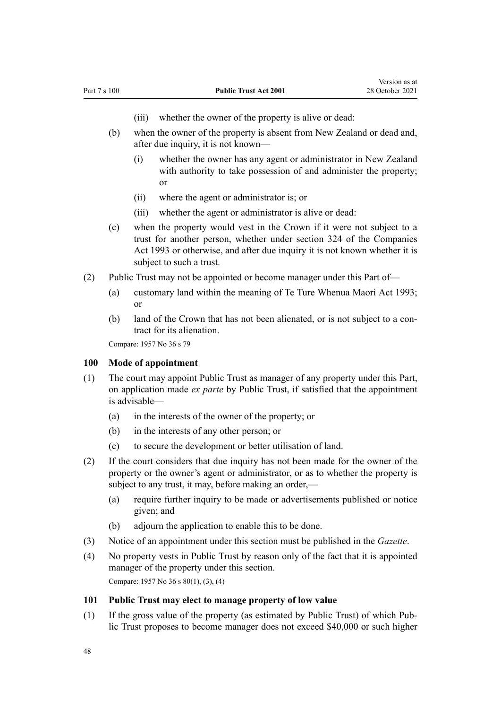- (iii) whether the owner of the property is alive or dead:
- <span id="page-47-0"></span>(b) when the owner of the property is absent from New Zealand or dead and, after due inquiry, it is not known—
	- (i) whether the owner has any agent or administrator in New Zealand with authority to take possession of and administer the property; or
	- (ii) where the agent or administrator is; or
	- (iii) whether the agent or administrator is alive or dead:
- (c) when the property would vest in the Crown if it were not subject to a trust for another person, whether under [section 324](http://legislation.govt.nz/pdflink.aspx?id=DLM322850) of the Companies Act 1993 or otherwise, and after due inquiry it is not known whether it is subject to such a trust.
- (2) Public Trust may not be appointed or become manager under this Part of—
	- (a) customary land within the meaning of [Te Ture Whenua Maori Act 1993;](http://legislation.govt.nz/pdflink.aspx?id=DLM289881) or
	- (b) land of the Crown that has not been alienated, or is not subject to a contract for its alienation.

#### **100 Mode of appointment**

- (1) The court may appoint Public Trust as manager of any property under this Part, on application made *ex parte* by Public Trust, if satisfied that the appointment is advisable—
	- (a) in the interests of the owner of the property; or
	- (b) in the interests of any other person; or
	- (c) to secure the development or better utilisation of land.
- (2) If the court considers that due inquiry has not been made for the owner of the property or the owner's agent or administrator, or as to whether the property is subject to any trust, it may, before making an order,—
	- (a) require further inquiry to be made or advertisements published or notice given; and
	- (b) adjourn the application to enable this to be done.
- (3) Notice of an appointment under this section must be published in the *Gazette*.
- (4) No property vests in Public Trust by reason only of the fact that it is appointed manager of the property under this section. Compare: 1957 No 36 s 80(1), (3), (4)

#### **101 Public Trust may elect to manage property of low value**

(1) If the gross value of the property (as estimated by Public Trust) of which Pub‐ lic Trust proposes to become manager does not exceed \$40,000 or such higher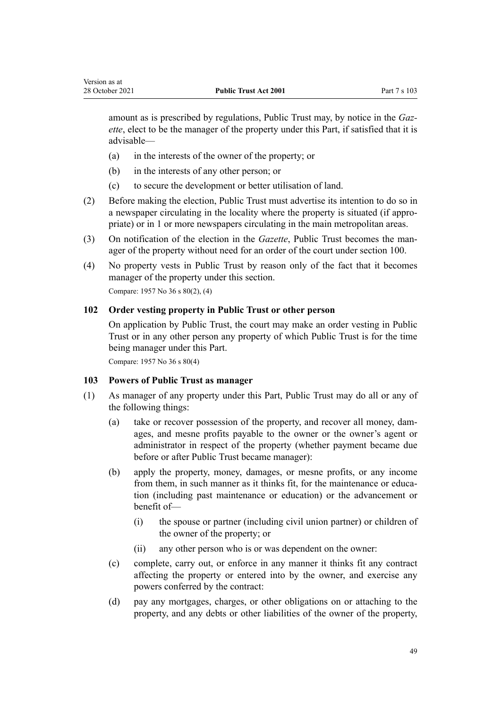amount as is prescribed by regulations, Public Trust may, by notice in the *Gaz‐ ette*, elect to be the manager of the property under this Part, if satisfied that it is advisable—

- (a) in the interests of the owner of the property; or
- (b) in the interests of any other person; or
- (c) to secure the development or better utilisation of land.
- (2) Before making the election, Public Trust must advertise its intention to do so in a newspaper circulating in the locality where the property is situated (if appro‐ priate) or in 1 or more newspapers circulating in the main metropolitan areas.
- (3) On notification of the election in the *Gazette*, Public Trust becomes the man‐ ager of the property without need for an order of the court under [section 100](#page-47-0).
- (4) No property vests in Public Trust by reason only of the fact that it becomes manager of the property under this section. Compare: 1957 No 36 s 80(2), (4)

### **102 Order vesting property in Public Trust or other person**

On application by Public Trust, the court may make an order vesting in Public Trust or in any other person any property of which Public Trust is for the time being manager under this Part.

Compare: 1957 No 36 s 80(4)

Version as at

#### **103 Powers of Public Trust as manager**

- (1) As manager of any property under this Part, Public Trust may do all or any of the following things:
	- (a) take or recover possession of the property, and recover all money, damages, and mesne profits payable to the owner or the owner's agent or administrator in respect of the property (whether payment became due before or after Public Trust became manager):
	- (b) apply the property, money, damages, or mesne profits, or any income from them, in such manner as it thinks fit, for the maintenance or education (including past maintenance or education) or the advancement or benefit of—
		- (i) the spouse or partner (including civil union partner) or children of the owner of the property; or
		- (ii) any other person who is or was dependent on the owner:
	- (c) complete, carry out, or enforce in any manner it thinks fit any contract affecting the property or entered into by the owner, and exercise any powers conferred by the contract:
	- (d) pay any mortgages, charges, or other obligations on or attaching to the property, and any debts or other liabilities of the owner of the property,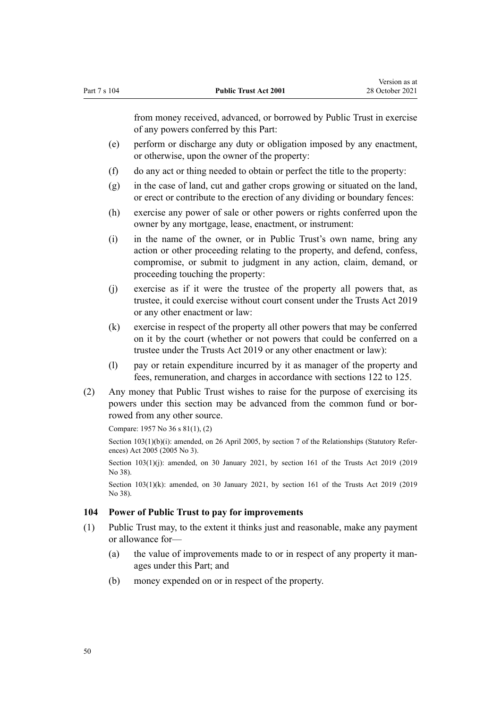<span id="page-49-0"></span>from money received, advanced, or borrowed by Public Trust in exercise of any powers conferred by this Part:

- (e) perform or discharge any duty or obligation imposed by any enactment, or otherwise, upon the owner of the property:
- (f) do any act or thing needed to obtain or perfect the title to the property:
- (g) in the case of land, cut and gather crops growing or situated on the land, or erect or contribute to the erection of any dividing or boundary fences:
- (h) exercise any power of sale or other powers or rights conferred upon the owner by any mortgage, lease, enactment, or instrument:
- (i) in the name of the owner, or in Public Trust's own name, bring any action or other proceeding relating to the property, and defend, confess, compromise, or submit to judgment in any action, claim, demand, or proceeding touching the property:
- (j) exercise as if it were the trustee of the property all powers that, as trustee, it could exercise without court consent under the [Trusts Act 2019](http://legislation.govt.nz/pdflink.aspx?id=DLM7382802) or any other enactment or law:
- (k) exercise in respect of the property all other powers that may be conferred on it by the court (whether or not powers that could be conferred on a trustee under the [Trusts Act 2019](http://legislation.govt.nz/pdflink.aspx?id=DLM7382802) or any other enactment or law):
- (l) pay or retain expenditure incurred by it as manager of the property and fees, remuneration, and charges in accordance with [sections 122 to 125.](#page-57-0)
- (2) Any money that Public Trust wishes to raise for the purpose of exercising its powers under this section may be advanced from the common fund or borrowed from any other source.

Compare: 1957 No 36 s 81(1), (2)

Section 103(1)(b)(i): amended, on 26 April 2005, by [section 7](http://legislation.govt.nz/pdflink.aspx?id=DLM333795) of the Relationships (Statutory References) Act 2005 (2005 No 3).

Section 103(1)(j): amended, on 30 January 2021, by [section 161](http://legislation.govt.nz/pdflink.aspx?id=DLM7383110) of the Trusts Act 2019 (2019) No 38).

Section 103(1)(k): amended, on 30 January 2021, by [section 161](http://legislation.govt.nz/pdflink.aspx?id=DLM7383110) of the Trusts Act 2019 (2019) No 38).

#### **104 Power of Public Trust to pay for improvements**

- (1) Public Trust may, to the extent it thinks just and reasonable, make any payment or allowance for—
	- (a) the value of improvements made to or in respect of any property it manages under this Part; and
	- (b) money expended on or in respect of the property.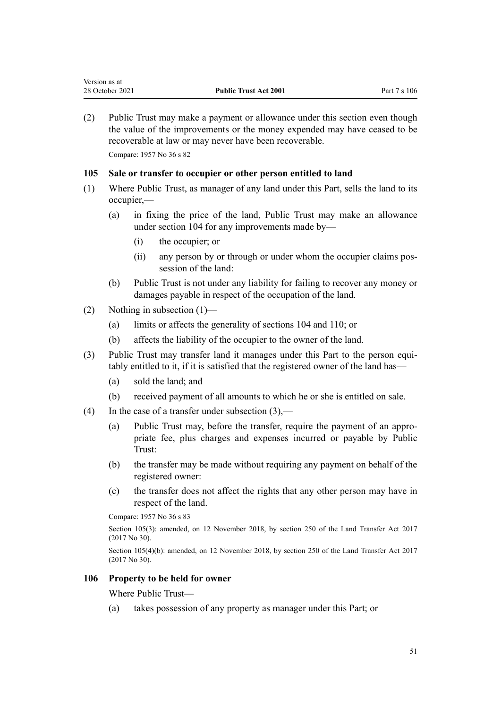(2) Public Trust may make a payment or allowance under this section even though the value of the improvements or the money expended may have ceased to be recoverable at law or may never have been recoverable.

Compare: 1957 No 36 s 82

Version as at

## **105 Sale or transfer to occupier or other person entitled to land**

- (1) Where Public Trust, as manager of any land under this Part, sells the land to its occupier,—
	- (a) in fixing the price of the land, Public Trust may make an allowance under [section 104](#page-49-0) for any improvements made by—
		- (i) the occupier; or
		- (ii) any person by or through or under whom the occupier claims possession of the land:
	- (b) Public Trust is not under any liability for failing to recover any money or damages payable in respect of the occupation of the land.
- (2) Nothing in subsection (1)—
	- (a) limits or affects the generality of [sections 104](#page-49-0) and [110;](#page-53-0) or
	- (b) affects the liability of the occupier to the owner of the land.
- (3) Public Trust may transfer land it manages under this Part to the person equitably entitled to it, if it is satisfied that the registered owner of the land has—
	- (a) sold the land; and
	- (b) received payment of all amounts to which he or she is entitled on sale.
- (4) In the case of a transfer under subsection  $(3)$ ,—
	- (a) Public Trust may, before the transfer, require the payment of an appro‐ priate fee, plus charges and expenses incurred or payable by Public Trust:
	- (b) the transfer may be made without requiring any payment on behalf of the registered owner:
	- (c) the transfer does not affect the rights that any other person may have in respect of the land.

Compare: 1957 No 36 s 83

Section 105(3): amended, on 12 November 2018, by [section 250](http://legislation.govt.nz/pdflink.aspx?id=DLM6731493) of the Land Transfer Act 2017 (2017 No 30).

Section 105(4)(b): amended, on 12 November 2018, by [section 250](http://legislation.govt.nz/pdflink.aspx?id=DLM6731493) of the Land Transfer Act 2017 (2017 No 30).

### **106 Property to be held for owner**

Where Public Trust—

(a) takes possession of any property as manager under this Part; or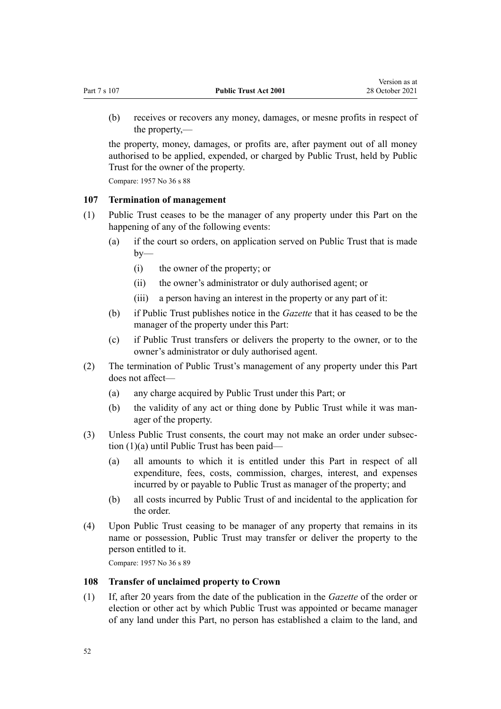<span id="page-51-0"></span>(b) receives or recovers any money, damages, or mesne profits in respect of the property,—

the property, money, damages, or profits are, after payment out of all money authorised to be applied, expended, or charged by Public Trust, held by Public Trust for the owner of the property.

Compare: 1957 No 36 s 88

#### **107 Termination of management**

- (1) Public Trust ceases to be the manager of any property under this Part on the happening of any of the following events:
	- (a) if the court so orders, on application served on Public Trust that is made  $by-$ 
		- (i) the owner of the property; or
		- (ii) the owner's administrator or duly authorised agent; or
		- (iii) a person having an interest in the property or any part of it:
	- (b) if Public Trust publishes notice in the *Gazette* that it has ceased to be the manager of the property under this Part:
	- (c) if Public Trust transfers or delivers the property to the owner, or to the owner's administrator or duly authorised agent.
- (2) The termination of Public Trust's management of any property under this Part does not affect—
	- (a) any charge acquired by Public Trust under this Part; or
	- (b) the validity of any act or thing done by Public Trust while it was man‐ ager of the property.
- (3) Unless Public Trust consents, the court may not make an order under subsec‐ tion (1)(a) until Public Trust has been paid—
	- (a) all amounts to which it is entitled under this Part in respect of all expenditure, fees, costs, commission, charges, interest, and expenses incurred by or payable to Public Trust as manager of the property; and
	- (b) all costs incurred by Public Trust of and incidental to the application for the order.
- (4) Upon Public Trust ceasing to be manager of any property that remains in its name or possession, Public Trust may transfer or deliver the property to the person entitled to it.

Compare: 1957 No 36 s 89

#### **108 Transfer of unclaimed property to Crown**

(1) If, after 20 years from the date of the publication in the *Gazette* of the order or election or other act by which Public Trust was appointed or became manager of any land under this Part, no person has established a claim to the land, and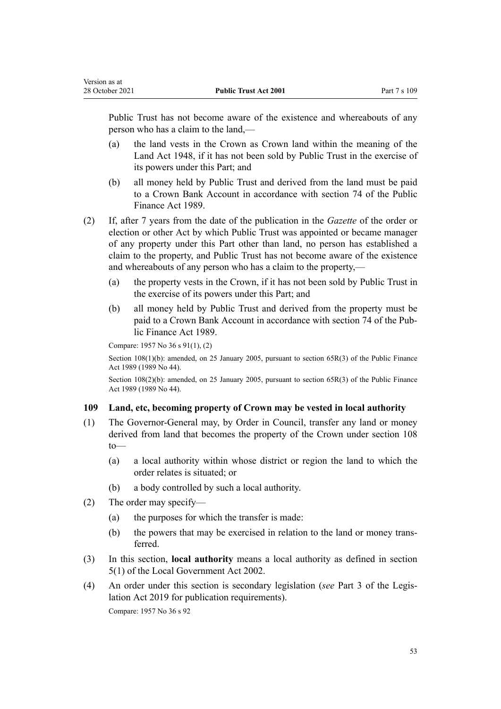Public Trust has not become aware of the existence and whereabouts of any person who has a claim to the land,—

- (a) the land vests in the Crown as Crown land within the meaning of the [Land Act 1948](http://legislation.govt.nz/pdflink.aspx?id=DLM250585), if it has not been sold by Public Trust in the exercise of its powers under this Part; and
- (b) all money held by Public Trust and derived from the land must be paid to a Crown Bank Account in accordance with [section 74](http://legislation.govt.nz/pdflink.aspx?id=DLM163141) of the Public Finance Act 1989.
- (2) If, after 7 years from the date of the publication in the *Gazette* of the order or election or other Act by which Public Trust was appointed or became manager of any property under this Part other than land, no person has established a claim to the property, and Public Trust has not become aware of the existence and whereabouts of any person who has a claim to the property,—
	- (a) the property vests in the Crown, if it has not been sold by Public Trust in the exercise of its powers under this Part; and
	- (b) all money held by Public Trust and derived from the property must be paid to a Crown Bank Account in accordance with [section 74](http://legislation.govt.nz/pdflink.aspx?id=DLM163141) of the Pub‐ lic Finance Act 1989.

Compare: 1957 No 36 s 91(1), (2)

Section 108(1)(b): amended, on 25 January 2005, pursuant to [section 65R\(3\)](http://legislation.govt.nz/pdflink.aspx?id=DLM162942) of the Public Finance Act 1989 (1989 No 44).

Section 108(2)(b): amended, on 25 January 2005, pursuant to [section 65R\(3\)](http://legislation.govt.nz/pdflink.aspx?id=DLM162942) of the Public Finance Act 1989 (1989 No 44).

### **109 Land, etc, becoming property of Crown may be vested in local authority**

- (1) The Governor-General may, by Order in Council, transfer any land or money derived from land that becomes the property of the Crown under [section 108](#page-51-0) to—
	- (a) a local authority within whose district or region the land to which the order relates is situated; or
	- (b) a body controlled by such a local authority.
- (2) The order may specify—
	- (a) the purposes for which the transfer is made:
	- (b) the powers that may be exercised in relation to the land or money transferred.
- (3) In this section, **local authority** means a local authority as defined in [section](http://legislation.govt.nz/pdflink.aspx?id=DLM170881) [5\(1\)](http://legislation.govt.nz/pdflink.aspx?id=DLM170881) of the [Local Government Act 2002.](http://legislation.govt.nz/pdflink.aspx?id=DLM170872)
- (4) An order under this section is secondary legislation (*see* [Part 3](http://legislation.govt.nz/pdflink.aspx?id=DLM7298343) of the Legis‐ lation Act 2019 for publication requirements).

Compare: 1957 No 36 s 92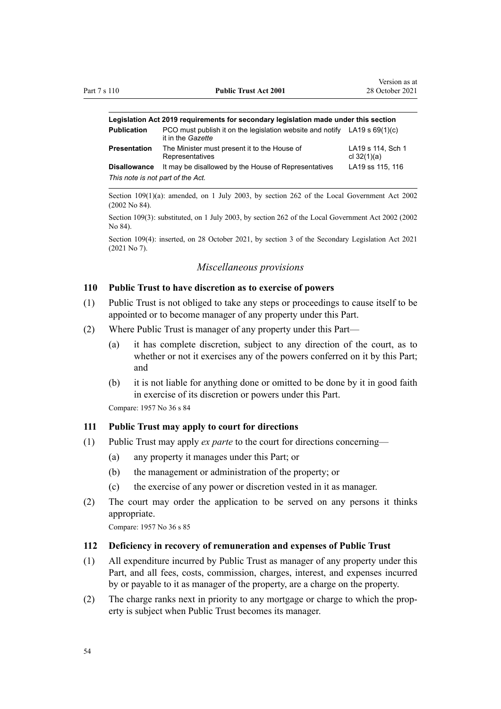<span id="page-53-0"></span>

| Legislation Act 2019 requirements for secondary legislation made under this section |                                                                                                  |                                    |  |
|-------------------------------------------------------------------------------------|--------------------------------------------------------------------------------------------------|------------------------------------|--|
| <b>Publication</b>                                                                  | PCO must publish it on the legislation website and notify LA19 s $69(1)(c)$<br>it in the Gazette |                                    |  |
| Presentation                                                                        | The Minister must present it to the House of<br>Representatives                                  | LA19 s 114, Sch 1<br>cl $32(1)(a)$ |  |
| <b>Disallowance</b>                                                                 | It may be disallowed by the House of Representatives                                             | LA19 ss 115, 116                   |  |
| This note is not part of the Act.                                                   |                                                                                                  |                                    |  |

Section 109(1)(a): amended, on 1 July 2003, by [section 262](http://legislation.govt.nz/pdflink.aspx?id=DLM174088) of the Local Government Act 2002 (2002 No 84).

Section 109(3): substituted, on 1 July 2003, by [section 262](http://legislation.govt.nz/pdflink.aspx?id=DLM174088) of the Local Government Act 2002 (2002 No 84).

Section 109(4): inserted, on 28 October 2021, by [section 3](http://legislation.govt.nz/pdflink.aspx?id=LMS268932) of the Secondary Legislation Act 2021 (2021 No 7).

#### *Miscellaneous provisions*

#### **110 Public Trust to have discretion as to exercise of powers**

- (1) Public Trust is not obliged to take any steps or proceedings to cause itself to be appointed or to become manager of any property under this Part.
- (2) Where Public Trust is manager of any property under this Part—
	- (a) it has complete discretion, subject to any direction of the court, as to whether or not it exercises any of the powers conferred on it by this Part; and
	- (b) it is not liable for anything done or omitted to be done by it in good faith in exercise of its discretion or powers under this Part.

Compare: 1957 No 36 s 84

### **111 Public Trust may apply to court for directions**

- (1) Public Trust may apply *ex parte* to the court for directions concerning—
	- (a) any property it manages under this Part; or
	- (b) the management or administration of the property; or
	- (c) the exercise of any power or discretion vested in it as manager.
- (2) The court may order the application to be served on any persons it thinks appropriate.

Compare: 1957 No 36 s 85

#### **112 Deficiency in recovery of remuneration and expenses of Public Trust**

- (1) All expenditure incurred by Public Trust as manager of any property under this Part, and all fees, costs, commission, charges, interest, and expenses incurred by or payable to it as manager of the property, are a charge on the property.
- (2) The charge ranks next in priority to any mortgage or charge to which the prop‐ erty is subject when Public Trust becomes its manager.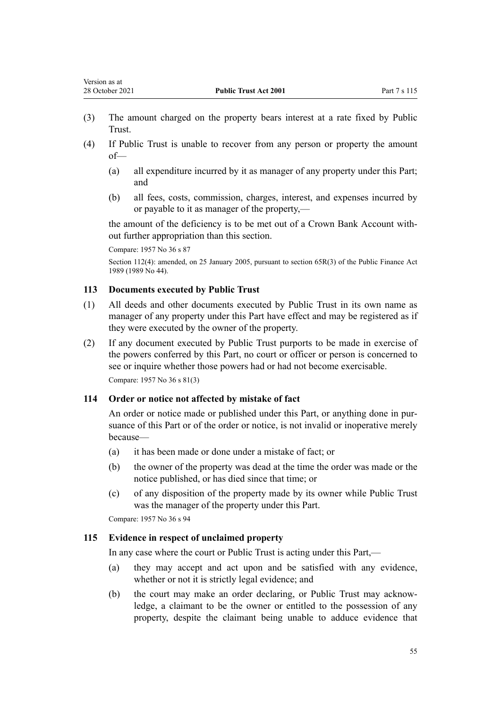- (3) The amount charged on the property bears interest at a rate fixed by Public Trust.
- (4) If Public Trust is unable to recover from any person or property the amount of—
	- (a) all expenditure incurred by it as manager of any property under this Part; and
	- (b) all fees, costs, commission, charges, interest, and expenses incurred by or payable to it as manager of the property,—

the amount of the deficiency is to be met out of a Crown Bank Account with‐ out further appropriation than this section.

Compare: 1957 No 36 s 87

Section 112(4): amended, on 25 January 2005, pursuant to [section 65R\(3\)](http://legislation.govt.nz/pdflink.aspx?id=DLM162942) of the Public Finance Act 1989 (1989 No 44).

## **113 Documents executed by Public Trust**

- (1) All deeds and other documents executed by Public Trust in its own name as manager of any property under this Part have effect and may be registered as if they were executed by the owner of the property.
- (2) If any document executed by Public Trust purports to be made in exercise of the powers conferred by this Part, no court or officer or person is concerned to see or inquire whether those powers had or had not become exercisable. Compare: 1957 No 36 s 81(3)

### **114 Order or notice not affected by mistake of fact**

An order or notice made or published under this Part, or anything done in pursuance of this Part or of the order or notice, is not invalid or inoperative merely because—

- (a) it has been made or done under a mistake of fact; or
- (b) the owner of the property was dead at the time the order was made or the notice published, or has died since that time; or
- (c) of any disposition of the property made by its owner while Public Trust was the manager of the property under this Part.

Compare: 1957 No 36 s 94

## **115 Evidence in respect of unclaimed property**

In any case where the court or Public Trust is acting under this Part,—

- (a) they may accept and act upon and be satisfied with any evidence, whether or not it is strictly legal evidence; and
- (b) the court may make an order declaring, or Public Trust may acknowledge, a claimant to be the owner or entitled to the possession of any property, despite the claimant being unable to adduce evidence that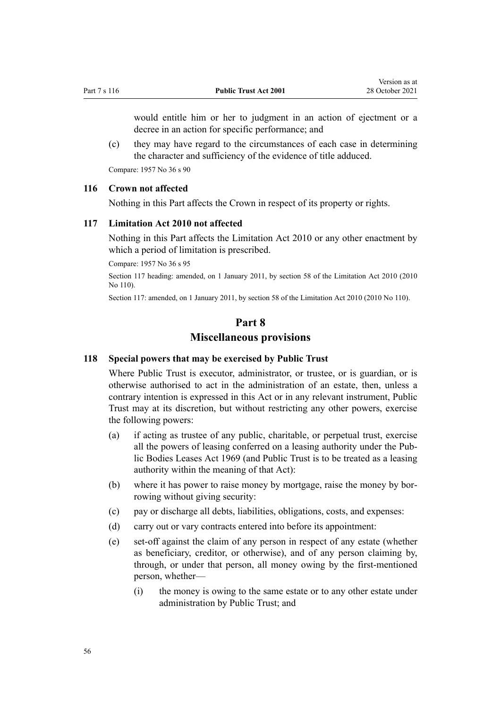would entitle him or her to judgment in an action of ejectment or a decree in an action for specific performance; and

(c) they may have regard to the circumstances of each case in determining the character and sufficiency of the evidence of title adduced.

Compare: 1957 No 36 s 90

### **116 Crown not affected**

Nothing in this Part affects the Crown in respect of its property or rights.

### **117 Limitation Act 2010 not affected**

Nothing in this Part affects the [Limitation Act 2010](http://legislation.govt.nz/pdflink.aspx?id=DLM2033100) or any other enactment by which a period of limitation is prescribed.

Compare: 1957 No 36 s 95

Section 117 heading: amended, on 1 January 2011, by [section 58](http://legislation.govt.nz/pdflink.aspx?id=DLM2033287) of the Limitation Act 2010 (2010 No 110).

Section 117: amended, on 1 January 2011, by [section 58](http://legislation.govt.nz/pdflink.aspx?id=DLM2033287) of the Limitation Act 2010 (2010 No 110).

# **Part 8 Miscellaneous provisions**

#### **118 Special powers that may be exercised by Public Trust**

Where Public Trust is executor, administrator, or trustee, or is guardian, or is otherwise authorised to act in the administration of an estate, then, unless a contrary intention is expressed in this Act or in any relevant instrument, Public Trust may at its discretion, but without restricting any other powers, exercise the following powers:

- (a) if acting as trustee of any public, charitable, or perpetual trust, exercise all the powers of leasing conferred on a leasing authority under the [Pub‐](http://legislation.govt.nz/pdflink.aspx?id=DLM394841) [lic Bodies Leases Act 1969](http://legislation.govt.nz/pdflink.aspx?id=DLM394841) (and Public Trust is to be treated as a leasing authority within the meaning of that Act):
- (b) where it has power to raise money by mortgage, raise the money by borrowing without giving security:
- (c) pay or discharge all debts, liabilities, obligations, costs, and expenses:
- (d) carry out or vary contracts entered into before its appointment:
- (e) set-off against the claim of any person in respect of any estate (whether as beneficiary, creditor, or otherwise), and of any person claiming by, through, or under that person, all money owing by the first-mentioned person, whether—
	- (i) the money is owing to the same estate or to any other estate under administration by Public Trust; and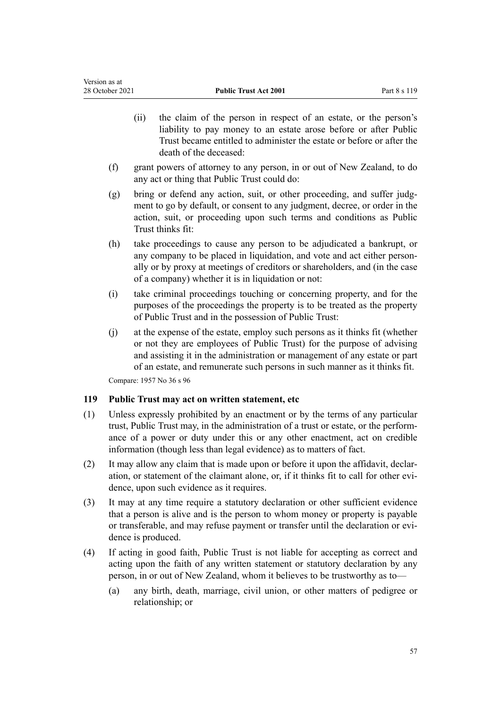- (ii) the claim of the person in respect of an estate, or the person's liability to pay money to an estate arose before or after Public Trust became entitled to administer the estate or before or after the death of the deceased:
- (f) grant powers of attorney to any person, in or out of New Zealand, to do any act or thing that Public Trust could do:
- (g) bring or defend any action, suit, or other proceeding, and suffer judgment to go by default, or consent to any judgment, decree, or order in the action, suit, or proceeding upon such terms and conditions as Public Trust thinks fit:
- (h) take proceedings to cause any person to be adjudicated a bankrupt, or any company to be placed in liquidation, and vote and act either personally or by proxy at meetings of creditors or shareholders, and (in the case of a company) whether it is in liquidation or not:
- (i) take criminal proceedings touching or concerning property, and for the purposes of the proceedings the property is to be treated as the property of Public Trust and in the possession of Public Trust:
- (j) at the expense of the estate, employ such persons as it thinks fit (whether or not they are employees of Public Trust) for the purpose of advising and assisting it in the administration or management of any estate or part of an estate, and remunerate such persons in such manner as it thinks fit.

### **119 Public Trust may act on written statement, etc**

- (1) Unless expressly prohibited by an enactment or by the terms of any particular trust, Public Trust may, in the administration of a trust or estate, or the perform‐ ance of a power or duty under this or any other enactment, act on credible information (though less than legal evidence) as to matters of fact.
- (2) It may allow any claim that is made upon or before it upon the affidavit, declar‐ ation, or statement of the claimant alone, or, if it thinks fit to call for other evi‐ dence, upon such evidence as it requires.
- (3) It may at any time require a statutory declaration or other sufficient evidence that a person is alive and is the person to whom money or property is payable or transferable, and may refuse payment or transfer until the declaration or evidence is produced.
- (4) If acting in good faith, Public Trust is not liable for accepting as correct and acting upon the faith of any written statement or statutory declaration by any person, in or out of New Zealand, whom it believes to be trustworthy as to—
	- (a) any birth, death, marriage, civil union, or other matters of pedigree or relationship; or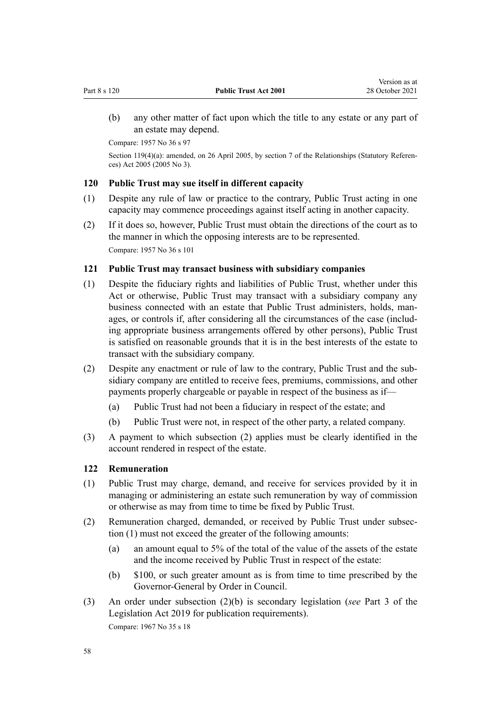<span id="page-57-0"></span>(b) any other matter of fact upon which the title to any estate or any part of an estate may depend.

Compare: 1957 No 36 s 97

Section 119(4)(a): amended, on 26 April 2005, by [section 7](http://legislation.govt.nz/pdflink.aspx?id=DLM333795) of the Relationships (Statutory References) Act 2005 (2005 No 3).

### **120 Public Trust may sue itself in different capacity**

- (1) Despite any rule of law or practice to the contrary, Public Trust acting in one capacity may commence proceedings against itself acting in another capacity.
- (2) If it does so, however, Public Trust must obtain the directions of the court as to the manner in which the opposing interests are to be represented. Compare: 1957 No 36 s 101

### **121 Public Trust may transact business with subsidiary companies**

- (1) Despite the fiduciary rights and liabilities of Public Trust, whether under this Act or otherwise, Public Trust may transact with a subsidiary company any business connected with an estate that Public Trust administers, holds, man‐ ages, or controls if, after considering all the circumstances of the case (including appropriate business arrangements offered by other persons), Public Trust is satisfied on reasonable grounds that it is in the best interests of the estate to transact with the subsidiary company.
- (2) Despite any enactment or rule of law to the contrary, Public Trust and the sub‐ sidiary company are entitled to receive fees, premiums, commissions, and other payments properly chargeable or payable in respect of the business as if—
	- (a) Public Trust had not been a fiduciary in respect of the estate; and
	- (b) Public Trust were not, in respect of the other party, a related company.
- (3) A payment to which subsection (2) applies must be clearly identified in the account rendered in respect of the estate.

#### **122 Remuneration**

- (1) Public Trust may charge, demand, and receive for services provided by it in managing or administering an estate such remuneration by way of commission or otherwise as may from time to time be fixed by Public Trust.
- (2) Remuneration charged, demanded, or received by Public Trust under subsec‐ tion (1) must not exceed the greater of the following amounts:
	- (a) an amount equal to 5% of the total of the value of the assets of the estate and the income received by Public Trust in respect of the estate:
	- (b) \$100, or such greater amount as is from time to time prescribed by the Governor-General by Order in Council.
- (3) An order under subsection (2)(b) is secondary legislation (*see* [Part 3](http://legislation.govt.nz/pdflink.aspx?id=DLM7298343) of the Legislation Act 2019 for publication requirements). Compare: 1967 No 35 [s 18](http://legislation.govt.nz/pdflink.aspx?id=DLM381473)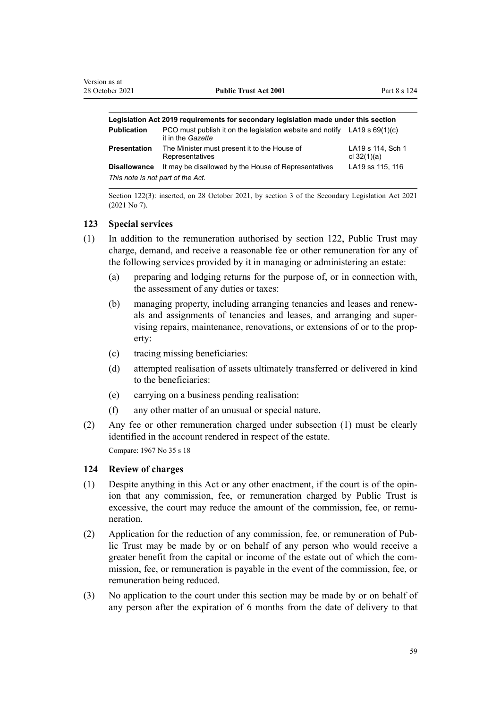| Legislation Act 2019 requirements for secondary legislation made under this section |                                                                                                  |                                    |  |
|-------------------------------------------------------------------------------------|--------------------------------------------------------------------------------------------------|------------------------------------|--|
| <b>Publication</b>                                                                  | PCO must publish it on the legislation website and notify LA19 s $69(1)(c)$<br>it in the Gazette |                                    |  |
| <b>Presentation</b>                                                                 | The Minister must present it to the House of<br>Representatives                                  | LA19 s 114, Sch 1<br>cl $32(1)(a)$ |  |
| <b>Disallowance</b>                                                                 | It may be disallowed by the House of Representatives                                             | LA19 ss 115, 116                   |  |
| This note is not part of the Act.                                                   |                                                                                                  |                                    |  |

Section 122(3): inserted, on 28 October 2021, by [section 3](http://legislation.govt.nz/pdflink.aspx?id=LMS268932) of the Secondary Legislation Act 2021 (2021 No 7).

#### **123 Special services**

- (1) In addition to the remuneration authorised by [section 122](#page-57-0), Public Trust may charge, demand, and receive a reasonable fee or other remuneration for any of the following services provided by it in managing or administering an estate:
	- (a) preparing and lodging returns for the purpose of, or in connection with, the assessment of any duties or taxes:
	- (b) managing property, including arranging tenancies and leases and renew‐ als and assignments of tenancies and leases, and arranging and super‐ vising repairs, maintenance, renovations, or extensions of or to the prop‐ erty:
	- (c) tracing missing beneficiaries:
	- (d) attempted realisation of assets ultimately transferred or delivered in kind to the beneficiaries:
	- (e) carrying on a business pending realisation:
	- (f) any other matter of an unusual or special nature.
- (2) Any fee or other remuneration charged under subsection (1) must be clearly identified in the account rendered in respect of the estate. Compare: 1967 No 35 [s 18](http://legislation.govt.nz/pdflink.aspx?id=DLM381473)

### **124 Review of charges**

- (1) Despite anything in this Act or any other enactment, if the court is of the opin‐ ion that any commission, fee, or remuneration charged by Public Trust is excessive, the court may reduce the amount of the commission, fee, or remuneration.
- (2) Application for the reduction of any commission, fee, or remuneration of Pub‐ lic Trust may be made by or on behalf of any person who would receive a greater benefit from the capital or income of the estate out of which the commission, fee, or remuneration is payable in the event of the commission, fee, or remuneration being reduced.
- (3) No application to the court under this section may be made by or on behalf of any person after the expiration of 6 months from the date of delivery to that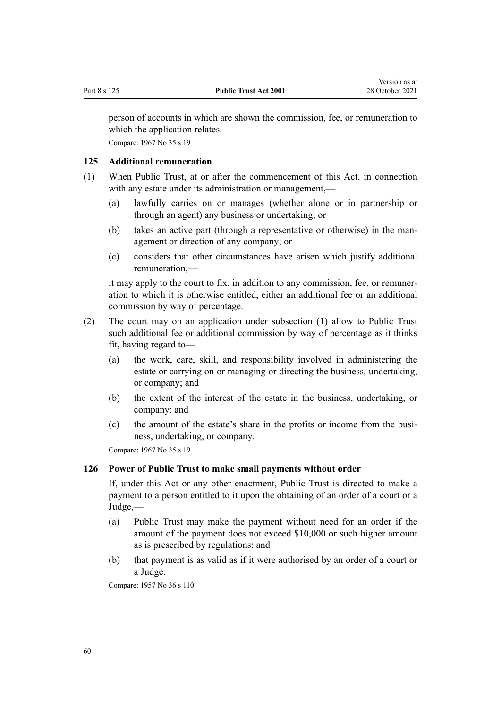<span id="page-59-0"></span>person of accounts in which are shown the commission, fee, or remuneration to which the application relates.

Compare: 1967 No 35 [s 19](http://legislation.govt.nz/pdflink.aspx?id=DLM381476)

## **125 Additional remuneration**

- (1) When Public Trust, at or after the commencement of this Act, in connection with any estate under its administration or management,—
	- (a) lawfully carries on or manages (whether alone or in partnership or through an agent) any business or undertaking; or
	- (b) takes an active part (through a representative or otherwise) in the man‐ agement or direction of any company; or
	- (c) considers that other circumstances have arisen which justify additional remuneration,—

it may apply to the court to fix, in addition to any commission, fee, or remuner‐ ation to which it is otherwise entitled, either an additional fee or an additional commission by way of percentage.

- (2) The court may on an application under subsection (1) allow to Public Trust such additional fee or additional commission by way of percentage as it thinks fit, having regard to—
	- (a) the work, care, skill, and responsibility involved in administering the estate or carrying on or managing or directing the business, undertaking, or company; and
	- (b) the extent of the interest of the estate in the business, undertaking, or company; and
	- (c) the amount of the estate's share in the profits or income from the business, undertaking, or company.

Compare: 1967 No 35 [s 19](http://legislation.govt.nz/pdflink.aspx?id=DLM381476)

### **126 Power of Public Trust to make small payments without order**

If, under this Act or any other enactment, Public Trust is directed to make a payment to a person entitled to it upon the obtaining of an order of a court or a Judge,—

- (a) Public Trust may make the payment without need for an order if the amount of the payment does not exceed \$10,000 or such higher amount as is prescribed by regulations; and
- (b) that payment is as valid as if it were authorised by an order of a court or a Judge.

Compare: 1957 No 36 s 110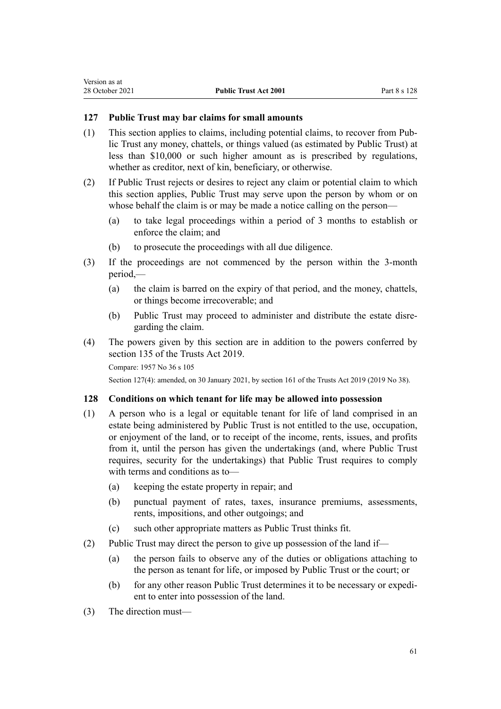### <span id="page-60-0"></span>**127 Public Trust may bar claims for small amounts**

- (1) This section applies to claims, including potential claims, to recover from Pub‐ lic Trust any money, chattels, or things valued (as estimated by Public Trust) at less than \$10,000 or such higher amount as is prescribed by regulations, whether as creditor, next of kin, beneficiary, or otherwise.
- (2) If Public Trust rejects or desires to reject any claim or potential claim to which this section applies, Public Trust may serve upon the person by whom or on whose behalf the claim is or may be made a notice calling on the person-
	- (a) to take legal proceedings within a period of 3 months to establish or enforce the claim; and
	- (b) to prosecute the proceedings with all due diligence.
- (3) If the proceedings are not commenced by the person within the 3-month period,—
	- (a) the claim is barred on the expiry of that period, and the money, chattels, or things become irrecoverable; and
	- (b) Public Trust may proceed to administer and distribute the estate disre‐ garding the claim.
- (4) The powers given by this section are in addition to the powers conferred by [section 135](http://legislation.govt.nz/pdflink.aspx?id=DLM7383062) of the Trusts Act 2019.

Compare: 1957 No 36 s 105

Section 127(4): amended, on 30 January 2021, by [section 161](http://legislation.govt.nz/pdflink.aspx?id=DLM7383110) of the Trusts Act 2019 (2019 No 38).

#### **128 Conditions on which tenant for life may be allowed into possession**

- (1) A person who is a legal or equitable tenant for life of land comprised in an estate being administered by Public Trust is not entitled to the use, occupation, or enjoyment of the land, or to receipt of the income, rents, issues, and profits from it, until the person has given the undertakings (and, where Public Trust requires, security for the undertakings) that Public Trust requires to comply with terms and conditions as to—
	- (a) keeping the estate property in repair; and
	- (b) punctual payment of rates, taxes, insurance premiums, assessments, rents, impositions, and other outgoings; and
	- (c) such other appropriate matters as Public Trust thinks fit.
- (2) Public Trust may direct the person to give up possession of the land if—
	- (a) the person fails to observe any of the duties or obligations attaching to the person as tenant for life, or imposed by Public Trust or the court; or
	- (b) for any other reason Public Trust determines it to be necessary or expedient to enter into possession of the land.
- (3) The direction must—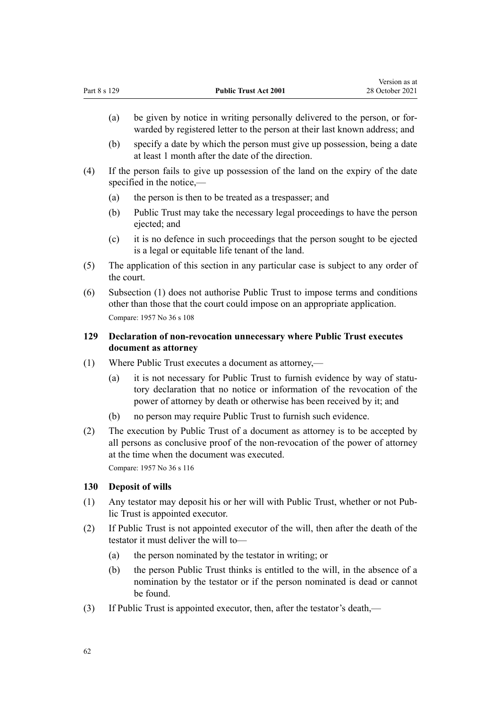- (a) be given by notice in writing personally delivered to the person, or for‐ warded by registered letter to the person at their last known address; and
- (b) specify a date by which the person must give up possession, being a date at least 1 month after the date of the direction.
- (4) If the person fails to give up possession of the land on the expiry of the date specified in the notice,—
	- (a) the person is then to be treated as a trespasser; and
	- (b) Public Trust may take the necessary legal proceedings to have the person ejected; and
	- (c) it is no defence in such proceedings that the person sought to be ejected is a legal or equitable life tenant of the land.
- (5) The application of this section in any particular case is subject to any order of the court.
- (6) Subsection (1) does not authorise Public Trust to impose terms and conditions other than those that the court could impose on an appropriate application. Compare: 1957 No 36 s 108

## **129 Declaration of non-revocation unnecessary where Public Trust executes document as attorney**

- (1) Where Public Trust executes a document as attorney,—
	- (a) it is not necessary for Public Trust to furnish evidence by way of statutory declaration that no notice or information of the revocation of the power of attorney by death or otherwise has been received by it; and
	- (b) no person may require Public Trust to furnish such evidence.
- (2) The execution by Public Trust of a document as attorney is to be accepted by all persons as conclusive proof of the non-revocation of the power of attorney at the time when the document was executed.

Compare: 1957 No 36 s 116

### **130 Deposit of wills**

- (1) Any testator may deposit his or her will with Public Trust, whether or not Pub‐ lic Trust is appointed executor.
- (2) If Public Trust is not appointed executor of the will, then after the death of the testator it must deliver the will to—
	- (a) the person nominated by the testator in writing; or
	- (b) the person Public Trust thinks is entitled to the will, in the absence of a nomination by the testator or if the person nominated is dead or cannot be found.
- (3) If Public Trust is appointed executor, then, after the testator's death,—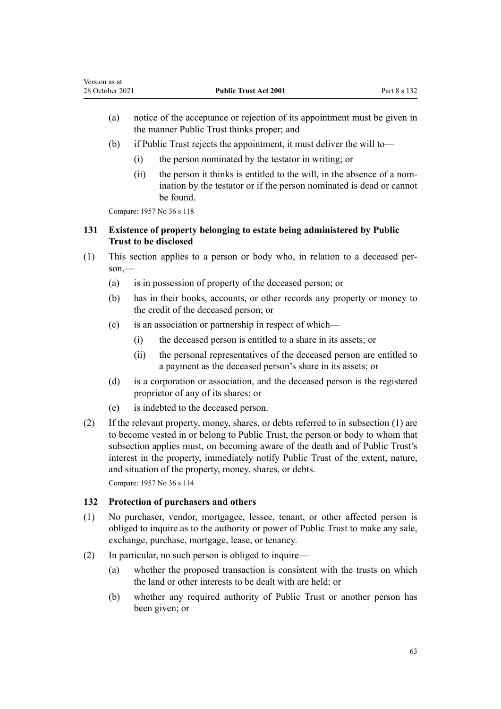- (a) notice of the acceptance or rejection of its appointment must be given in the manner Public Trust thinks proper; and
- (b) if Public Trust rejects the appointment, it must deliver the will to—
	- (i) the person nominated by the testator in writing; or
	- (ii) the person it thinks is entitled to the will, in the absence of a nomination by the testator or if the person nominated is dead or cannot be found.

## **131 Existence of property belonging to estate being administered by Public Trust to be disclosed**

- (1) This section applies to a person or body who, in relation to a deceased per‐ son,—
	- (a) is in possession of property of the deceased person; or
	- (b) has in their books, accounts, or other records any property or money to the credit of the deceased person; or
	- (c) is an association or partnership in respect of which—
		- (i) the deceased person is entitled to a share in its assets; or
		- (ii) the personal representatives of the deceased person are entitled to a payment as the deceased person's share in its assets; or
	- (d) is a corporation or association, and the deceased person is the registered proprietor of any of its shares; or
	- (e) is indebted to the deceased person.
- (2) If the relevant property, money, shares, or debts referred to in subsection (1) are to become vested in or belong to Public Trust, the person or body to whom that subsection applies must, on becoming aware of the death and of Public Trust's interest in the property, immediately notify Public Trust of the extent, nature, and situation of the property, money, shares, or debts. Compare: 1957 No 36 s 114

## **132 Protection of purchasers and others**

- (1) No purchaser, vendor, mortgagee, lessee, tenant, or other affected person is obliged to inquire as to the authority or power of Public Trust to make any sale, exchange, purchase, mortgage, lease, or tenancy.
- (2) In particular, no such person is obliged to inquire—
	- (a) whether the proposed transaction is consistent with the trusts on which the land or other interests to be dealt with are held; or
	- (b) whether any required authority of Public Trust or another person has been given; or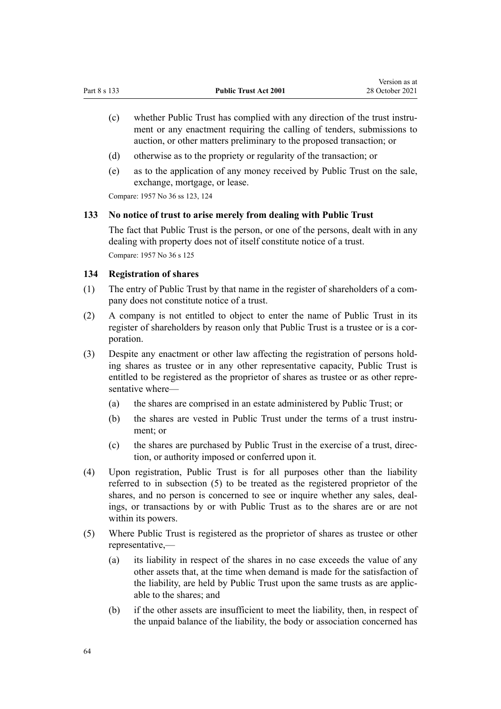- (c) whether Public Trust has complied with any direction of the trust instru‐ ment or any enactment requiring the calling of tenders, submissions to auction, or other matters preliminary to the proposed transaction; or
- (d) otherwise as to the propriety or regularity of the transaction; or
- (e) as to the application of any money received by Public Trust on the sale, exchange, mortgage, or lease.

Compare: 1957 No 36 ss 123, 124

#### **133 No notice of trust to arise merely from dealing with Public Trust**

The fact that Public Trust is the person, or one of the persons, dealt with in any dealing with property does not of itself constitute notice of a trust. Compare: 1957 No 36 s 125

#### **134 Registration of shares**

- (1) The entry of Public Trust by that name in the register of shareholders of a com‐ pany does not constitute notice of a trust.
- (2) A company is not entitled to object to enter the name of Public Trust in its register of shareholders by reason only that Public Trust is a trustee or is a corporation.
- (3) Despite any enactment or other law affecting the registration of persons hold‐ ing shares as trustee or in any other representative capacity, Public Trust is entitled to be registered as the proprietor of shares as trustee or as other representative where—
	- (a) the shares are comprised in an estate administered by Public Trust; or
	- (b) the shares are vested in Public Trust under the terms of a trust instrument; or
	- (c) the shares are purchased by Public Trust in the exercise of a trust, direction, or authority imposed or conferred upon it.
- (4) Upon registration, Public Trust is for all purposes other than the liability referred to in subsection (5) to be treated as the registered proprietor of the shares, and no person is concerned to see or inquire whether any sales, dealings, or transactions by or with Public Trust as to the shares are or are not within its powers.
- (5) Where Public Trust is registered as the proprietor of shares as trustee or other representative,—
	- (a) its liability in respect of the shares in no case exceeds the value of any other assets that, at the time when demand is made for the satisfaction of the liability, are held by Public Trust upon the same trusts as are applic‐ able to the shares; and
	- (b) if the other assets are insufficient to meet the liability, then, in respect of the unpaid balance of the liability, the body or association concerned has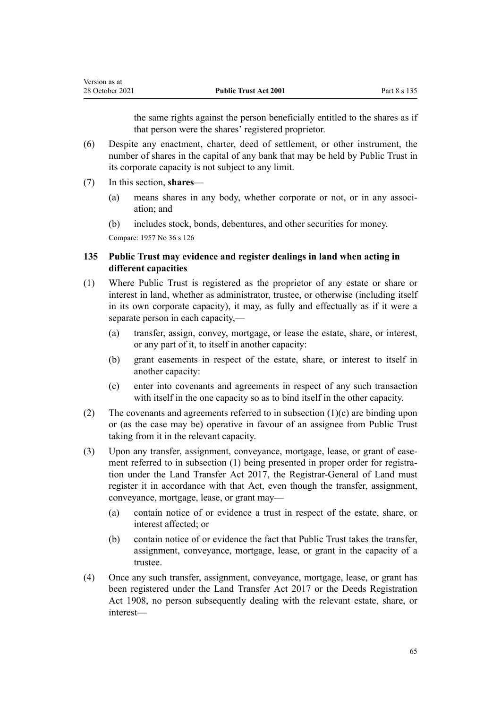the same rights against the person beneficially entitled to the shares as if that person were the shares' registered proprietor.

- (6) Despite any enactment, charter, deed of settlement, or other instrument, the number of shares in the capital of any bank that may be held by Public Trust in its corporate capacity is not subject to any limit.
- (7) In this section, **shares**
	- (a) means shares in any body, whether corporate or not, or in any association; and
	- (b) includes stock, bonds, debentures, and other securities for money.

Compare: 1957 No 36 s 126

## **135 Public Trust may evidence and register dealings in land when acting in different capacities**

- (1) Where Public Trust is registered as the proprietor of any estate or share or interest in land, whether as administrator, trustee, or otherwise (including itself in its own corporate capacity), it may, as fully and effectually as if it were a separate person in each capacity,—
	- (a) transfer, assign, convey, mortgage, or lease the estate, share, or interest, or any part of it, to itself in another capacity:
	- (b) grant easements in respect of the estate, share, or interest to itself in another capacity:
	- (c) enter into covenants and agreements in respect of any such transaction with itself in the one capacity so as to bind itself in the other capacity.
- (2) The covenants and agreements referred to in subsection  $(1)(c)$  are binding upon or (as the case may be) operative in favour of an assignee from Public Trust taking from it in the relevant capacity.
- (3) Upon any transfer, assignment, conveyance, mortgage, lease, or grant of ease‐ ment referred to in subsection (1) being presented in proper order for registration under the [Land Transfer Act 2017,](http://legislation.govt.nz/pdflink.aspx?id=DLM6731002) the Registrar-General of Land must register it in accordance with that Act, even though the transfer, assignment, conveyance, mortgage, lease, or grant may—
	- (a) contain notice of or evidence a trust in respect of the estate, share, or interest affected; or
	- (b) contain notice of or evidence the fact that Public Trust takes the transfer, assignment, conveyance, mortgage, lease, or grant in the capacity of a trustee.
- (4) Once any such transfer, assignment, conveyance, mortgage, lease, or grant has been registered under the [Land Transfer Act 2017](http://legislation.govt.nz/pdflink.aspx?id=DLM6731002) or the [Deeds Registration](http://legislation.govt.nz/pdflink.aspx?id=DLM141134) [Act 1908](http://legislation.govt.nz/pdflink.aspx?id=DLM141134), no person subsequently dealing with the relevant estate, share, or interest—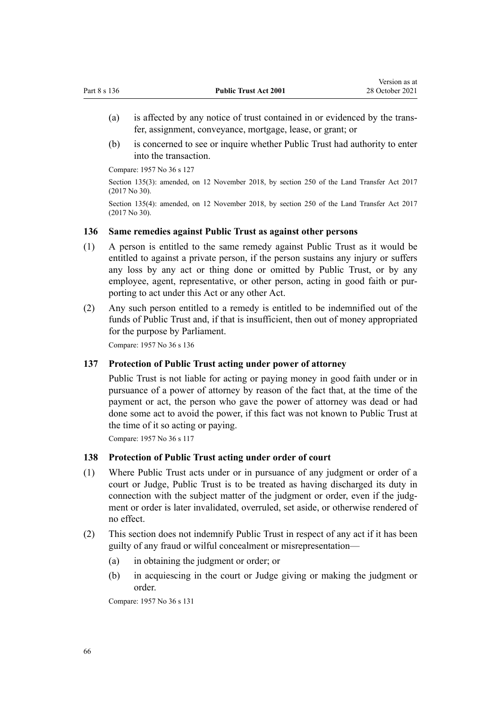- (a) is affected by any notice of trust contained in or evidenced by the trans‐ fer, assignment, conveyance, mortgage, lease, or grant; or
- (b) is concerned to see or inquire whether Public Trust had authority to enter into the transaction.

Section 135(3): amended, on 12 November 2018, by [section 250](http://legislation.govt.nz/pdflink.aspx?id=DLM6731493) of the Land Transfer Act 2017 (2017 No 30).

Section 135(4): amended, on 12 November 2018, by [section 250](http://legislation.govt.nz/pdflink.aspx?id=DLM6731493) of the Land Transfer Act 2017 (2017 No 30).

#### **136 Same remedies against Public Trust as against other persons**

- (1) A person is entitled to the same remedy against Public Trust as it would be entitled to against a private person, if the person sustains any injury or suffers any loss by any act or thing done or omitted by Public Trust, or by any employee, agent, representative, or other person, acting in good faith or purporting to act under this Act or any other Act.
- (2) Any such person entitled to a remedy is entitled to be indemnified out of the funds of Public Trust and, if that is insufficient, then out of money appropriated for the purpose by Parliament.

Compare: 1957 No 36 s 136

#### **137 Protection of Public Trust acting under power of attorney**

Public Trust is not liable for acting or paying money in good faith under or in pursuance of a power of attorney by reason of the fact that, at the time of the payment or act, the person who gave the power of attorney was dead or had done some act to avoid the power, if this fact was not known to Public Trust at the time of it so acting or paying.

Compare: 1957 No 36 s 117

#### **138 Protection of Public Trust acting under order of court**

- (1) Where Public Trust acts under or in pursuance of any judgment or order of a court or Judge, Public Trust is to be treated as having discharged its duty in connection with the subject matter of the judgment or order, even if the judgment or order is later invalidated, overruled, set aside, or otherwise rendered of no effect.
- (2) This section does not indemnify Public Trust in respect of any act if it has been guilty of any fraud or wilful concealment or misrepresentation—
	- (a) in obtaining the judgment or order; or
	- (b) in acquiescing in the court or Judge giving or making the judgment or order.

Compare: 1957 No 36 s 131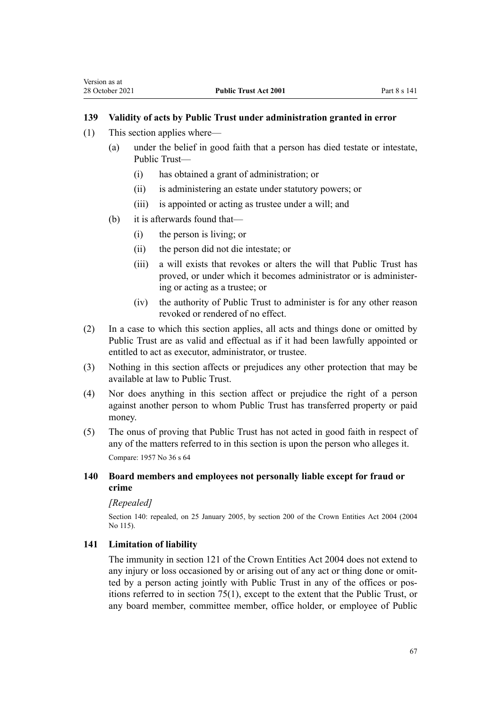## **139 Validity of acts by Public Trust under administration granted in error**

- (1) This section applies where—
	- (a) under the belief in good faith that a person has died testate or intestate, Public Trust—
		- (i) has obtained a grant of administration; or
		- (ii) is administering an estate under statutory powers; or
		- (iii) is appointed or acting as trustee under a will; and
	- (b) it is afterwards found that—
		- (i) the person is living; or
		- (ii) the person did not die intestate; or
		- (iii) a will exists that revokes or alters the will that Public Trust has proved, or under which it becomes administrator or is administer‐ ing or acting as a trustee; or
		- (iv) the authority of Public Trust to administer is for any other reason revoked or rendered of no effect.
- (2) In a case to which this section applies, all acts and things done or omitted by Public Trust are as valid and effectual as if it had been lawfully appointed or entitled to act as executor, administrator, or trustee.
- (3) Nothing in this section affects or prejudices any other protection that may be available at law to Public Trust.
- (4) Nor does anything in this section affect or prejudice the right of a person against another person to whom Public Trust has transferred property or paid money.
- (5) The onus of proving that Public Trust has not acted in good faith in respect of any of the matters referred to in this section is upon the person who alleges it. Compare: 1957 No 36 s 64

## **140 Board members and employees not personally liable except for fraud or crime**

### *[Repealed]*

Section 140: repealed, on 25 January 2005, by [section 200](http://legislation.govt.nz/pdflink.aspx?id=DLM331111) of the Crown Entities Act 2004 (2004 No 115).

## **141 Limitation of liability**

The immunity in [section 121](http://legislation.govt.nz/pdflink.aspx?id=DLM330373) of the Crown Entities Act 2004 does not extend to any injury or loss occasioned by or arising out of any act or thing done or omitted by a person acting jointly with Public Trust in any of the offices or pos‐ itions referred to in [section 75\(1\),](#page-32-0) except to the extent that the Public Trust, or any board member, committee member, office holder, or employee of Public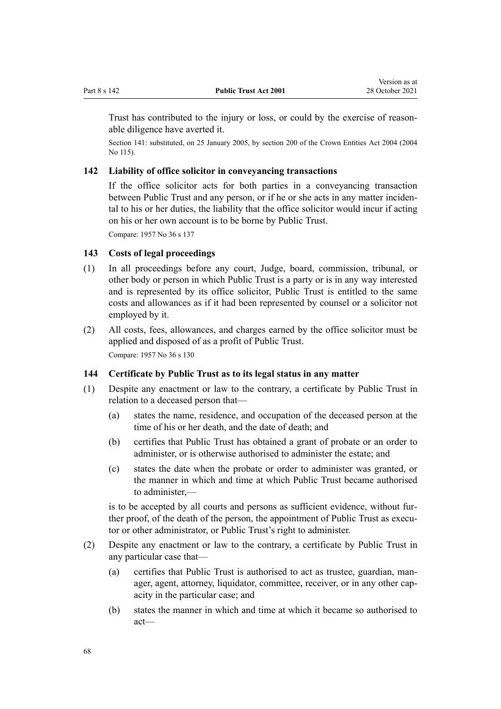<span id="page-67-0"></span>Trust has contributed to the injury or loss, or could by the exercise of reasonable diligence have averted it.

Section 141: substituted, on 25 January 2005, by [section 200](http://legislation.govt.nz/pdflink.aspx?id=DLM331111) of the Crown Entities Act 2004 (2004) No 115).

### **142 Liability of office solicitor in conveyancing transactions**

If the office solicitor acts for both parties in a conveyancing transaction between Public Trust and any person, or if he or she acts in any matter incidental to his or her duties, the liability that the office solicitor would incur if acting on his or her own account is to be borne by Public Trust.

Compare: 1957 No 36 s 137

## **143 Costs of legal proceedings**

- (1) In all proceedings before any court, Judge, board, commission, tribunal, or other body or person in which Public Trust is a party or is in any way interested and is represented by its office solicitor, Public Trust is entitled to the same costs and allowances as if it had been represented by counsel or a solicitor not employed by it.
- (2) All costs, fees, allowances, and charges earned by the office solicitor must be applied and disposed of as a profit of Public Trust. Compare: 1957 No 36 s 130

#### **144 Certificate by Public Trust as to its legal status in any matter**

- (1) Despite any enactment or law to the contrary, a certificate by Public Trust in relation to a deceased person that—
	- (a) states the name, residence, and occupation of the deceased person at the time of his or her death, and the date of death; and
	- (b) certifies that Public Trust has obtained a grant of probate or an order to administer, or is otherwise authorised to administer the estate; and
	- (c) states the date when the probate or order to administer was granted, or the manner in which and time at which Public Trust became authorised to administer,—

is to be accepted by all courts and persons as sufficient evidence, without further proof, of the death of the person, the appointment of Public Trust as executor or other administrator, or Public Trust's right to administer.

- (2) Despite any enactment or law to the contrary, a certificate by Public Trust in any particular case that—
	- (a) certifies that Public Trust is authorised to act as trustee, guardian, man‐ ager, agent, attorney, liquidator, committee, receiver, or in any other capacity in the particular case; and
	- (b) states the manner in which and time at which it became so authorised to act—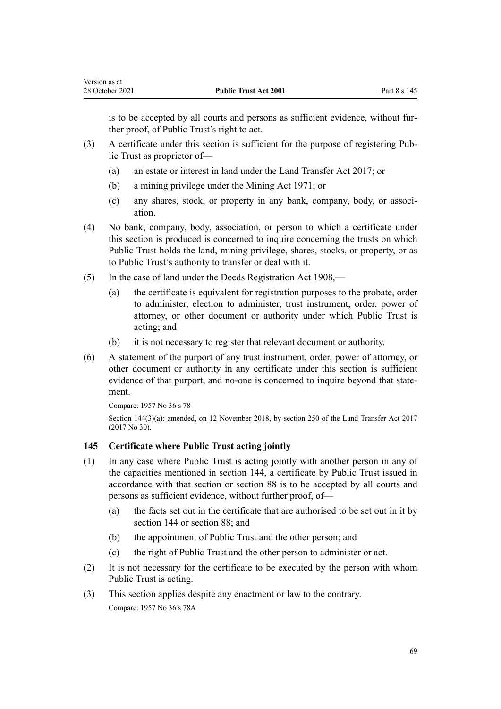is to be accepted by all courts and persons as sufficient evidence, without further proof, of Public Trust's right to act.

- (3) A certificate under this section is sufficient for the purpose of registering Pub‐ lic Trust as proprietor of—
	- (a) an estate or interest in land under the [Land Transfer Act 2017](http://legislation.govt.nz/pdflink.aspx?id=DLM6731002); or
	- (b) a mining privilege under the Mining Act 1971; or
	- (c) any shares, stock, or property in any bank, company, body, or associ‐ ation.
- (4) No bank, company, body, association, or person to which a certificate under this section is produced is concerned to inquire concerning the trusts on which Public Trust holds the land, mining privilege, shares, stocks, or property, or as to Public Trust's authority to transfer or deal with it.
- (5) In the case of land under the [Deeds Registration Act 1908,](http://legislation.govt.nz/pdflink.aspx?id=DLM141134)
	- (a) the certificate is equivalent for registration purposes to the probate, order to administer, election to administer, trust instrument, order, power of attorney, or other document or authority under which Public Trust is acting; and
	- (b) it is not necessary to register that relevant document or authority.
- (6) A statement of the purport of any trust instrument, order, power of attorney, or other document or authority in any certificate under this section is sufficient evidence of that purport, and no-one is concerned to inquire beyond that statement.

```
Compare: 1957 No 36 s 78
section 250 of the Land Transfer Act 2017
(2017 No 30).
```
### **145 Certificate where Public Trust acting jointly**

- (1) In any case where Public Trust is acting jointly with another person in any of the capacities mentioned in [section 144](#page-67-0), a certificate by Public Trust issued in accordance with that section or [section 88](#page-41-0) is to be accepted by all courts and persons as sufficient evidence, without further proof, of—
	- (a) the facts set out in the certificate that are authorised to be set out in it by [section 144](#page-67-0) or [section 88](#page-41-0); and
	- (b) the appointment of Public Trust and the other person; and
	- (c) the right of Public Trust and the other person to administer or act.
- (2) It is not necessary for the certificate to be executed by the person with whom Public Trust is acting.
- (3) This section applies despite any enactment or law to the contrary. Compare: 1957 No 36 s 78A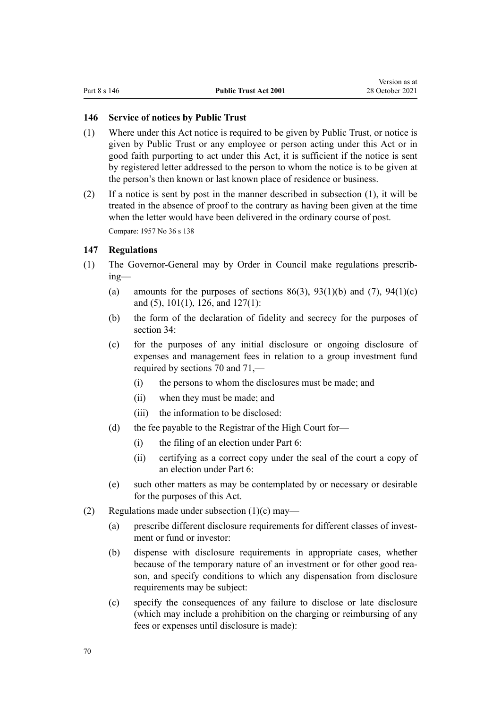#### <span id="page-69-0"></span>**146 Service of notices by Public Trust**

- (1) Where under this Act notice is required to be given by Public Trust, or notice is given by Public Trust or any employee or person acting under this Act or in good faith purporting to act under this Act, it is sufficient if the notice is sent by registered letter addressed to the person to whom the notice is to be given at the person's then known or last known place of residence or business.
- (2) If a notice is sent by post in the manner described in subsection (1), it will be treated in the absence of proof to the contrary as having been given at the time when the letter would have been delivered in the ordinary course of post. Compare: 1957 No 36 s 138

#### **147 Regulations**

- (1) The Governor-General may by Order in Council make regulations prescrib‐ ing—
	- (a) amounts for the purposes of sections  $86(3)$ ,  $93(1)(b)$  and  $(7)$ ,  $94(1)(c)$ [and \(5\)](#page-44-0), [101\(1\),](#page-47-0) [126,](#page-59-0) and [127\(1\)](#page-60-0):
	- (b) the form of the declaration of fidelity and secrecy for the purposes of [section 34](#page-17-0):
	- (c) for the purposes of any initial disclosure or ongoing disclosure of expenses and management fees in relation to a group investment fund required by [sections 70](#page-30-0) and [71](#page-30-0),—
		- (i) the persons to whom the disclosures must be made; and
		- (ii) when they must be made; and
		- (iii) the information to be disclosed:
	- (d) the fee payable to the Registrar of the High Court for—
		- (i) the filing of an election under [Part 6:](#page-43-0)
		- (ii) certifying as a correct copy under the seal of the court a copy of an election under [Part 6](#page-43-0):
	- (e) such other matters as may be contemplated by or necessary or desirable for the purposes of this Act.
- (2) Regulations made under subsection  $(1)(c)$  may—
	- (a) prescribe different disclosure requirements for different classes of investment or fund or investor:
	- (b) dispense with disclosure requirements in appropriate cases, whether because of the temporary nature of an investment or for other good rea‐ son, and specify conditions to which any dispensation from disclosure requirements may be subject:
	- (c) specify the consequences of any failure to disclose or late disclosure (which may include a prohibition on the charging or reimbursing of any fees or expenses until disclosure is made):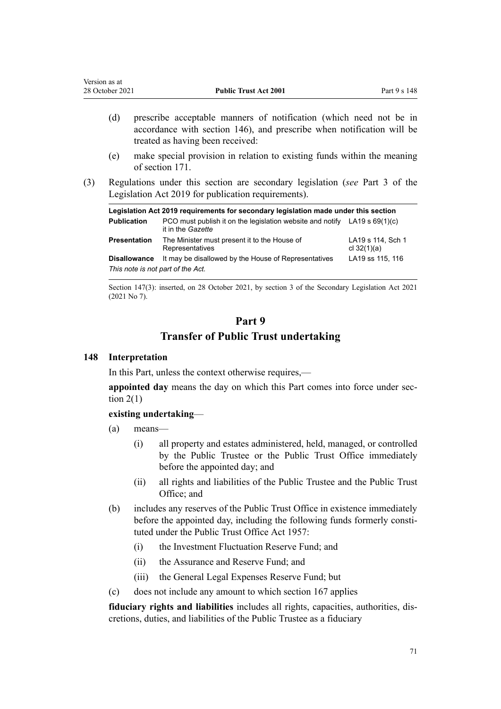| Version as at   |                              |              |
|-----------------|------------------------------|--------------|
| 28 October 2021 | <b>Public Trust Act 2001</b> | Part 9 s 148 |
|                 |                              |              |

- (d) prescribe acceptable manners of notification (which need not be in accordance with [section 146](#page-69-0)), and prescribe when notification will be treated as having been received:
- (e) make special provision in relation to existing funds within the meaning of [section 171](#page-77-0).
- (3) Regulations under this section are secondary legislation (*see* [Part 3](http://legislation.govt.nz/pdflink.aspx?id=DLM7298343) of the Legislation Act 2019 for publication requirements).

| Legislation Act 2019 requirements for secondary legislation made under this section |                                                                                                  |                                    |  |
|-------------------------------------------------------------------------------------|--------------------------------------------------------------------------------------------------|------------------------------------|--|
| <b>Publication</b>                                                                  | PCO must publish it on the legislation website and notify LA19 s $69(1)(c)$<br>it in the Gazette |                                    |  |
| <b>Presentation</b>                                                                 | The Minister must present it to the House of<br>Representatives                                  | LA19 s 114, Sch 1<br>cl $32(1)(a)$ |  |
| <b>Disallowance</b><br>This note is not part of the Act.                            | It may be disallowed by the House of Representatives                                             | LA19 ss 115, 116                   |  |

Section 147(3): inserted, on 28 October 2021, by [section 3](http://legislation.govt.nz/pdflink.aspx?id=LMS268932) of the Secondary Legislation Act 2021 (2021 No 7).

# **Part 9 Transfer of Public Trust undertaking**

### **148 Interpretation**

In this Part, unless the context otherwise requires,—

appointed day means the day on which this Part comes into force under section  $2(1)$ 

## **existing undertaking**—

- (a) means—
	- (i) all property and estates administered, held, managed, or controlled by the Public Trustee or the Public Trust Office immediately before the appointed day; and
	- (ii) all rights and liabilities of the Public Trustee and the Public Trust Office; and
- (b) includes any reserves of the Public Trust Office in existence immediately before the appointed day, including the following funds formerly constituted under the Public Trust Office Act 1957:
	- (i) the Investment Fluctuation Reserve Fund; and
	- (ii) the Assurance and Reserve Fund; and
	- (iii) the General Legal Expenses Reserve Fund; but
- (c) does not include any amount to which [section 167](#page-76-0) applies

**fiduciary rights and liabilities** includes all rights, capacities, authorities, dis‐ cretions, duties, and liabilities of the Public Trustee as a fiduciary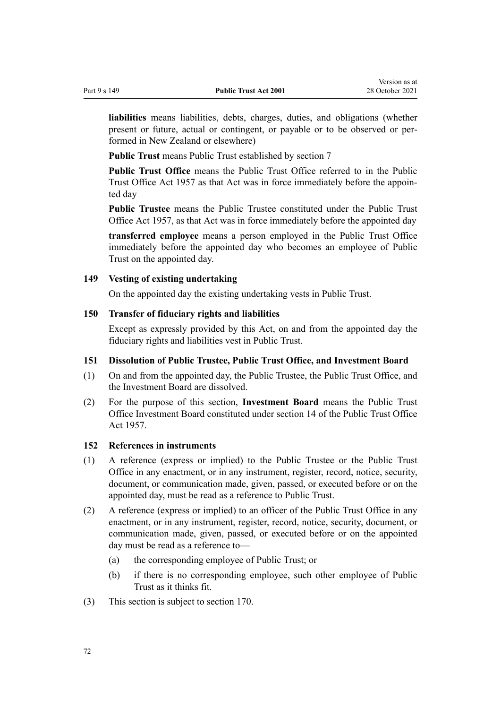**liabilities** means liabilities, debts, charges, duties, and obligations (whether present or future, actual or contingent, or payable or to be observed or per‐ formed in New Zealand or elsewhere)

**Public Trust** means Public Trust established by [section 7](#page-11-0)

**Public Trust Office** means the Public Trust Office referred to in the Public Trust Office Act 1957 as that Act was in force immediately before the appoin‐ ted day

**Public Trustee** means the Public Trustee constituted under the Public Trust Office Act 1957, as that Act was in force immediately before the appointed day

**transferred employee** means a person employed in the Public Trust Office immediately before the appointed day who becomes an employee of Public Trust on the appointed day.

#### **149 Vesting of existing undertaking**

On the appointed day the existing undertaking vests in Public Trust.

#### **150 Transfer of fiduciary rights and liabilities**

Except as expressly provided by this Act, on and from the appointed day the fiduciary rights and liabilities vest in Public Trust.

#### **151 Dissolution of Public Trustee, Public Trust Office, and Investment Board**

- (1) On and from the appointed day, the Public Trustee, the Public Trust Office, and the Investment Board are dissolved.
- (2) For the purpose of this section, **Investment Board** means the Public Trust Office Investment Board constituted under section 14 of the Public Trust Office Act 1957.

#### **152 References in instruments**

- (1) A reference (express or implied) to the Public Trustee or the Public Trust Office in any enactment, or in any instrument, register, record, notice, security, document, or communication made, given, passed, or executed before or on the appointed day, must be read as a reference to Public Trust.
- (2) A reference (express or implied) to an officer of the Public Trust Office in any enactment, or in any instrument, register, record, notice, security, document, or communication made, given, passed, or executed before or on the appointed day must be read as a reference to—
	- (a) the corresponding employee of Public Trust; or
	- (b) if there is no corresponding employee, such other employee of Public Trust as it thinks fit.
- (3) This section is subject to [section 170](#page-76-0).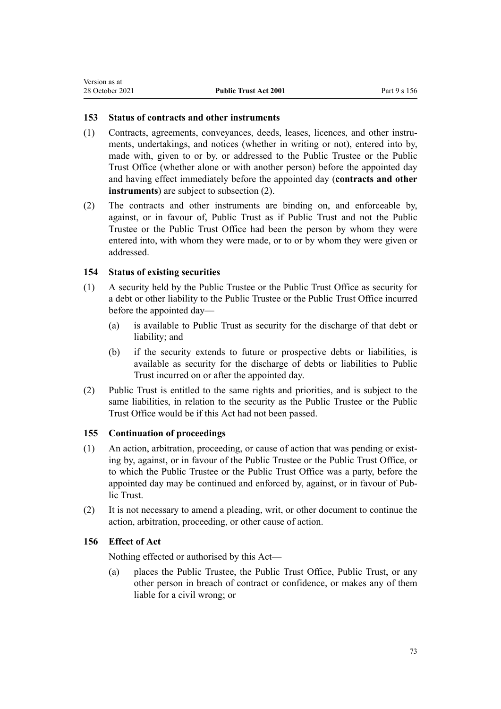#### **153 Status of contracts and other instruments**

- (1) Contracts, agreements, conveyances, deeds, leases, licences, and other instru‐ ments, undertakings, and notices (whether in writing or not), entered into by, made with, given to or by, or addressed to the Public Trustee or the Public Trust Office (whether alone or with another person) before the appointed day and having effect immediately before the appointed day (**contracts and other instruments**) are subject to subsection (2).
- (2) The contracts and other instruments are binding on, and enforceable by, against, or in favour of, Public Trust as if Public Trust and not the Public Trustee or the Public Trust Office had been the person by whom they were entered into, with whom they were made, or to or by whom they were given or addressed.

#### **154 Status of existing securities**

- (1) A security held by the Public Trustee or the Public Trust Office as security for a debt or other liability to the Public Trustee or the Public Trust Office incurred before the appointed day—
	- (a) is available to Public Trust as security for the discharge of that debt or liability; and
	- (b) if the security extends to future or prospective debts or liabilities, is available as security for the discharge of debts or liabilities to Public Trust incurred on or after the appointed day.
- (2) Public Trust is entitled to the same rights and priorities, and is subject to the same liabilities, in relation to the security as the Public Trustee or the Public Trust Office would be if this Act had not been passed.

#### **155 Continuation of proceedings**

- $(1)$  An action, arbitration, proceeding, or cause of action that was pending or existing by, against, or in favour of the Public Trustee or the Public Trust Office, or to which the Public Trustee or the Public Trust Office was a party, before the appointed day may be continued and enforced by, against, or in favour of Pub‐ lic Trust.
- (2) It is not necessary to amend a pleading, writ, or other document to continue the action, arbitration, proceeding, or other cause of action.

#### **156 Effect of Act**

Nothing effected or authorised by this Act—

(a) places the Public Trustee, the Public Trust Office, Public Trust, or any other person in breach of contract or confidence, or makes any of them liable for a civil wrong; or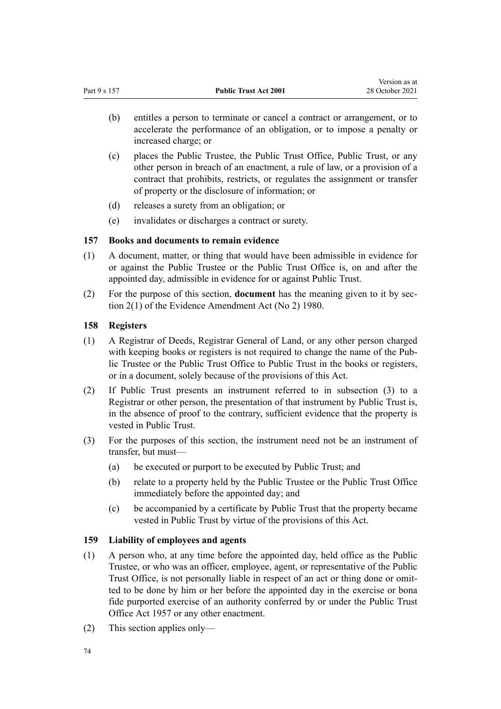- (b) entitles a person to terminate or cancel a contract or arrangement, or to accelerate the performance of an obligation, or to impose a penalty or increased charge; or
- (c) places the Public Trustee, the Public Trust Office, Public Trust, or any other person in breach of an enactment, a rule of law, or a provision of a contract that prohibits, restricts, or regulates the assignment or transfer of property or the disclosure of information; or
- (d) releases a surety from an obligation; or
- (e) invalidates or discharges a contract or surety.

### **157 Books and documents to remain evidence**

- (1) A document, matter, or thing that would have been admissible in evidence for or against the Public Trustee or the Public Trust Office is, on and after the appointed day, admissible in evidence for or against Public Trust.
- (2) For the purpose of this section, **document** has the meaning given to it by [sec‐](http://legislation.govt.nz/pdflink.aspx?id=DLM35698) [tion 2\(1\)](http://legislation.govt.nz/pdflink.aspx?id=DLM35698) of the Evidence Amendment Act (No 2) 1980.

### **158 Registers**

- (1) A Registrar of Deeds, Registrar General of Land, or any other person charged with keeping books or registers is not required to change the name of the Public Trustee or the Public Trust Office to Public Trust in the books or registers, or in a document, solely because of the provisions of this Act.
- (2) If Public Trust presents an instrument referred to in subsection (3) to a Registrar or other person, the presentation of that instrument by Public Trust is, in the absence of proof to the contrary, sufficient evidence that the property is vested in Public Trust.
- (3) For the purposes of this section, the instrument need not be an instrument of transfer, but must—
	- (a) be executed or purport to be executed by Public Trust; and
	- (b) relate to a property held by the Public Trustee or the Public Trust Office immediately before the appointed day; and
	- (c) be accompanied by a certificate by Public Trust that the property became vested in Public Trust by virtue of the provisions of this Act.

### **159 Liability of employees and agents**

- (1) A person who, at any time before the appointed day, held office as the Public Trustee, or who was an officer, employee, agent, or representative of the Public Trust Office, is not personally liable in respect of an act or thing done or omitted to be done by him or her before the appointed day in the exercise or bona fide purported exercise of an authority conferred by or under the Public Trust Office Act 1957 or any other enactment.
- (2) This section applies only—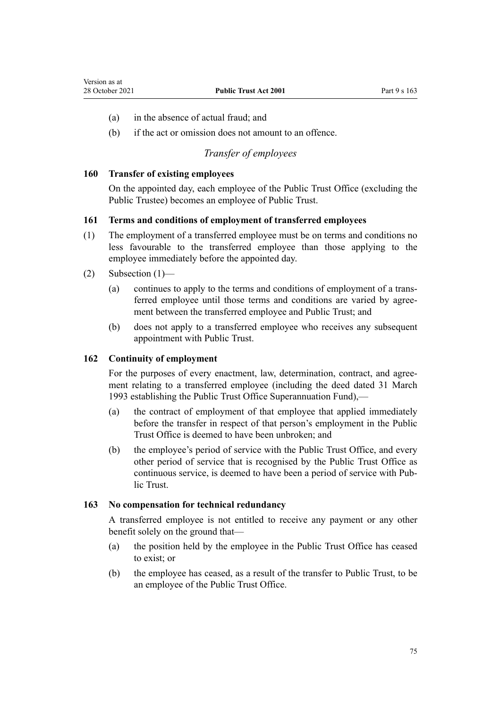- (a) in the absence of actual fraud; and
- (b) if the act or omission does not amount to an offence.

## *Transfer of employees*

#### **160 Transfer of existing employees**

On the appointed day, each employee of the Public Trust Office (excluding the Public Trustee) becomes an employee of Public Trust.

#### **161 Terms and conditions of employment of transferred employees**

- (1) The employment of a transferred employee must be on terms and conditions no less favourable to the transferred employee than those applying to the employee immediately before the appointed day.
- (2) Subsection (1)—
	- (a) continues to apply to the terms and conditions of employment of a trans‐ ferred employee until those terms and conditions are varied by agreement between the transferred employee and Public Trust; and
	- (b) does not apply to a transferred employee who receives any subsequent appointment with Public Trust.

#### **162 Continuity of employment**

For the purposes of every enactment, law, determination, contract, and agreement relating to a transferred employee (including the deed dated 31 March 1993 establishing the Public Trust Office Superannuation Fund),—

- (a) the contract of employment of that employee that applied immediately before the transfer in respect of that person's employment in the Public Trust Office is deemed to have been unbroken; and
- (b) the employee's period of service with the Public Trust Office, and every other period of service that is recognised by the Public Trust Office as continuous service, is deemed to have been a period of service with Pub‐ lic Trust.

#### **163 No compensation for technical redundancy**

A transferred employee is not entitled to receive any payment or any other benefit solely on the ground that—

- (a) the position held by the employee in the Public Trust Office has ceased to exist; or
- (b) the employee has ceased, as a result of the transfer to Public Trust, to be an employee of the Public Trust Office.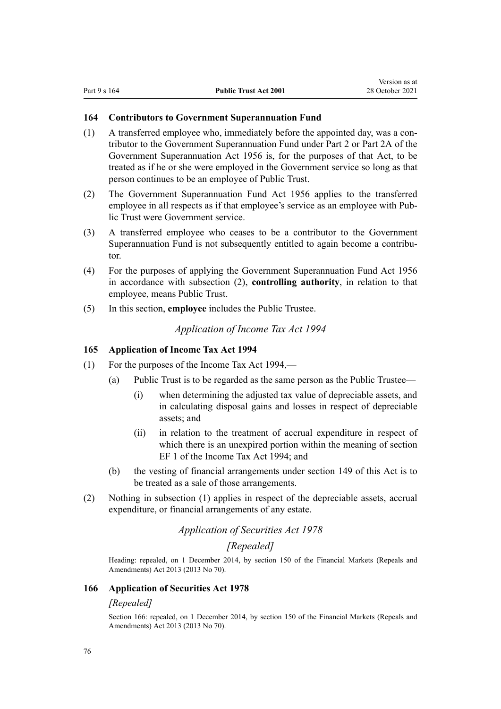Version as at

#### **164 Contributors to Government Superannuation Fund**

- (1) A transferred employee who, immediately before the appointed day, was a contributor to the Government Superannuation Fund under Part 2 or Part 2A of the Government Superannuation Act 1956 is, for the purposes of that Act, to be treated as if he or she were employed in the Government service so long as that person continues to be an employee of Public Trust.
- (2) The [Government Superannuation Fund Act 1956](http://legislation.govt.nz/pdflink.aspx?id=DLM446000) applies to the transferred employee in all respects as if that employee's service as an employee with Public Trust were Government service.
- (3) A transferred employee who ceases to be a contributor to the Government Superannuation Fund is not subsequently entitled to again become a contributor.
- (4) For the purposes of applying the [Government Superannuation Fund Act 1956](http://legislation.govt.nz/pdflink.aspx?id=DLM446000) in accordance with subsection (2), **controlling authority**, in relation to that employee, means Public Trust.
- (5) In this section, **employee** includes the Public Trustee.

*Application of Income Tax Act 1994*

#### **165 Application of Income Tax Act 1994**

- (1) For the purposes of the Income Tax Act 1994,—
	- (a) Public Trust is to be regarded as the same person as the Public Trustee—
		- (i) when determining the adjusted tax value of depreciable assets, and in calculating disposal gains and losses in respect of depreciable assets; and
		- (ii) in relation to the treatment of accrual expenditure in respect of which there is an unexpired portion within the meaning of section EF 1 of the Income Tax Act 1994; and
	- (b) the vesting of financial arrangements under [section 149](#page-71-0) of this Act is to be treated as a sale of those arrangements.
- (2) Nothing in subsection (1) applies in respect of the depreciable assets, accrual expenditure, or financial arrangements of any estate.

### *Application of Securities Act 1978*

### *[Repealed]*

Heading: repealed, on 1 December 2014, by [section 150](http://legislation.govt.nz/pdflink.aspx?id=DLM5561603) of the Financial Markets (Repeals and Amendments) Act 2013 (2013 No 70).

#### **166 Application of Securities Act 1978**

#### *[Repealed]*

Section 166: repealed, on 1 December 2014, by [section 150](http://legislation.govt.nz/pdflink.aspx?id=DLM5561603) of the Financial Markets (Repeals and Amendments) Act 2013 (2013 No 70).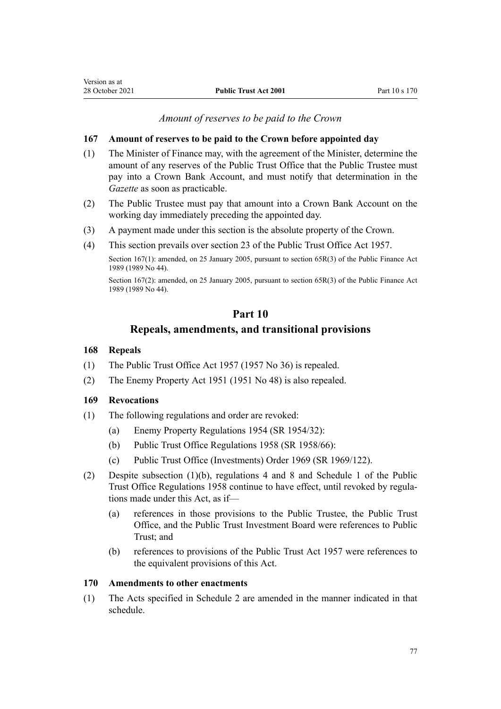#### *Amount of reserves to be paid to the Crown*

#### <span id="page-76-0"></span>**167 Amount of reserves to be paid to the Crown before appointed day**

- (1) The Minister of Finance may, with the agreement of the Minister, determine the amount of any reserves of the Public Trust Office that the Public Trustee must pay into a Crown Bank Account, and must notify that determination in the *Gazette* as soon as practicable.
- (2) The Public Trustee must pay that amount into a Crown Bank Account on the working day immediately preceding the appointed day.
- (3) A payment made under this section is the absolute property of the Crown.
- (4) This section prevails over section 23 of the Public Trust Office Act 1957.

Section 167(1): amended, on 25 January 2005, pursuant to [section 65R\(3\)](http://legislation.govt.nz/pdflink.aspx?id=DLM162942) of the Public Finance Act 1989 (1989 No 44).

Section 167(2): amended, on 25 January 2005, pursuant to [section 65R\(3\)](http://legislation.govt.nz/pdflink.aspx?id=DLM162942) of the Public Finance Act 1989 (1989 No 44).

## **Part 10 Repeals, amendments, and transitional provisions**

#### **168 Repeals**

- (1) The Public Trust Office Act 1957 (1957 No 36) is repealed.
- (2) The Enemy Property Act 1951 (1951 No 48) is also repealed.

#### **169 Revocations**

- (1) The following regulations and order are revoked:
	- (a) Enemy Property Regulations 1954 (SR 1954/32):
	- (b) Public Trust Office Regulations 1958 (SR 1958/66):
	- (c) Public Trust Office (Investments) Order 1969 (SR 1969/122).
- (2) Despite subsection (1)(b), regulations 4 and 8 and Schedule 1 of the Public Trust Office Regulations 1958 continue to have effect, until revoked by regula‐ tions made under this Act, as if—
	- (a) references in those provisions to the Public Trustee, the Public Trust Office, and the Public Trust Investment Board were references to Public Trust; and
	- (b) references to provisions of the Public Trust Act 1957 were references to the equivalent provisions of this Act.

#### **170 Amendments to other enactments**

(1) The Acts specified in [Schedule 2](#page-80-0) are amended in the manner indicated in that schedule.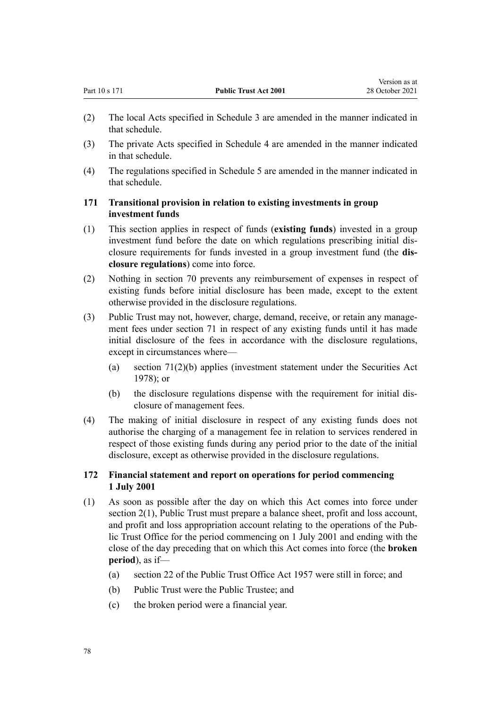- (2) The local Acts specified in [Schedule 3](#page-85-0) are amended in the manner indicated in that schedule.
- (3) The private Acts specified in [Schedule 4](#page-86-0) are amended in the manner indicated in that schedule.
- (4) The regulations specified in [Schedule 5](#page-87-0) are amended in the manner indicated in that schedule.

#### **171 Transitional provision in relation to existing investments in group investment funds**

- (1) This section applies in respect of funds (**existing funds**) invested in a group investment fund before the date on which regulations prescribing initial dis‐ closure requirements for funds invested in a group investment fund (the **dis‐ closure regulations**) come into force.
- (2) Nothing in [section 70](#page-30-0) prevents any reimbursement of expenses in respect of existing funds before initial disclosure has been made, except to the extent otherwise provided in the disclosure regulations.
- (3) Public Trust may not, however, charge, demand, receive, or retain any manage‐ ment fees under [section 71](#page-30-0) in respect of any existing funds until it has made initial disclosure of the fees in accordance with the disclosure regulations, except in circumstances where—
	- (a) [section 71\(2\)\(b\)](#page-30-0) applies (investment statement under the [Securities Act](http://legislation.govt.nz/pdflink.aspx?id=DLM25999) [1978](http://legislation.govt.nz/pdflink.aspx?id=DLM25999)); or
	- (b) the disclosure regulations dispense with the requirement for initial dis‐ closure of management fees.
- (4) The making of initial disclosure in respect of any existing funds does not authorise the charging of a management fee in relation to services rendered in respect of those existing funds during any period prior to the date of the initial disclosure, except as otherwise provided in the disclosure regulations.

#### **172 Financial statement and report on operations for period commencing 1 July 2001**

- (1) As soon as possible after the day on which this Act comes into force under [section 2\(1\)](#page-6-0), Public Trust must prepare a balance sheet, profit and loss account, and profit and loss appropriation account relating to the operations of the Pub‐ lic Trust Office for the period commencing on 1 July 2001 and ending with the close of the day preceding that on which this Act comes into force (the **broken period**), as if—
	- (a) section 22 of the Public Trust Office Act 1957 were still in force; and
	- (b) Public Trust were the Public Trustee; and
	- (c) the broken period were a financial year.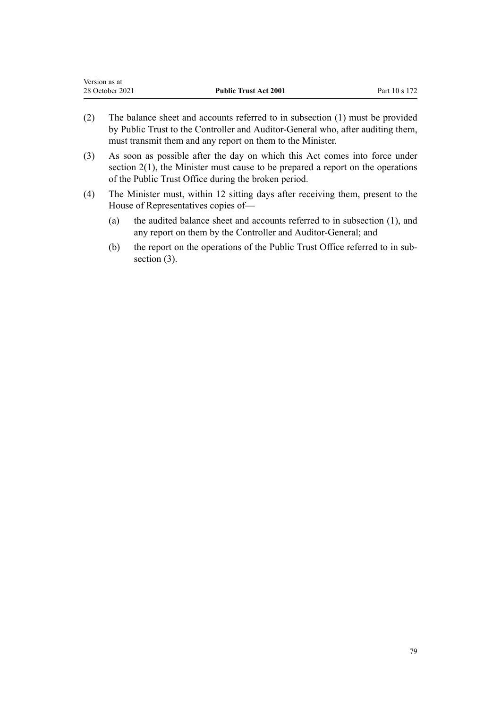| Version as at   |                              |               |
|-----------------|------------------------------|---------------|
| 28 October 2021 | <b>Public Trust Act 2001</b> | Part 10 s 172 |

- (2) The balance sheet and accounts referred to in subsection (1) must be provided by Public Trust to the Controller and Auditor-General who, after auditing them, must transmit them and any report on them to the Minister.
- (3) As soon as possible after the day on which this Act comes into force under section  $2(1)$ , the Minister must cause to be prepared a report on the operations of the Public Trust Office during the broken period.
- (4) The Minister must, within 12 sitting days after receiving them, present to the House of Representatives copies of—
	- (a) the audited balance sheet and accounts referred to in subsection (1), and any report on them by the Controller and Auditor-General; and
	- (b) the report on the operations of the Public Trust Office referred to in subsection (3).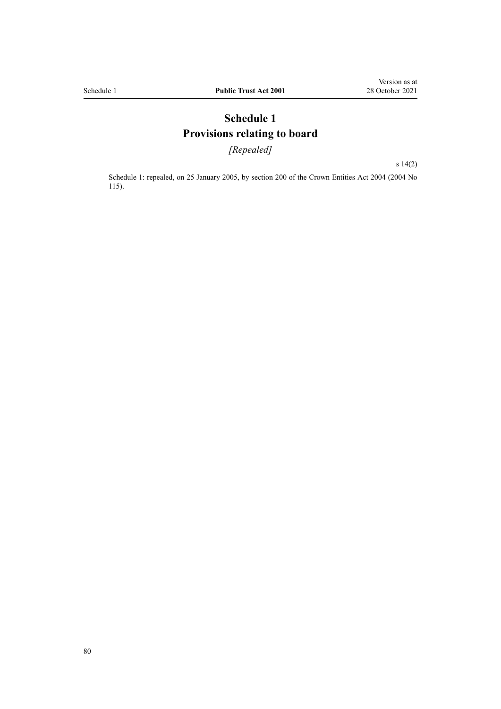## **Schedule 1 Provisions relating to board**

*[Repealed]*

[s 14\(2\)](#page-14-0)

Schedule 1: repealed, on 25 January 2005, by [section 200](http://legislation.govt.nz/pdflink.aspx?id=DLM331111) of the Crown Entities Act 2004 (2004 No 115).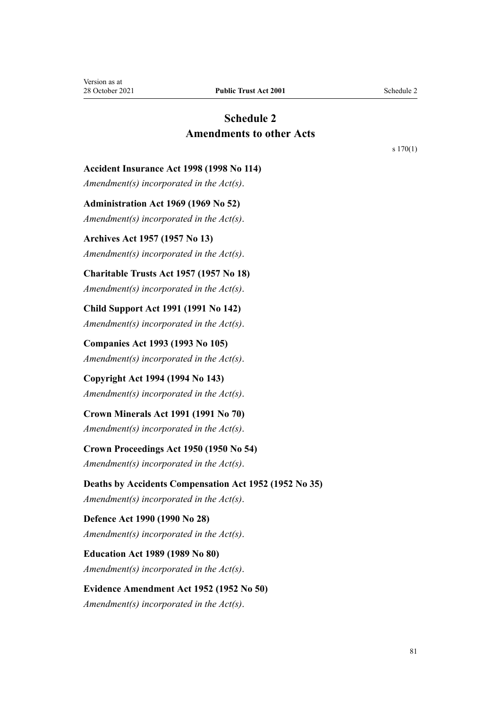## **Schedule 2 Amendments to other Acts**

[s 170\(1\)](#page-76-0)

#### <span id="page-80-0"></span>**Accident Insurance Act 1998 (1998 No 114)**

*Amendment(s) incorporated in the Act(s)*.

**Administration Act 1969 (1969 No 52)**

*Amendment(s) incorporated in the [Act\(s\)](http://legislation.govt.nz/pdflink.aspx?id=DLM392629)*.

**Archives Act 1957 (1957 No 13)** *Amendment(s) incorporated in the Act(s)*.

#### **Charitable Trusts Act 1957 (1957 No 18)**

*Amendment(s) incorporated in the [Act\(s\)](http://legislation.govt.nz/pdflink.aspx?id=DLM308795)*.

**Child Support Act 1991 (1991 No 142)** *Amendment(s) incorporated in the [Act\(s\)](http://legislation.govt.nz/pdflink.aspx?id=DLM253150)*.

**Companies Act 1993 (1993 No 105)** *Amendment(s) incorporated in the [Act\(s\)](http://legislation.govt.nz/pdflink.aspx?id=DLM319569)*.

## **Copyright Act 1994 (1994 No 143)**

*Amendment(s) incorporated in the [Act\(s\)](http://legislation.govt.nz/pdflink.aspx?id=DLM345633)*.

### **Crown Minerals Act 1991 (1991 No 70)**

*Amendment(s) incorporated in the [Act\(s\)](http://legislation.govt.nz/pdflink.aspx?id=DLM242535)*.

### **Crown Proceedings Act 1950 (1950 No 54)**

*Amendment(s) incorporated in the [Act\(s\)](http://legislation.govt.nz/pdflink.aspx?id=DLM261466)*.

## **Deaths by Accidents Compensation Act 1952 (1952 No 35)**

*Amendment(s) incorporated in the [Act\(s\)](http://legislation.govt.nz/pdflink.aspx?id=DLM265835)*.

## **Defence Act 1990 (1990 No 28)** *Amendment(s) incorporated in the [Act\(s\)](http://legislation.govt.nz/pdflink.aspx?id=DLM204972)*.

**Education Act 1989 (1989 No 80)** *Amendment(s) incorporated in the [Act\(s\)](http://legislation.govt.nz/pdflink.aspx?id=DLM175958)*.

## **Evidence Amendment Act 1952 (1952 No 50)**

*Amendment(s) incorporated in the [Act\(s\)](http://legislation.govt.nz/pdflink.aspx?id=DLM267013)*.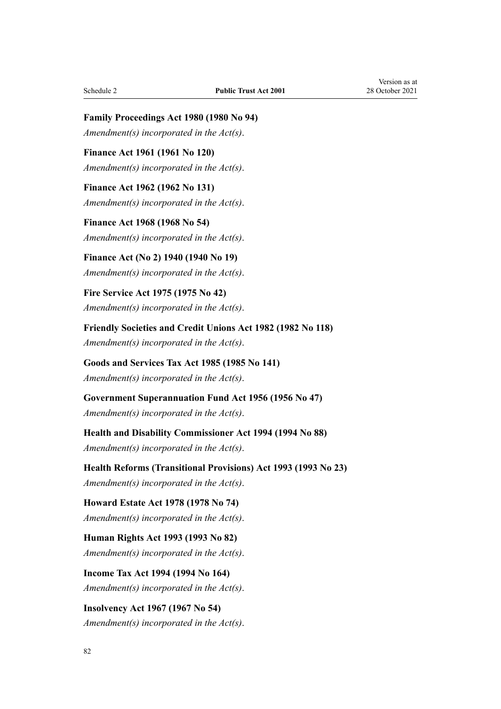**Family Proceedings Act 1980 (1980 No 94)** *Amendment(s) incorporated in the [Act\(s\)](http://legislation.govt.nz/pdflink.aspx?id=DLM39722)*.

**Finance Act 1961 (1961 No 120)** *Amendment(s) incorporated in the [Act\(s\)](http://legislation.govt.nz/pdflink.aspx?id=DLM337555)*.

**Finance Act 1962 (1962 No 131)** *Amendment(s) incorporated in the [Act\(s\)](http://legislation.govt.nz/pdflink.aspx?id=DLM341025)*.

**Finance Act 1968 (1968 No 54)** *Amendment(s) incorporated in the [Act\(s\)](http://legislation.govt.nz/pdflink.aspx?id=DLM388264)*.

**Finance Act (No 2) 1940 (1940 No 19)** *Amendment(s) incorporated in the [Act\(s\)](http://legislation.govt.nz/pdflink.aspx?id=DLM230142)*.

**Fire Service Act 1975 (1975 No 42)** *Amendment(s) incorporated in the [Act\(s\)](http://legislation.govt.nz/pdflink.aspx?id=DLM432647)*.

**Friendly Societies and Credit Unions Act 1982 (1982 No 118)** *Amendment(s) incorporated in the [Act\(s\)](http://legislation.govt.nz/pdflink.aspx?id=DLM59731)*.

**Goods and Services Tax Act 1985 (1985 No 141)** *Amendment(s) incorporated in the [Act\(s\)](http://legislation.govt.nz/pdflink.aspx?id=DLM81034)*.

**Government Superannuation Fund Act 1956 (1956 No 47)** *Amendment(s) incorporated in the [Act\(s\)](http://legislation.govt.nz/pdflink.aspx?id=DLM446000)*.

**Health and Disability Commissioner Act 1994 (1994 No 88)** *Amendment(s) incorporated in the [Act\(s\)](http://legislation.govt.nz/pdflink.aspx?id=DLM333583)*.

**Health Reforms (Transitional Provisions) Act 1993 (1993 No 23)** *Amendment(s) incorporated in the Act(s)*.

**Howard Estate Act 1978 (1978 No 74)** *Amendment(s) incorporated in the [Act\(s\)](http://legislation.govt.nz/pdflink.aspx?id=DLM24092)*.

**Human Rights Act 1993 (1993 No 82)** *Amendment(s) incorporated in the [Act\(s\)](http://legislation.govt.nz/pdflink.aspx?id=DLM304211)*.

**Income Tax Act 1994 (1994 No 164)** *Amendment(s) incorporated in the [Act\(s\)](http://legislation.govt.nz/pdflink.aspx?id=DLM1184504)*.

**Insolvency Act 1967 (1967 No 54)** *Amendment(s) incorporated in the [Act\(s\)](http://legislation.govt.nz/pdflink.aspx?id=DLM382333)*.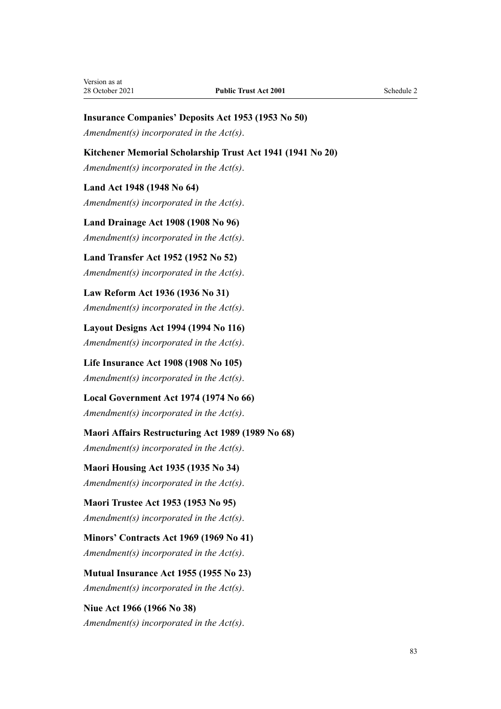#### **Insurance Companies' Deposits Act 1953 (1953 No 50)**

*Amendment(s) incorporated in the [Act\(s\)](http://legislation.govt.nz/pdflink.aspx?id=DLM278720)*.

#### **Kitchener Memorial Scholarship Trust Act 1941 (1941 No 20)**

*Amendment(s) incorporated in the [Act\(s\)](http://legislation.govt.nz/pdflink.aspx?id=DLM232891)*.

#### **Land Act 1948 (1948 No 64)**

*Amendment(s) incorporated in the [Act\(s\)](http://legislation.govt.nz/pdflink.aspx?id=DLM250585)*.

**Land Drainage Act 1908 (1908 No 96)** *Amendment(s) incorporated in the [Act\(s\)](http://legislation.govt.nz/pdflink.aspx?id=DLM160976)*.

**Land Transfer Act 1952 (1952 No 52)** *Amendment(s) incorporated in the [Act\(s\)](http://legislation.govt.nz/pdflink.aspx?id=DLM269031)*.

**Law Reform Act 1936 (1936 No 31)** *Amendment(s) incorporated in the [Act\(s\)](http://legislation.govt.nz/pdflink.aspx?id=DLM219549)*.

**Layout Designs Act 1994 (1994 No 116)** *Amendment(s) incorporated in the [Act\(s\)](http://legislation.govt.nz/pdflink.aspx?id=DLM341480)*.

**Life Insurance Act 1908 (1908 No 105)** *Amendment(s) incorporated in the [Act\(s\)](http://legislation.govt.nz/pdflink.aspx?id=DLM169542)*.

**Local Government Act 1974 (1974 No 66)** *Amendment(s) incorporated in the [Act\(s\)](http://legislation.govt.nz/pdflink.aspx?id=DLM415531)*.

**Maori Affairs Restructuring Act 1989 (1989 No 68)** *Amendment(s) incorporated in the [Act\(s\)](http://legislation.govt.nz/pdflink.aspx?id=DLM169979)*.

**Maori Housing Act 1935 (1935 No 34)** *Amendment(s) incorporated in the [Act\(s\)](http://legislation.govt.nz/pdflink.aspx?id=DLM219026)*.

**Maori Trustee Act 1953 (1953 No 95)** *Amendment(s) incorporated in the [Act\(s\)](http://legislation.govt.nz/pdflink.aspx?id=DLM282037)*.

**Minors' Contracts Act 1969 (1969 No 41)** *Amendment(s) incorporated in the [Act\(s\)](http://legislation.govt.nz/pdflink.aspx?id=DLM392349)*.

**Mutual Insurance Act 1955 (1955 No 23)** *Amendment(s) incorporated in the [Act\(s\)](http://legislation.govt.nz/pdflink.aspx?id=DLM288723)*.

**Niue Act 1966 (1966 No 38)** *Amendment(s) incorporated in the [Act\(s\)](http://legislation.govt.nz/pdflink.aspx?id=DLM374780)*.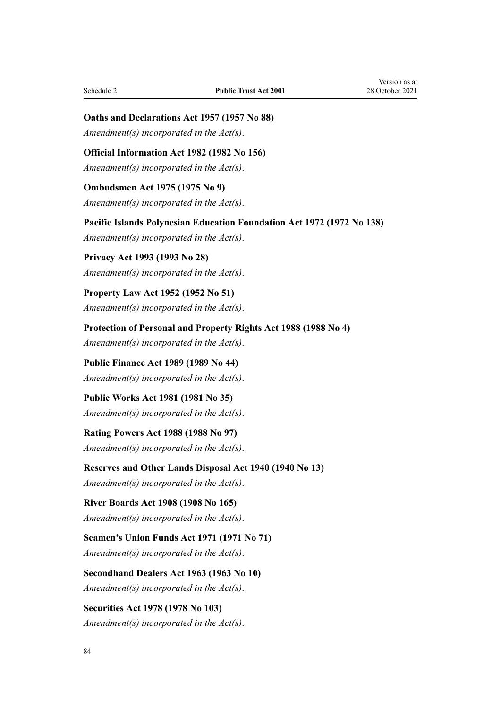**Oaths and Declarations Act 1957 (1957 No 88)**

*Amendment(s) incorporated in the [Act\(s\)](http://legislation.govt.nz/pdflink.aspx?id=DLM314552)*.

**Official Information Act 1982 (1982 No 156)**

*Amendment(s) incorporated in the [Act\(s\)](http://legislation.govt.nz/pdflink.aspx?id=DLM64784)*.

**Ombudsmen Act 1975 (1975 No 9)** *Amendment(s) incorporated in the [Act\(s\)](http://legislation.govt.nz/pdflink.aspx?id=DLM430983)*.

**Pacific Islands Polynesian Education Foundation Act 1972 (1972 No 138)** *Amendment(s) incorporated in the [Act\(s\)](http://legislation.govt.nz/pdflink.aspx?id=DLM409224)*.

**Privacy Act 1993 (1993 No 28)** *Amendment(s) incorporated in the [Act\(s\)](http://legislation.govt.nz/pdflink.aspx?id=DLM296638)*.

**Property Law Act 1952 (1952 No 51)** *Amendment(s) incorporated in the [Act\(s\)](http://legislation.govt.nz/pdflink.aspx?id=DLM267064)*.

**Protection of Personal and Property Rights Act 1988 (1988 No 4)** *Amendment(s) incorporated in the [Act\(s\)](http://legislation.govt.nz/pdflink.aspx?id=DLM126527)*.

**Public Finance Act 1989 (1989 No 44)** *Amendment(s) incorporated in the [Act\(s\)](http://legislation.govt.nz/pdflink.aspx?id=DLM160808)*.

**Public Works Act 1981 (1981 No 35)** *Amendment(s) incorporated in the [Act\(s\)](http://legislation.govt.nz/pdflink.aspx?id=DLM45426)*.

**Rating Powers Act 1988 (1988 No 97)** *Amendment(s) incorporated in the Act(s)*.

**Reserves and Other Lands Disposal Act 1940 (1940 No 13)**

*Amendment(s) incorporated in the [Act\(s\)](http://legislation.govt.nz/pdflink.aspx?id=DLM228846)*.

**River Boards Act 1908 (1908 No 165)**

*Amendment(s) incorporated in the [Act\(s\)](http://legislation.govt.nz/pdflink.aspx?id=DLM172771)*.

**Seamen's Union Funds Act 1971 (1971 No 71)** *Amendment(s) incorporated in the [Act\(s\)](http://legislation.govt.nz/pdflink.aspx?id=DLM405044)*.

**Secondhand Dealers Act 1963 (1963 No 10)** *Amendment(s) incorporated in the [Act\(s\)](http://legislation.govt.nz/pdflink.aspx?id=DLM405044)*.

**Securities Act 1978 (1978 No 103)** *Amendment(s) incorporated in the [Act\(s\)](http://legislation.govt.nz/pdflink.aspx?id=DLM25999)*.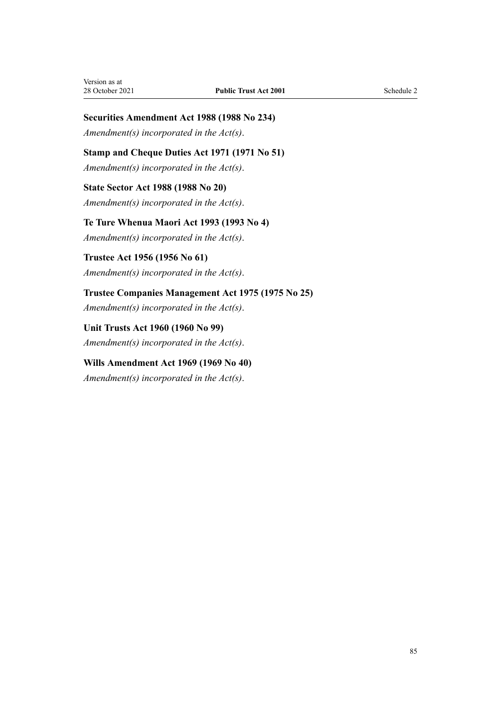## **Securities Amendment Act 1988 (1988 No 234)**

*Amendment(s) incorporated in the Act(s)*.

## **Stamp and Cheque Duties Act 1971 (1971 No 51)**

*Amendment(s) incorporated in the [Act\(s\)](http://legislation.govt.nz/pdflink.aspx?id=DLM399728)*.

## **State Sector Act 1988 (1988 No 20)**

*Amendment(s) incorporated in the [Act\(s\)](http://legislation.govt.nz/pdflink.aspx?id=DLM129109)*.

## **Te Ture Whenua Maori Act 1993 (1993 No 4)** *Amendment(s) incorporated in the [Act\(s\)](http://legislation.govt.nz/pdflink.aspx?id=DLM289897)*.

## **Trustee Act 1956 (1956 No 61)** *Amendment(s) incorporated in the [Act\(s\)](http://legislation.govt.nz/pdflink.aspx?id=DLM304703)*.

# **Trustee Companies Management Act 1975 (1975 No 25)**

*Amendment(s) incorporated in the [Act\(s\)](http://legislation.govt.nz/pdflink.aspx?id=DLM431745)*.

## **Unit Trusts Act 1960 (1960 No 99)** *Amendment(s) incorporated in the [Act\(s\)](http://legislation.govt.nz/pdflink.aspx?id=DLM325263)*.

## **Wills Amendment Act 1969 (1969 No 40)** *Amendment(s) incorporated in the [Act\(s\)](http://legislation.govt.nz/pdflink.aspx?id=DLM392336)*.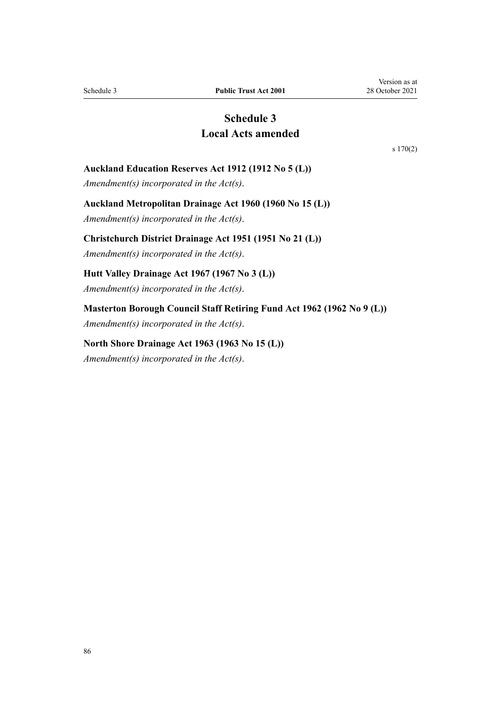## **Schedule 3 Local Acts amended**

[s 170\(2\)](#page-76-0)

#### <span id="page-85-0"></span>**Auckland Education Reserves Act 1912 (1912 No 5 (L))**

*Amendment(s) incorporated in the [Act\(s\)](http://legislation.govt.nz/pdflink.aspx?id=DLM37696)*.

#### **Auckland Metropolitan Drainage Act 1960 (1960 No 15 (L))**

*Amendment(s) incorporated in the [Act\(s\)](http://legislation.govt.nz/pdflink.aspx?id=DLM58546)*.

#### **Christchurch District Drainage Act 1951 (1951 No 21 (L))**

*Amendment(s) incorporated in the [Act\(s\)](http://legislation.govt.nz/pdflink.aspx?id=DLM54088)*.

#### **Hutt Valley Drainage Act 1967 (1967 No 3 (L))**

*Amendment(s) incorporated in the [Act\(s\)](http://legislation.govt.nz/pdflink.aspx?id=DLM64669)*.

## **Masterton Borough Council Staff Retiring Fund Act 1962 (1962 No 9 (L))**

*Amendment(s) incorporated in the [Act\(s\)](http://legislation.govt.nz/pdflink.aspx?id=DLM59474)*.

#### **North Shore Drainage Act 1963 (1963 No 15 (L))**

*Amendment(s) incorporated in the [Act\(s\)](http://legislation.govt.nz/pdflink.aspx?id=DLM60624)*.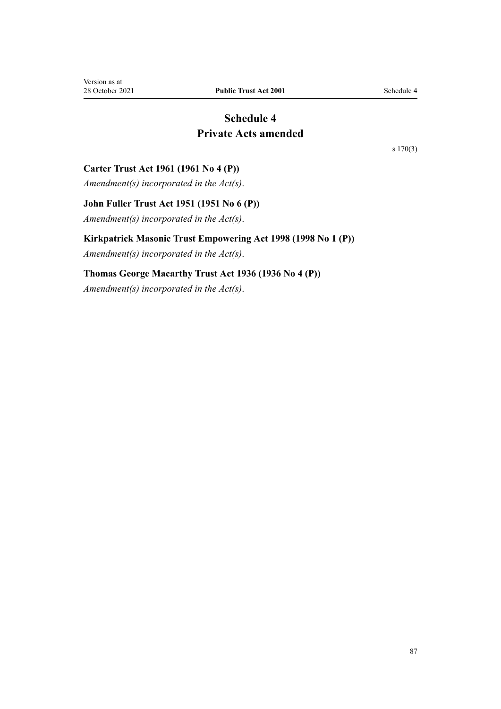## **Schedule 4 Private Acts amended**

[s 170\(3\)](#page-76-0)

#### <span id="page-86-0"></span>**Carter Trust Act 1961 (1961 No 4 (P))**

*Amendment(s) incorporated in the [Act\(s\)](http://legislation.govt.nz/pdflink.aspx?id=DLM103568)*.

### **John Fuller Trust Act 1951 (1951 No 6 (P))**

*Amendment(s) incorporated in the [Act\(s\)](http://legislation.govt.nz/pdflink.aspx?id=DLM100861)*.

#### **Kirkpatrick Masonic Trust Empowering Act 1998 (1998 No 1 (P))**

*Amendment(s) incorporated in the [Act\(s\)](http://legislation.govt.nz/pdflink.aspx?id=DLM118547)*.

## **Thomas George Macarthy Trust Act 1936 (1936 No 4 (P))**

*Amendment(s) incorporated in the [Act\(s\)](http://legislation.govt.nz/pdflink.aspx?id=DLM96659)*.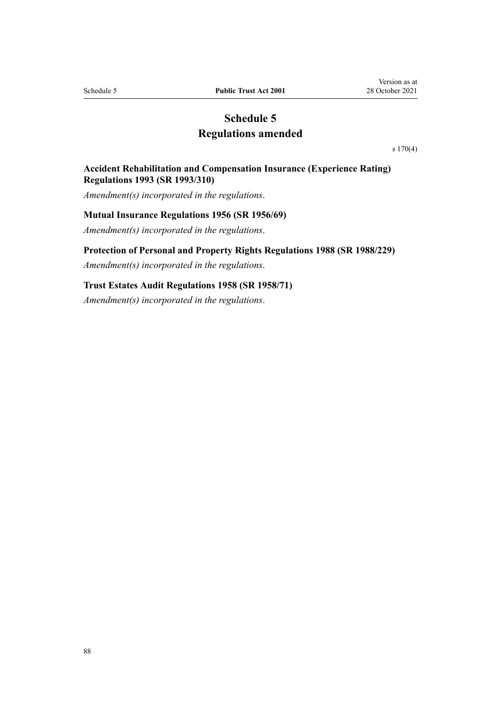## **Schedule 5 Regulations amended**

[s 170\(4\)](#page-76-0)

#### <span id="page-87-0"></span>**Accident Rehabilitation and Compensation Insurance (Experience Rating) Regulations 1993 (SR 1993/310)**

*Amendment(s) incorporated in the regulations*.

#### **Mutual Insurance Regulations 1956 (SR 1956/69)**

*Amendment(s) incorporated in the [regulations](http://legislation.govt.nz/pdflink.aspx?id=DLM9986)*.

#### **Protection of Personal and Property Rights Regulations 1988 (SR 1988/229)**

*Amendment(s) incorporated in the [regulations](http://legislation.govt.nz/pdflink.aspx?id=DLM126901)*.

## **Trust Estates Audit Regulations 1958 (SR 1958/71)**

*Amendment(s) incorporated in the [regulations](http://legislation.govt.nz/pdflink.aspx?id=DLM12501)*.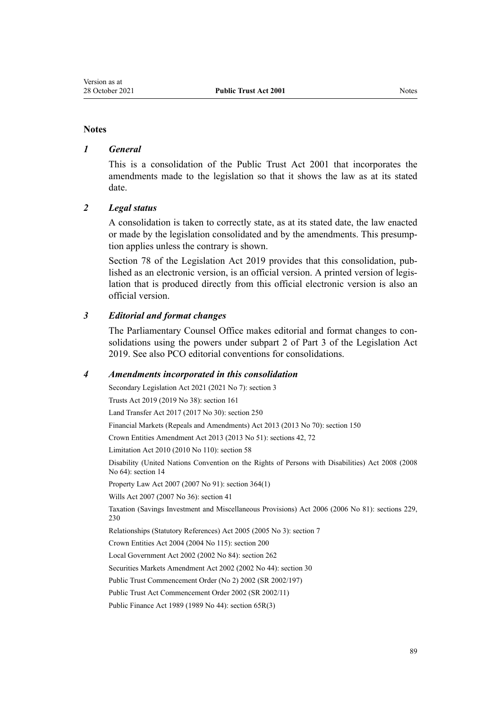#### **Notes**

#### *1 General*

This is a consolidation of the Public Trust Act 2001 that incorporates the amendments made to the legislation so that it shows the law as at its stated date.

### *2 Legal status*

A consolidation is taken to correctly state, as at its stated date, the law enacted or made by the legislation consolidated and by the amendments. This presump‐ tion applies unless the contrary is shown.

[Section 78](http://legislation.govt.nz/pdflink.aspx?id=DLM7298365) of the Legislation Act 2019 provides that this consolidation, published as an electronic version, is an official version. A printed version of legis‐ lation that is produced directly from this official electronic version is also an official version.

#### *3 Editorial and format changes*

The Parliamentary Counsel Office makes editorial and format changes to con‐ solidations using the powers under [subpart 2](http://legislation.govt.nz/pdflink.aspx?id=DLM7298371) of Part 3 of the Legislation Act 2019. See also [PCO editorial conventions for consolidations](http://www.pco.govt.nz/editorial-conventions/).

#### *4 Amendments incorporated in this consolidation*

Secondary Legislation Act 2021 (2021 No 7): [section 3](http://legislation.govt.nz/pdflink.aspx?id=LMS268932)

Trusts Act 2019 (2019 No 38): [section 161](http://legislation.govt.nz/pdflink.aspx?id=DLM7383110)

Land Transfer Act 2017 (2017 No 30): [section 250](http://legislation.govt.nz/pdflink.aspx?id=DLM6731493)

Financial Markets (Repeals and Amendments) Act 2013 (2013 No 70): [section 150](http://legislation.govt.nz/pdflink.aspx?id=DLM5561603)

Crown Entities Amendment Act 2013 (2013 No 51): [sections 42](http://legislation.govt.nz/pdflink.aspx?id=DLM5326977), [72](http://legislation.govt.nz/pdflink.aspx?id=DLM5327162)

Limitation Act 2010 (2010 No 110): [section 58](http://legislation.govt.nz/pdflink.aspx?id=DLM2033287)

Disability (United Nations Convention on the Rights of Persons with Disabilities) Act 2008 (2008 No 64): [section 14](http://legislation.govt.nz/pdflink.aspx?id=DLM1404054)

Property Law Act 2007 (2007 No 91): [section 364\(1\)](http://legislation.govt.nz/pdflink.aspx?id=DLM969644)

Wills Act 2007 (2007 No 36): [section 41](http://legislation.govt.nz/pdflink.aspx?id=DLM413569)

Taxation (Savings Investment and Miscellaneous Provisions) Act 2006 (2006 No 81): [sections 229,](http://legislation.govt.nz/pdflink.aspx?id=DLM401677) [230](http://legislation.govt.nz/pdflink.aspx?id=DLM401680)

Relationships (Statutory References) Act 2005 (2005 No 3): [section 7](http://legislation.govt.nz/pdflink.aspx?id=DLM333795)

Crown Entities Act 2004 (2004 No 115): [section 200](http://legislation.govt.nz/pdflink.aspx?id=DLM331111)

Local Government Act 2002 (2002 No 84): [section 262](http://legislation.govt.nz/pdflink.aspx?id=DLM174088)

Securities Markets Amendment Act 2002 (2002 No 44): [section 30](http://legislation.govt.nz/pdflink.aspx?id=DLM162198)

[Public Trust Commencement Order \(No 2\) 2002](http://legislation.govt.nz/pdflink.aspx?id=DLM135705) (SR 2002/197)

[Public Trust Act Commencement Order 2002](http://legislation.govt.nz/pdflink.aspx?id=DLM109320) (SR 2002/11)

Public Finance Act 1989 (1989 No 44): [section 65R\(3\)](http://legislation.govt.nz/pdflink.aspx?id=DLM162942)